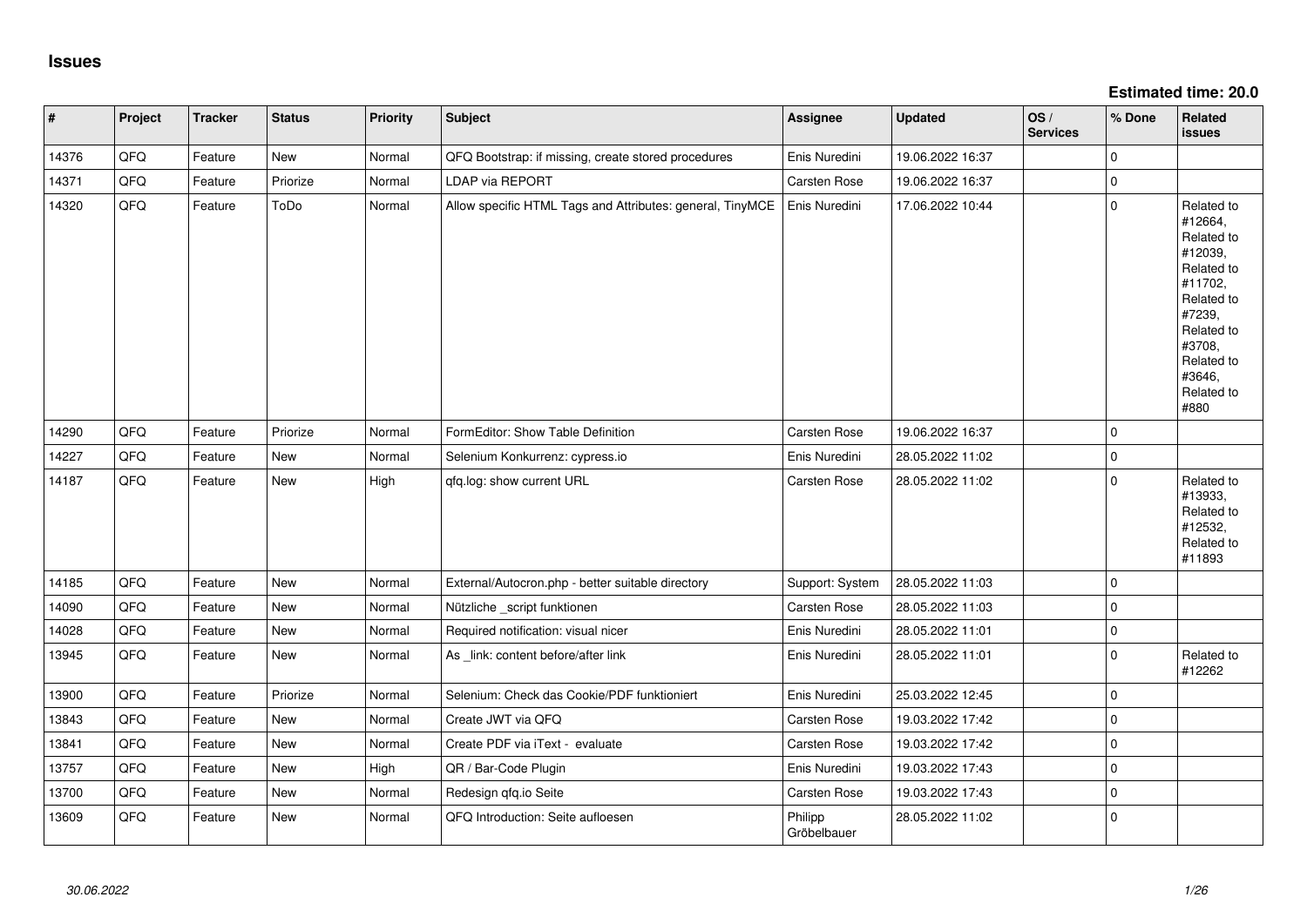**Estimated time: 20.0**

| $\vert$ # | Project | <b>Tracker</b> | <b>Status</b> | <b>Priority</b> | Subject                                                   | Assignee               | <b>Updated</b>   | OS/<br><b>Services</b> | % Done      | Related<br>issues                                                                                                                                                     |
|-----------|---------|----------------|---------------|-----------------|-----------------------------------------------------------|------------------------|------------------|------------------------|-------------|-----------------------------------------------------------------------------------------------------------------------------------------------------------------------|
| 14376     | QFQ     | Feature        | New           | Normal          | QFQ Bootstrap: if missing, create stored procedures       | Enis Nuredini          | 19.06.2022 16:37 |                        | 0           |                                                                                                                                                                       |
| 14371     | QFQ     | Feature        | Priorize      | Normal          | LDAP via REPORT                                           | Carsten Rose           | 19.06.2022 16:37 |                        | $\pmb{0}$   |                                                                                                                                                                       |
| 14320     | QFQ     | Feature        | ToDo          | Normal          | Allow specific HTML Tags and Attributes: general, TinyMCE | Enis Nuredini          | 17.06.2022 10:44 |                        | $\mathbf 0$ | Related to<br>#12664,<br>Related to<br>#12039,<br>Related to<br>#11702,<br>Related to<br>#7239,<br>Related to<br>#3708,<br>Related to<br>#3646,<br>Related to<br>#880 |
| 14290     | QFQ     | Feature        | Priorize      | Normal          | FormEditor: Show Table Definition                         | Carsten Rose           | 19.06.2022 16:37 |                        | $\Omega$    |                                                                                                                                                                       |
| 14227     | QFQ     | Feature        | <b>New</b>    | Normal          | Selenium Konkurrenz: cypress.io                           | Enis Nuredini          | 28.05.2022 11:02 |                        | 0           |                                                                                                                                                                       |
| 14187     | QFQ     | Feature        | New           | High            | qfq.log: show current URL                                 | Carsten Rose           | 28.05.2022 11:02 |                        | $\mathbf 0$ | Related to<br>#13933,<br>Related to<br>#12532,<br>Related to<br>#11893                                                                                                |
| 14185     | QFQ     | Feature        | <b>New</b>    | Normal          | External/Autocron.php - better suitable directory         | Support: System        | 28.05.2022 11:03 |                        | $\Omega$    |                                                                                                                                                                       |
| 14090     | QFQ     | Feature        | <b>New</b>    | Normal          | Nützliche _script funktionen                              | Carsten Rose           | 28.05.2022 11:03 |                        | $\Omega$    |                                                                                                                                                                       |
| 14028     | QFQ     | Feature        | New           | Normal          | Required notification: visual nicer                       | Enis Nuredini          | 28.05.2022 11:01 |                        | 0           |                                                                                                                                                                       |
| 13945     | QFQ     | Feature        | New           | Normal          | As _link: content before/after link                       | Enis Nuredini          | 28.05.2022 11:01 |                        | $\mathbf 0$ | Related to<br>#12262                                                                                                                                                  |
| 13900     | QFQ     | Feature        | Priorize      | Normal          | Selenium: Check das Cookie/PDF funktioniert               | Enis Nuredini          | 25.03.2022 12:45 |                        | $\mathbf 0$ |                                                                                                                                                                       |
| 13843     | QFQ     | Feature        | New           | Normal          | Create JWT via QFQ                                        | Carsten Rose           | 19.03.2022 17:42 |                        | 0           |                                                                                                                                                                       |
| 13841     | QFQ     | Feature        | New           | Normal          | Create PDF via iText - evaluate                           | Carsten Rose           | 19.03.2022 17:42 |                        | 0           |                                                                                                                                                                       |
| 13757     | QFQ     | Feature        | New           | High            | QR / Bar-Code Plugin                                      | Enis Nuredini          | 19.03.2022 17:43 |                        | 0           |                                                                                                                                                                       |
| 13700     | QFQ     | Feature        | New           | Normal          | Redesign qfq.io Seite                                     | Carsten Rose           | 19.03.2022 17:43 |                        | 0           |                                                                                                                                                                       |
| 13609     | QFQ     | Feature        | New           | Normal          | QFQ Introduction: Seite aufloesen                         | Philipp<br>Gröbelbauer | 28.05.2022 11:02 |                        | $\mathbf 0$ |                                                                                                                                                                       |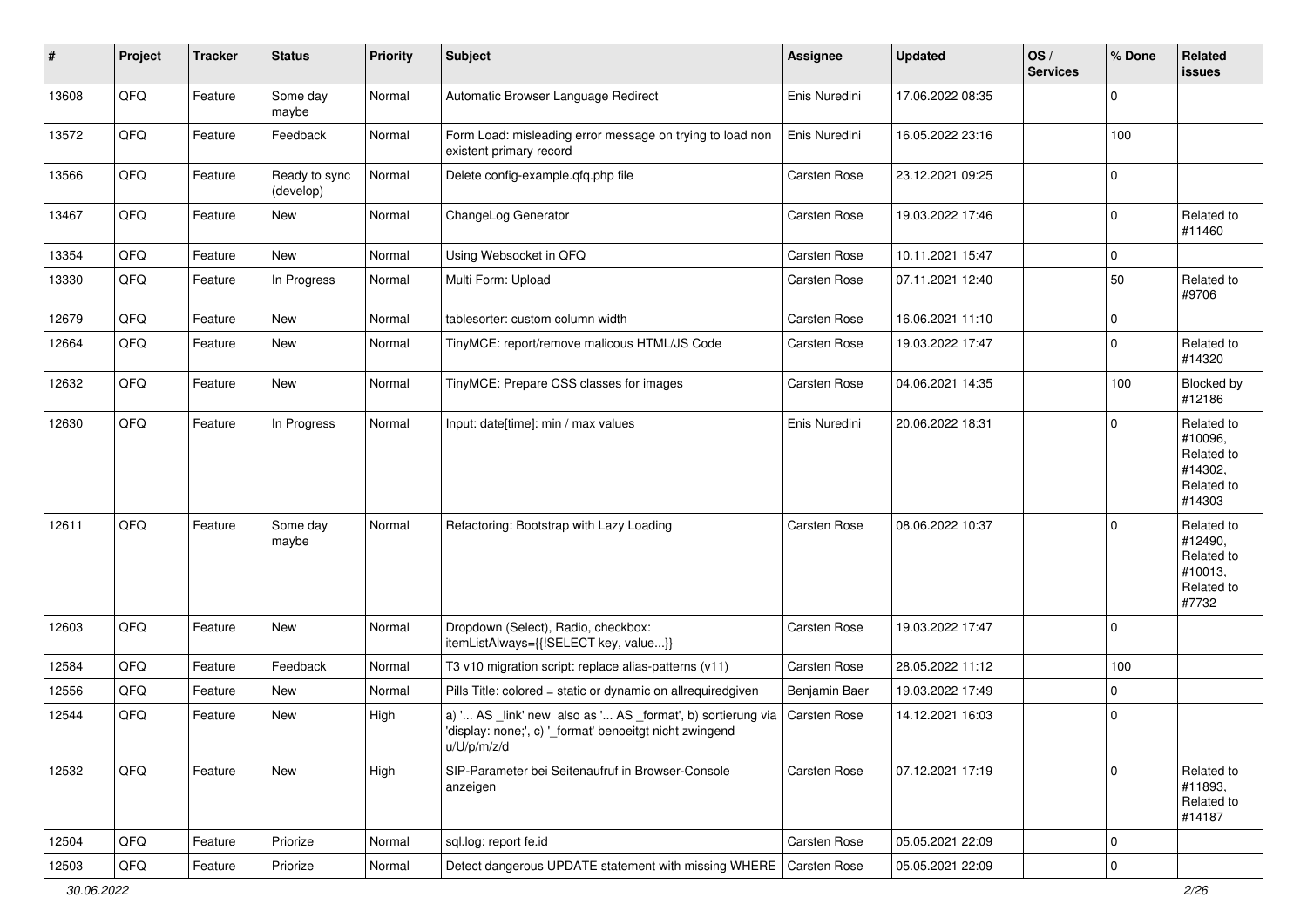| $\vert$ # | Project | <b>Tracker</b> | <b>Status</b>              | <b>Priority</b> | <b>Subject</b>                                                                                                                        | <b>Assignee</b> | <b>Updated</b>   | OS/<br><b>Services</b> | % Done      | Related<br>issues                                                      |
|-----------|---------|----------------|----------------------------|-----------------|---------------------------------------------------------------------------------------------------------------------------------------|-----------------|------------------|------------------------|-------------|------------------------------------------------------------------------|
| 13608     | QFQ     | Feature        | Some day<br>maybe          | Normal          | Automatic Browser Language Redirect                                                                                                   | Enis Nuredini   | 17.06.2022 08:35 |                        | $\mathbf 0$ |                                                                        |
| 13572     | QFQ     | Feature        | Feedback                   | Normal          | Form Load: misleading error message on trying to load non<br>existent primary record                                                  | Enis Nuredini   | 16.05.2022 23:16 |                        | 100         |                                                                        |
| 13566     | QFQ     | Feature        | Ready to sync<br>(develop) | Normal          | Delete config-example.qfq.php file                                                                                                    | Carsten Rose    | 23.12.2021 09:25 |                        | $\mathbf 0$ |                                                                        |
| 13467     | QFQ     | Feature        | New                        | Normal          | ChangeLog Generator                                                                                                                   | Carsten Rose    | 19.03.2022 17:46 |                        | 0           | Related to<br>#11460                                                   |
| 13354     | QFQ     | Feature        | New                        | Normal          | Using Websocket in QFQ                                                                                                                | Carsten Rose    | 10.11.2021 15:47 |                        | $\mathbf 0$ |                                                                        |
| 13330     | QFQ     | Feature        | In Progress                | Normal          | Multi Form: Upload                                                                                                                    | Carsten Rose    | 07.11.2021 12:40 |                        | 50          | Related to<br>#9706                                                    |
| 12679     | QFQ     | Feature        | New                        | Normal          | tablesorter: custom column width                                                                                                      | Carsten Rose    | 16.06.2021 11:10 |                        | 0           |                                                                        |
| 12664     | QFQ     | Feature        | New                        | Normal          | TinyMCE: report/remove malicous HTML/JS Code                                                                                          | Carsten Rose    | 19.03.2022 17:47 |                        | 0           | Related to<br>#14320                                                   |
| 12632     | QFQ     | Feature        | New                        | Normal          | TinyMCE: Prepare CSS classes for images                                                                                               | Carsten Rose    | 04.06.2021 14:35 |                        | 100         | Blocked by<br>#12186                                                   |
| 12630     | QFQ     | Feature        | In Progress                | Normal          | Input: date[time]: min / max values                                                                                                   | Enis Nuredini   | 20.06.2022 18:31 |                        | $\mathbf 0$ | Related to<br>#10096,<br>Related to<br>#14302,<br>Related to<br>#14303 |
| 12611     | QFQ     | Feature        | Some day<br>maybe          | Normal          | Refactoring: Bootstrap with Lazy Loading                                                                                              | Carsten Rose    | 08.06.2022 10:37 |                        | $\mathbf 0$ | Related to<br>#12490,<br>Related to<br>#10013,<br>Related to<br>#7732  |
| 12603     | QFQ     | Feature        | New                        | Normal          | Dropdown (Select), Radio, checkbox:<br>itemListAlways={{!SELECT key, value}}                                                          | Carsten Rose    | 19.03.2022 17:47 |                        | $\mathbf 0$ |                                                                        |
| 12584     | QFQ     | Feature        | Feedback                   | Normal          | T3 v10 migration script: replace alias-patterns (v11)                                                                                 | Carsten Rose    | 28.05.2022 11:12 |                        | 100         |                                                                        |
| 12556     | QFQ     | Feature        | New                        | Normal          | Pills Title: colored = static or dynamic on allrequiredgiven                                                                          | Benjamin Baer   | 19.03.2022 17:49 |                        | $\mathbf 0$ |                                                                        |
| 12544     | QFQ     | Feature        | New                        | High            | a) ' AS _link' new also as ' AS _format', b) sortierung via<br>'display: none;', c) '_format' benoeitgt nicht zwingend<br>u/U/p/m/z/d | Carsten Rose    | 14.12.2021 16:03 |                        | $\mathbf 0$ |                                                                        |
| 12532     | QFQ     | Feature        | New                        | High            | SIP-Parameter bei Seitenaufruf in Browser-Console<br>anzeigen                                                                         | Carsten Rose    | 07.12.2021 17:19 |                        | $\mathbf 0$ | Related to<br>#11893,<br>Related to<br>#14187                          |
| 12504     | QFQ     | Feature        | Priorize                   | Normal          | sql.log: report fe.id                                                                                                                 | Carsten Rose    | 05.05.2021 22:09 |                        | $\mathbf 0$ |                                                                        |
| 12503     | QFQ     | Feature        | Priorize                   | Normal          | Detect dangerous UPDATE statement with missing WHERE                                                                                  | Carsten Rose    | 05.05.2021 22:09 |                        | $\mathsf 0$ |                                                                        |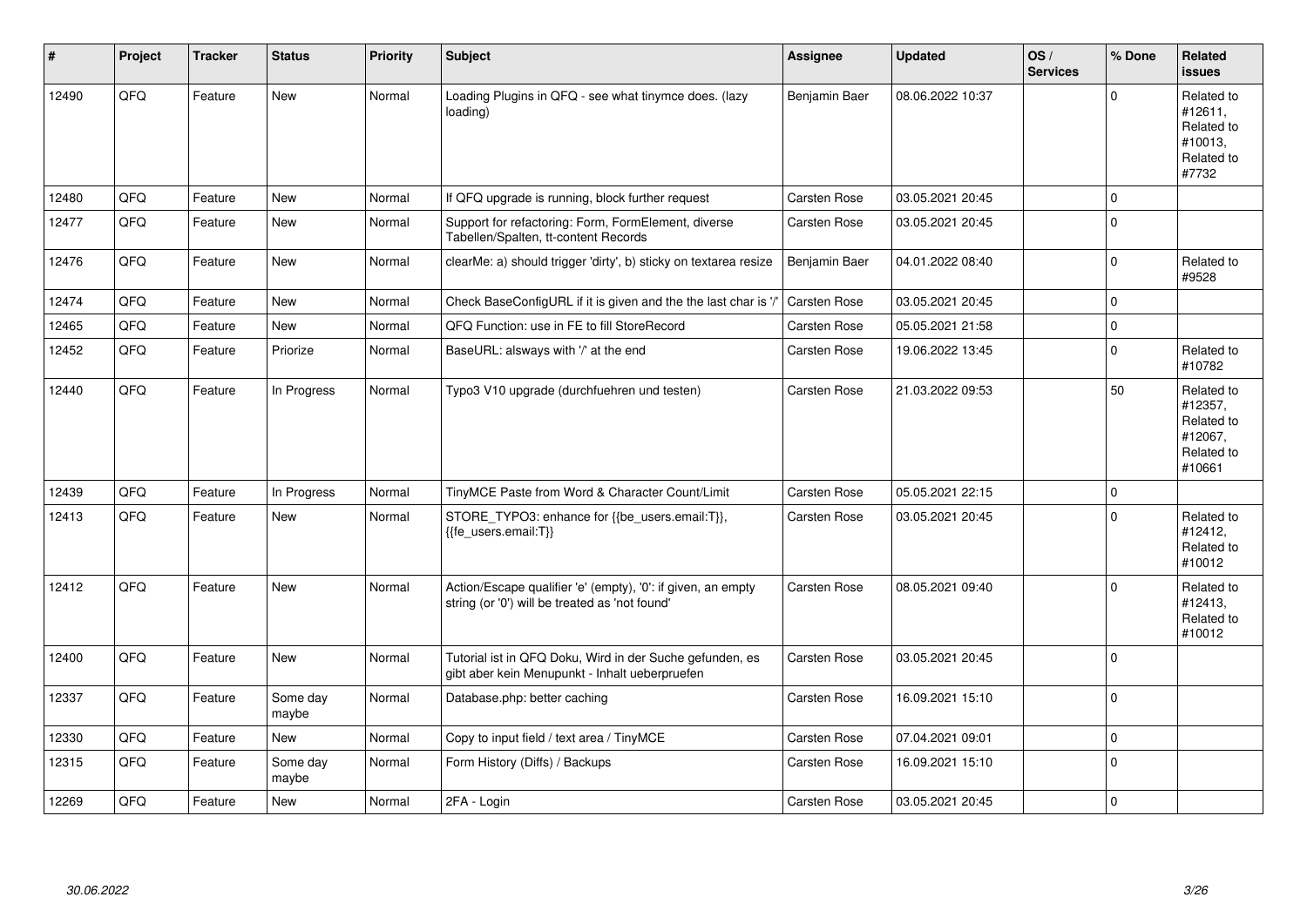| #     | Project | <b>Tracker</b> | <b>Status</b>     | <b>Priority</b> | Subject                                                                                                        | <b>Assignee</b> | <b>Updated</b>   | OS/<br><b>Services</b> | % Done         | Related<br><b>issues</b>                                               |
|-------|---------|----------------|-------------------|-----------------|----------------------------------------------------------------------------------------------------------------|-----------------|------------------|------------------------|----------------|------------------------------------------------------------------------|
| 12490 | QFQ     | Feature        | <b>New</b>        | Normal          | Loading Plugins in QFQ - see what tinymce does. (lazy<br>loading)                                              | Benjamin Baer   | 08.06.2022 10:37 |                        | $\Omega$       | Related to<br>#12611,<br>Related to<br>#10013,<br>Related to<br>#7732  |
| 12480 | QFQ     | Feature        | <b>New</b>        | Normal          | If QFQ upgrade is running, block further request                                                               | Carsten Rose    | 03.05.2021 20:45 |                        | 0              |                                                                        |
| 12477 | QFQ     | Feature        | <b>New</b>        | Normal          | Support for refactoring: Form, FormElement, diverse<br>Tabellen/Spalten, tt-content Records                    | Carsten Rose    | 03.05.2021 20:45 |                        | $\Omega$       |                                                                        |
| 12476 | QFQ     | Feature        | New               | Normal          | clearMe: a) should trigger 'dirty', b) sticky on textarea resize                                               | Benjamin Baer   | 04.01.2022 08:40 |                        | $\mathbf 0$    | Related to<br>#9528                                                    |
| 12474 | QFQ     | Feature        | <b>New</b>        | Normal          | Check BaseConfigURL if it is given and the the last char is '/                                                 | Carsten Rose    | 03.05.2021 20:45 |                        | <sup>0</sup>   |                                                                        |
| 12465 | QFQ     | Feature        | New               | Normal          | QFQ Function: use in FE to fill StoreRecord                                                                    | Carsten Rose    | 05.05.2021 21:58 |                        | $\overline{0}$ |                                                                        |
| 12452 | QFQ     | Feature        | Priorize          | Normal          | BaseURL: alsways with '/' at the end                                                                           | Carsten Rose    | 19.06.2022 13:45 |                        | 0              | Related to<br>#10782                                                   |
| 12440 | QFQ     | Feature        | In Progress       | Normal          | Typo3 V10 upgrade (durchfuehren und testen)                                                                    | Carsten Rose    | 21.03.2022 09:53 |                        | 50             | Related to<br>#12357,<br>Related to<br>#12067,<br>Related to<br>#10661 |
| 12439 | OFQ     | Feature        | In Progress       | Normal          | TinyMCE Paste from Word & Character Count/Limit                                                                | Carsten Rose    | 05.05.2021 22:15 |                        | 0              |                                                                        |
| 12413 | QFQ     | Feature        | <b>New</b>        | Normal          | STORE_TYPO3: enhance for {{be_users.email:T}},<br>{{fe users.email:T}}                                         | Carsten Rose    | 03.05.2021 20:45 |                        | $\Omega$       | Related to<br>#12412,<br>Related to<br>#10012                          |
| 12412 | QFQ     | Feature        | <b>New</b>        | Normal          | Action/Escape qualifier 'e' (empty), '0': if given, an empty<br>string (or '0') will be treated as 'not found' | Carsten Rose    | 08.05.2021 09:40 |                        | $\Omega$       | Related to<br>#12413,<br>Related to<br>#10012                          |
| 12400 | QFQ     | Feature        | <b>New</b>        | Normal          | Tutorial ist in QFQ Doku, Wird in der Suche gefunden, es<br>gibt aber kein Menupunkt - Inhalt ueberpruefen     | Carsten Rose    | 03.05.2021 20:45 |                        | $\Omega$       |                                                                        |
| 12337 | QFQ     | Feature        | Some day<br>maybe | Normal          | Database.php: better caching                                                                                   | Carsten Rose    | 16.09.2021 15:10 |                        | $\mathbf 0$    |                                                                        |
| 12330 | QFQ     | Feature        | <b>New</b>        | Normal          | Copy to input field / text area / TinyMCE                                                                      | Carsten Rose    | 07.04.2021 09:01 |                        | $\Omega$       |                                                                        |
| 12315 | QFQ     | Feature        | Some day<br>maybe | Normal          | Form History (Diffs) / Backups                                                                                 | Carsten Rose    | 16.09.2021 15:10 |                        | $\Omega$       |                                                                        |
| 12269 | QFQ     | Feature        | <b>New</b>        | Normal          | 2FA - Login                                                                                                    | Carsten Rose    | 03.05.2021 20:45 |                        | $\mathbf 0$    |                                                                        |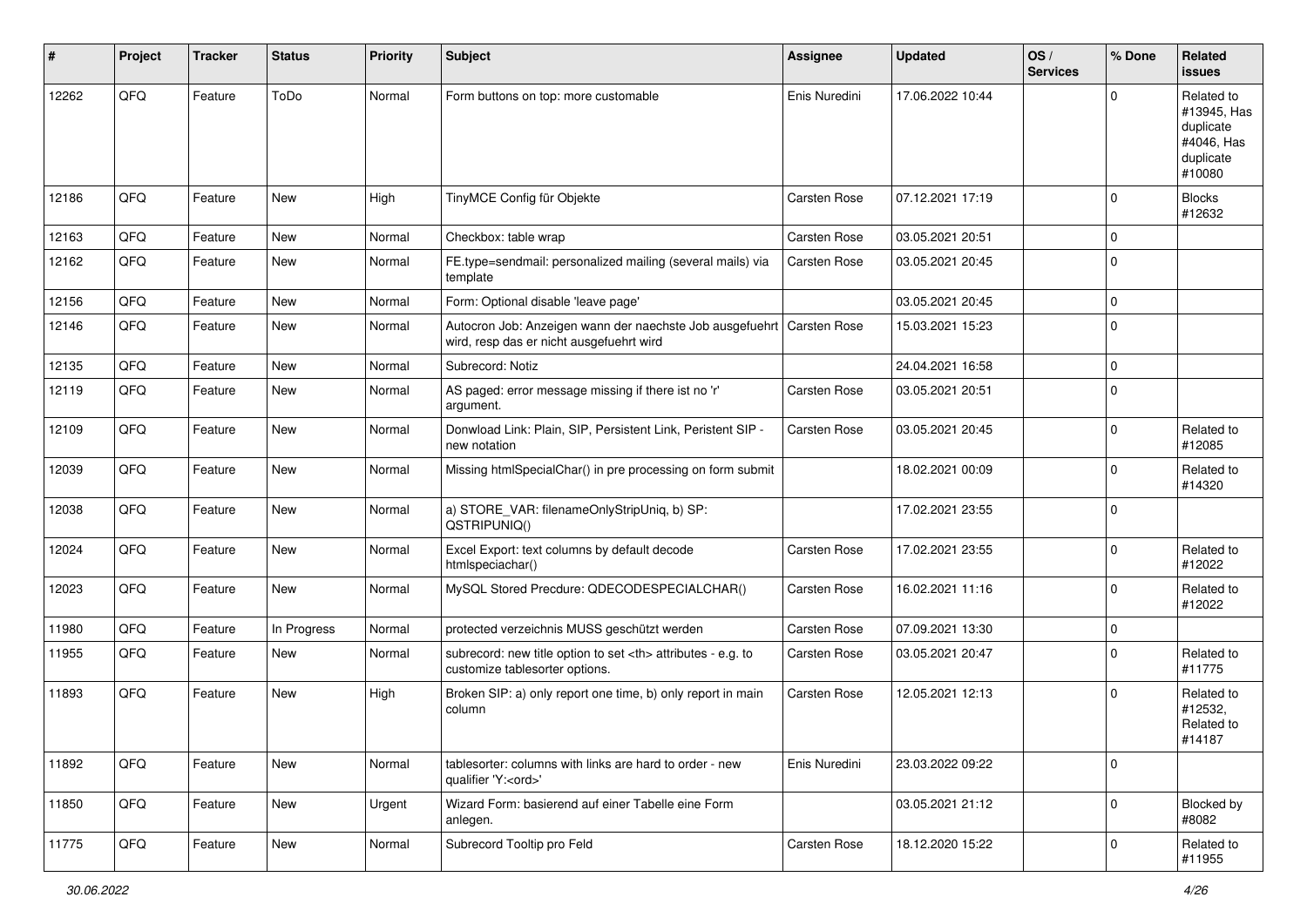| #     | Project | <b>Tracker</b> | <b>Status</b> | <b>Priority</b> | Subject                                                                                              | <b>Assignee</b>                                        | <b>Updated</b>   | OS/<br><b>Services</b> | % Done      | Related<br><b>issues</b>                                                    |                      |
|-------|---------|----------------|---------------|-----------------|------------------------------------------------------------------------------------------------------|--------------------------------------------------------|------------------|------------------------|-------------|-----------------------------------------------------------------------------|----------------------|
| 12262 | QFQ     | Feature        | ToDo          | Normal          | Form buttons on top: more customable                                                                 | Enis Nuredini                                          | 17.06.2022 10:44 |                        | $\Omega$    | Related to<br>#13945, Has<br>duplicate<br>#4046, Has<br>duplicate<br>#10080 |                      |
| 12186 | QFQ     | Feature        | New           | High            | TinyMCE Config für Objekte                                                                           | Carsten Rose                                           | 07.12.2021 17:19 |                        | $\mathbf 0$ | <b>Blocks</b><br>#12632                                                     |                      |
| 12163 | QFQ     | Feature        | <b>New</b>    | Normal          | Checkbox: table wrap                                                                                 | Carsten Rose                                           | 03.05.2021 20:51 |                        | $\mathbf 0$ |                                                                             |                      |
| 12162 | QFQ     | Feature        | New           | Normal          | FE.type=sendmail: personalized mailing (several mails) via<br>template                               | Carsten Rose                                           | 03.05.2021 20:45 |                        | 0           |                                                                             |                      |
| 12156 | QFQ     | Feature        | <b>New</b>    | Normal          | Form: Optional disable 'leave page'                                                                  |                                                        | 03.05.2021 20:45 |                        | 0           |                                                                             |                      |
| 12146 | QFQ     | Feature        | New           | Normal          | Autocron Job: Anzeigen wann der naechste Job ausgefuehrt<br>wird, resp das er nicht ausgefuehrt wird | Carsten Rose                                           | 15.03.2021 15:23 |                        | $\mathbf 0$ |                                                                             |                      |
| 12135 | QFQ     | Feature        | New           | Normal          | Subrecord: Notiz                                                                                     |                                                        | 24.04.2021 16:58 |                        | 0           |                                                                             |                      |
| 12119 | QFQ     | Feature        | New           | Normal          | AS paged: error message missing if there ist no 'r'<br>argument.                                     | Carsten Rose                                           | 03.05.2021 20:51 |                        | 0           |                                                                             |                      |
| 12109 | QFQ     | Feature        | New           | Normal          | Donwload Link: Plain, SIP, Persistent Link, Peristent SIP -<br>new notation                          | Carsten Rose                                           | 03.05.2021 20:45 |                        | 0           | Related to<br>#12085                                                        |                      |
| 12039 | QFQ     | Feature        | New           | Normal          | Missing htmlSpecialChar() in pre processing on form submit                                           |                                                        | 18.02.2021 00:09 |                        | $\Omega$    | Related to<br>#14320                                                        |                      |
| 12038 | QFQ     | Feature        | New           | Normal          | a) STORE_VAR: filenameOnlyStripUniq, b) SP:<br>QSTRIPUNIQ()                                          |                                                        | 17.02.2021 23:55 |                        | $\Omega$    |                                                                             |                      |
| 12024 | QFQ     | Feature        | New           | Normal          | Excel Export: text columns by default decode<br>htmlspeciachar()                                     | Carsten Rose                                           | 17.02.2021 23:55 |                        | $\mathbf 0$ | Related to<br>#12022                                                        |                      |
| 12023 | QFQ     | Feature        | New           | Normal          | MySQL Stored Precdure: QDECODESPECIALCHAR()                                                          | Carsten Rose                                           | 16.02.2021 11:16 |                        | 0           | Related to<br>#12022                                                        |                      |
| 11980 | QFQ     | Feature        | In Progress   | Normal          | protected verzeichnis MUSS geschützt werden                                                          | Carsten Rose                                           | 07.09.2021 13:30 |                        | 0           |                                                                             |                      |
| 11955 | QFQ     | Feature        | New           | Normal          | subrecord: new title option to set <th> attributes - e.g. to<br/>customize tablesorter options.</th> | attributes - e.g. to<br>customize tablesorter options. | Carsten Rose     | 03.05.2021 20:47       |             | $\Omega$                                                                    | Related to<br>#11775 |
| 11893 | QFQ     | Feature        | New           | High            | Broken SIP: a) only report one time, b) only report in main<br>column                                | Carsten Rose                                           | 12.05.2021 12:13 |                        | $\Omega$    | Related to<br>#12532,<br>Related to<br>#14187                               |                      |
| 11892 | QFQ     | Feature        | New           | Normal          | tablesorter: columns with links are hard to order - new<br>qualifier 'Y: <ord>'</ord>                | Enis Nuredini                                          | 23.03.2022 09:22 |                        | $\mathbf 0$ |                                                                             |                      |
| 11850 | QFQ     | Feature        | New           | Urgent          | Wizard Form: basierend auf einer Tabelle eine Form<br>anlegen.                                       |                                                        | 03.05.2021 21:12 |                        | $\mathbf 0$ | Blocked by<br>#8082                                                         |                      |
| 11775 | QFQ     | Feature        | New           | Normal          | Subrecord Tooltip pro Feld                                                                           | Carsten Rose                                           | 18.12.2020 15:22 |                        | 0           | Related to<br>#11955                                                        |                      |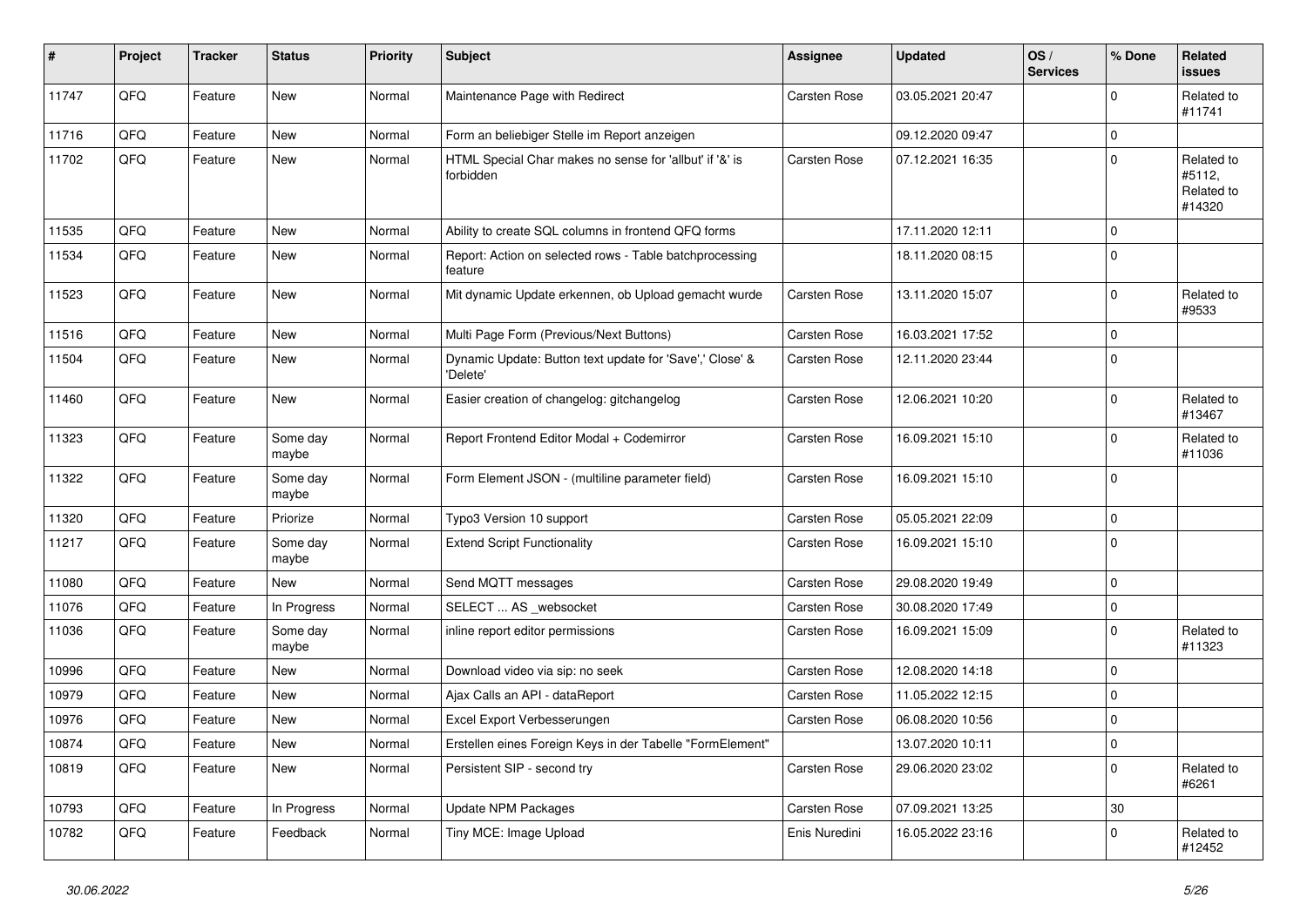| #     | Project | <b>Tracker</b> | <b>Status</b>     | <b>Priority</b> | <b>Subject</b>                                                       | Assignee      | <b>Updated</b>   | OS/<br><b>Services</b> | % Done      | Related<br>issues                            |
|-------|---------|----------------|-------------------|-----------------|----------------------------------------------------------------------|---------------|------------------|------------------------|-------------|----------------------------------------------|
| 11747 | QFQ     | Feature        | New               | Normal          | Maintenance Page with Redirect                                       | Carsten Rose  | 03.05.2021 20:47 |                        | $\Omega$    | Related to<br>#11741                         |
| 11716 | QFQ     | Feature        | <b>New</b>        | Normal          | Form an beliebiger Stelle im Report anzeigen                         |               | 09.12.2020 09:47 |                        | $\mathbf 0$ |                                              |
| 11702 | QFQ     | Feature        | <b>New</b>        | Normal          | HTML Special Char makes no sense for 'allbut' if '&' is<br>forbidden | Carsten Rose  | 07.12.2021 16:35 |                        | $\Omega$    | Related to<br>#5112,<br>Related to<br>#14320 |
| 11535 | QFQ     | Feature        | <b>New</b>        | Normal          | Ability to create SQL columns in frontend QFQ forms                  |               | 17.11.2020 12:11 |                        | $\Omega$    |                                              |
| 11534 | QFQ     | Feature        | New               | Normal          | Report: Action on selected rows - Table batchprocessing<br>feature   |               | 18.11.2020 08:15 |                        | $\pmb{0}$   |                                              |
| 11523 | QFQ     | Feature        | <b>New</b>        | Normal          | Mit dynamic Update erkennen, ob Upload gemacht wurde                 | Carsten Rose  | 13.11.2020 15:07 |                        | $\mathbf 0$ | Related to<br>#9533                          |
| 11516 | QFQ     | Feature        | <b>New</b>        | Normal          | Multi Page Form (Previous/Next Buttons)                              | Carsten Rose  | 16.03.2021 17:52 |                        | $\Omega$    |                                              |
| 11504 | QFQ     | Feature        | New               | Normal          | Dynamic Update: Button text update for 'Save',' Close' &<br>'Delete' | Carsten Rose  | 12.11.2020 23:44 |                        | $\mathbf 0$ |                                              |
| 11460 | QFQ     | Feature        | New               | Normal          | Easier creation of changelog: gitchangelog                           | Carsten Rose  | 12.06.2021 10:20 |                        | $\Omega$    | Related to<br>#13467                         |
| 11323 | QFQ     | Feature        | Some day<br>maybe | Normal          | Report Frontend Editor Modal + Codemirror                            | Carsten Rose  | 16.09.2021 15:10 |                        | $\pmb{0}$   | Related to<br>#11036                         |
| 11322 | QFQ     | Feature        | Some dav<br>maybe | Normal          | Form Element JSON - (multiline parameter field)                      | Carsten Rose  | 16.09.2021 15:10 |                        | 0           |                                              |
| 11320 | QFQ     | Feature        | Priorize          | Normal          | Typo3 Version 10 support                                             | Carsten Rose  | 05.05.2021 22:09 |                        | $\Omega$    |                                              |
| 11217 | QFQ     | Feature        | Some day<br>maybe | Normal          | <b>Extend Script Functionality</b>                                   | Carsten Rose  | 16.09.2021 15:10 |                        | $\Omega$    |                                              |
| 11080 | QFQ     | Feature        | New               | Normal          | Send MQTT messages                                                   | Carsten Rose  | 29.08.2020 19:49 |                        | $\pmb{0}$   |                                              |
| 11076 | QFQ     | Feature        | In Progress       | Normal          | SELECT  AS _websocket                                                | Carsten Rose  | 30.08.2020 17:49 |                        | $\pmb{0}$   |                                              |
| 11036 | QFQ     | Feature        | Some day<br>maybe | Normal          | inline report editor permissions                                     | Carsten Rose  | 16.09.2021 15:09 |                        | $\Omega$    | Related to<br>#11323                         |
| 10996 | QFQ     | Feature        | <b>New</b>        | Normal          | Download video via sip: no seek                                      | Carsten Rose  | 12.08.2020 14:18 |                        | 0           |                                              |
| 10979 | QFQ     | Feature        | New               | Normal          | Ajax Calls an API - dataReport                                       | Carsten Rose  | 11.05.2022 12:15 |                        | 0           |                                              |
| 10976 | QFQ     | Feature        | New               | Normal          | Excel Export Verbesserungen                                          | Carsten Rose  | 06.08.2020 10:56 |                        | 0           |                                              |
| 10874 | QFQ     | Feature        | New               | Normal          | Erstellen eines Foreign Keys in der Tabelle "FormElement"            |               | 13.07.2020 10:11 |                        | $\pmb{0}$   |                                              |
| 10819 | QFQ     | Feature        | New               | Normal          | Persistent SIP - second try                                          | Carsten Rose  | 29.06.2020 23:02 |                        | $\Omega$    | Related to<br>#6261                          |
| 10793 | QFQ     | Feature        | In Progress       | Normal          | <b>Update NPM Packages</b>                                           | Carsten Rose  | 07.09.2021 13:25 |                        | 30          |                                              |
| 10782 | QFQ     | Feature        | Feedback          | Normal          | Tiny MCE: Image Upload                                               | Enis Nuredini | 16.05.2022 23:16 |                        | $\mathbf 0$ | Related to<br>#12452                         |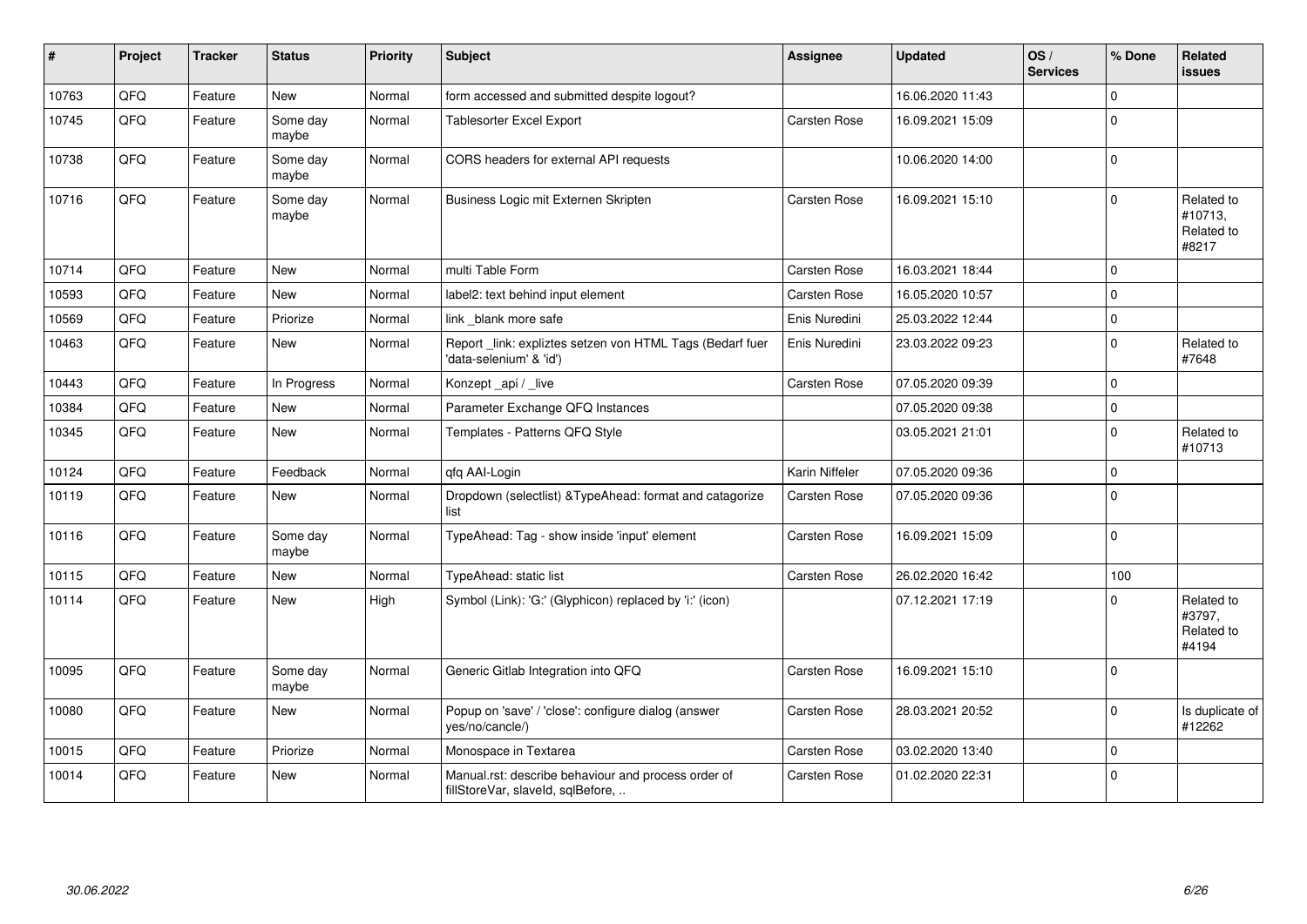| #     | Project | <b>Tracker</b> | <b>Status</b>     | <b>Priority</b> | <b>Subject</b>                                                                           | <b>Assignee</b> | <b>Updated</b>   | OS/<br><b>Services</b> | % Done              | Related<br>issues                            |
|-------|---------|----------------|-------------------|-----------------|------------------------------------------------------------------------------------------|-----------------|------------------|------------------------|---------------------|----------------------------------------------|
| 10763 | QFQ     | Feature        | <b>New</b>        | Normal          | form accessed and submitted despite logout?                                              |                 | 16.06.2020 11:43 |                        | $\mathbf 0$         |                                              |
| 10745 | QFQ     | Feature        | Some day<br>maybe | Normal          | <b>Tablesorter Excel Export</b>                                                          | Carsten Rose    | 16.09.2021 15:09 |                        | 0                   |                                              |
| 10738 | QFQ     | Feature        | Some day<br>maybe | Normal          | CORS headers for external API requests                                                   |                 | 10.06.2020 14:00 |                        | $\mathsf{O}\xspace$ |                                              |
| 10716 | QFQ     | Feature        | Some day<br>maybe | Normal          | Business Logic mit Externen Skripten                                                     | Carsten Rose    | 16.09.2021 15:10 |                        | $\Omega$            | Related to<br>#10713,<br>Related to<br>#8217 |
| 10714 | QFQ     | Feature        | <b>New</b>        | Normal          | multi Table Form                                                                         | Carsten Rose    | 16.03.2021 18:44 |                        | $\mathsf{O}\xspace$ |                                              |
| 10593 | QFQ     | Feature        | New               | Normal          | label2: text behind input element                                                        | Carsten Rose    | 16.05.2020 10:57 |                        | $\Omega$            |                                              |
| 10569 | QFQ     | Feature        | Priorize          | Normal          | link blank more safe                                                                     | Enis Nuredini   | 25.03.2022 12:44 |                        | 0                   |                                              |
| 10463 | QFQ     | Feature        | New               | Normal          | Report_link: expliztes setzen von HTML Tags (Bedarf fuer<br>'data-selenium' & 'id')      | Enis Nuredini   | 23.03.2022 09:23 |                        | $\mathbf 0$         | Related to<br>#7648                          |
| 10443 | QFQ     | Feature        | In Progress       | Normal          | Konzept_api / _live                                                                      | Carsten Rose    | 07.05.2020 09:39 |                        | $\mathbf 0$         |                                              |
| 10384 | QFQ     | Feature        | <b>New</b>        | Normal          | Parameter Exchange QFQ Instances                                                         |                 | 07.05.2020 09:38 |                        | $\mathsf{O}\xspace$ |                                              |
| 10345 | QFQ     | Feature        | New               | Normal          | Templates - Patterns QFQ Style                                                           |                 | 03.05.2021 21:01 |                        | $\mathbf 0$         | Related to<br>#10713                         |
| 10124 | QFQ     | Feature        | Feedback          | Normal          | qfq AAI-Login                                                                            | Karin Niffeler  | 07.05.2020 09:36 |                        | $\mathbf 0$         |                                              |
| 10119 | QFQ     | Feature        | New               | Normal          | Dropdown (selectlist) & TypeAhead: format and catagorize<br>list                         | Carsten Rose    | 07.05.2020 09:36 |                        | $\Omega$            |                                              |
| 10116 | QFQ     | Feature        | Some day<br>maybe | Normal          | TypeAhead: Tag - show inside 'input' element                                             | Carsten Rose    | 16.09.2021 15:09 |                        | $\mathbf 0$         |                                              |
| 10115 | QFQ     | Feature        | New               | Normal          | TypeAhead: static list                                                                   | Carsten Rose    | 26.02.2020 16:42 |                        | 100                 |                                              |
| 10114 | QFQ     | Feature        | New               | High            | Symbol (Link): 'G:' (Glyphicon) replaced by 'i:' (icon)                                  |                 | 07.12.2021 17:19 |                        | $\Omega$            | Related to<br>#3797,<br>Related to<br>#4194  |
| 10095 | QFQ     | Feature        | Some day<br>maybe | Normal          | Generic Gitlab Integration into QFQ                                                      | Carsten Rose    | 16.09.2021 15:10 |                        | $\mathbf 0$         |                                              |
| 10080 | QFQ     | Feature        | New               | Normal          | Popup on 'save' / 'close': configure dialog (answer<br>yes/no/cancle/)                   | Carsten Rose    | 28.03.2021 20:52 |                        | $\mathbf 0$         | Is duplicate of<br>#12262                    |
| 10015 | QFQ     | Feature        | Priorize          | Normal          | Monospace in Textarea                                                                    | Carsten Rose    | 03.02.2020 13:40 |                        | 0                   |                                              |
| 10014 | QFQ     | Feature        | <b>New</b>        | Normal          | Manual.rst: describe behaviour and process order of<br>fillStoreVar, slaveId, sqlBefore, | Carsten Rose    | 01.02.2020 22:31 |                        | $\mathbf 0$         |                                              |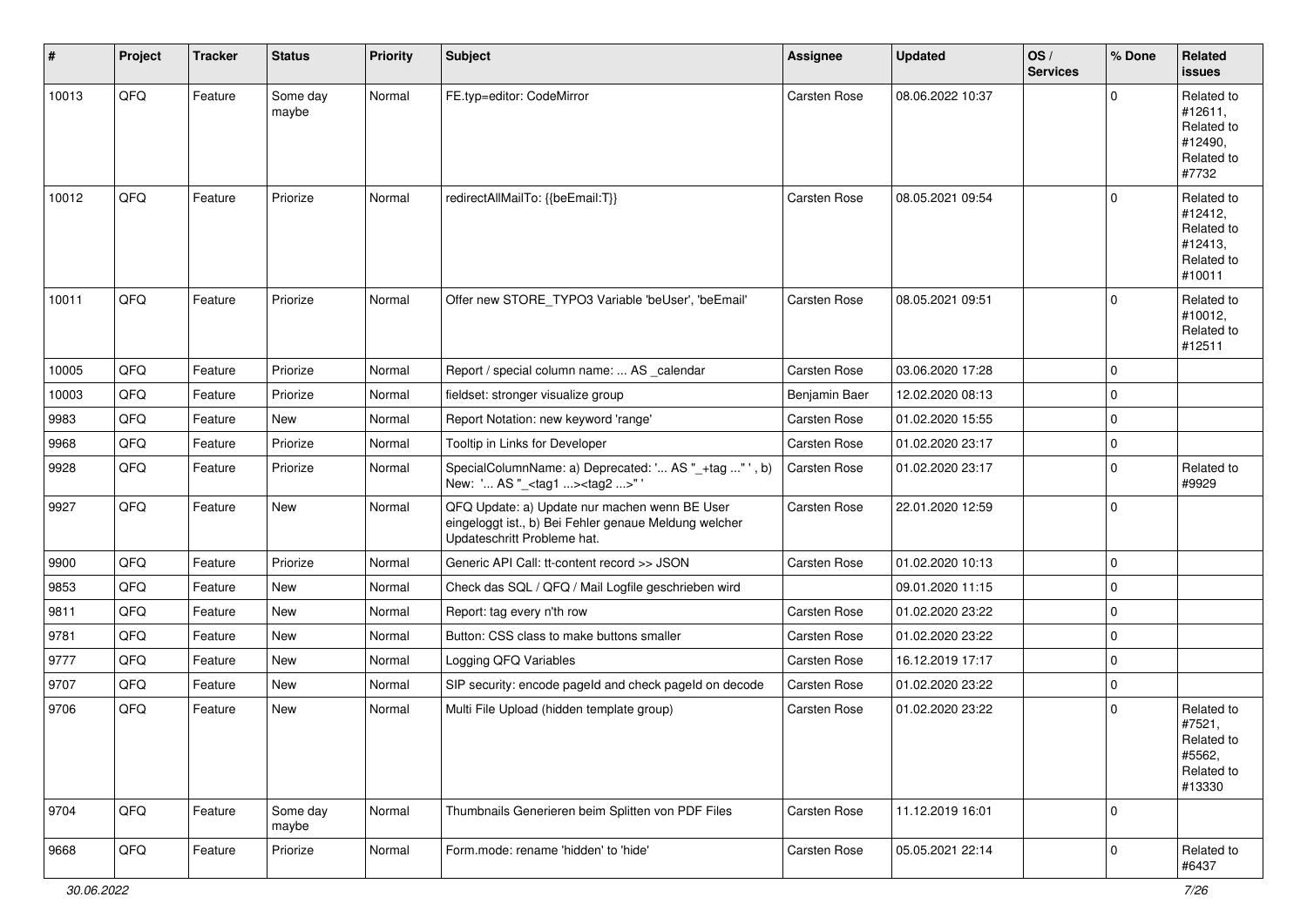| #     | Project | <b>Tracker</b> | <b>Status</b>     | <b>Priority</b> | <b>Subject</b>                                                                                                                        | <b>Assignee</b>     | <b>Updated</b>   | OS/<br><b>Services</b> | % Done      | Related<br>issues                                                      |
|-------|---------|----------------|-------------------|-----------------|---------------------------------------------------------------------------------------------------------------------------------------|---------------------|------------------|------------------------|-------------|------------------------------------------------------------------------|
| 10013 | QFQ     | Feature        | Some day<br>maybe | Normal          | FE.typ=editor: CodeMirror                                                                                                             | Carsten Rose        | 08.06.2022 10:37 |                        | $\mathbf 0$ | Related to<br>#12611,<br>Related to<br>#12490,<br>Related to<br>#7732  |
| 10012 | QFQ     | Feature        | Priorize          | Normal          | redirectAllMailTo: {{beEmail:T}}                                                                                                      | Carsten Rose        | 08.05.2021 09:54 |                        | $\mathbf 0$ | Related to<br>#12412,<br>Related to<br>#12413,<br>Related to<br>#10011 |
| 10011 | QFQ     | Feature        | Priorize          | Normal          | Offer new STORE_TYPO3 Variable 'beUser', 'beEmail'                                                                                    | Carsten Rose        | 08.05.2021 09:51 |                        | $\Omega$    | Related to<br>#10012,<br>Related to<br>#12511                          |
| 10005 | QFQ     | Feature        | Priorize          | Normal          | Report / special column name:  AS _calendar                                                                                           | Carsten Rose        | 03.06.2020 17:28 |                        | 0           |                                                                        |
| 10003 | QFQ     | Feature        | Priorize          | Normal          | fieldset: stronger visualize group                                                                                                    | Benjamin Baer       | 12.02.2020 08:13 |                        | 0           |                                                                        |
| 9983  | QFQ     | Feature        | New               | Normal          | Report Notation: new keyword 'range'                                                                                                  | Carsten Rose        | 01.02.2020 15:55 |                        | $\mathbf 0$ |                                                                        |
| 9968  | QFQ     | Feature        | Priorize          | Normal          | Tooltip in Links for Developer                                                                                                        | Carsten Rose        | 01.02.2020 23:17 |                        | 0           |                                                                        |
| 9928  | QFQ     | Feature        | Priorize          | Normal          | SpecialColumnName: a) Deprecated: ' AS "_+tag " ', b)<br>New: ' AS "_ <tag1><tag2>"'</tag2></tag1>                                    | Carsten Rose        | 01.02.2020 23:17 |                        | $\mathbf 0$ | Related to<br>#9929                                                    |
| 9927  | QFQ     | Feature        | New               | Normal          | QFQ Update: a) Update nur machen wenn BE User<br>eingeloggt ist., b) Bei Fehler genaue Meldung welcher<br>Updateschritt Probleme hat. | <b>Carsten Rose</b> | 22.01.2020 12:59 |                        | $\mathbf 0$ |                                                                        |
| 9900  | QFQ     | Feature        | Priorize          | Normal          | Generic API Call: tt-content record >> JSON                                                                                           | <b>Carsten Rose</b> | 01.02.2020 10:13 |                        | $\mathbf 0$ |                                                                        |
| 9853  | QFQ     | Feature        | New               | Normal          | Check das SQL / QFQ / Mail Logfile geschrieben wird                                                                                   |                     | 09.01.2020 11:15 |                        | 0           |                                                                        |
| 9811  | QFQ     | Feature        | New               | Normal          | Report: tag every n'th row                                                                                                            | Carsten Rose        | 01.02.2020 23:22 |                        | $\mathbf 0$ |                                                                        |
| 9781  | QFQ     | Feature        | New               | Normal          | Button: CSS class to make buttons smaller                                                                                             | Carsten Rose        | 01.02.2020 23:22 |                        | 0           |                                                                        |
| 9777  | QFQ     | Feature        | New               | Normal          | Logging QFQ Variables                                                                                                                 | <b>Carsten Rose</b> | 16.12.2019 17:17 |                        | 0           |                                                                        |
| 9707  | QFQ     | Feature        | New               | Normal          | SIP security: encode pageld and check pageld on decode                                                                                | Carsten Rose        | 01.02.2020 23:22 |                        | 0           |                                                                        |
| 9706  | QFQ     | Feature        | New               | Normal          | Multi File Upload (hidden template group)                                                                                             | <b>Carsten Rose</b> | 01.02.2020 23:22 |                        | 0           | Related to<br>#7521,<br>Related to<br>#5562,<br>Related to<br>#13330   |
| 9704  | QFQ     | Feature        | Some day<br>maybe | Normal          | Thumbnails Generieren beim Splitten von PDF Files                                                                                     | Carsten Rose        | 11.12.2019 16:01 |                        | $\mathbf 0$ |                                                                        |
| 9668  | QFQ     | Feature        | Priorize          | Normal          | Form.mode: rename 'hidden' to 'hide'                                                                                                  | Carsten Rose        | 05.05.2021 22:14 |                        | $\mathbf 0$ | Related to<br>#6437                                                    |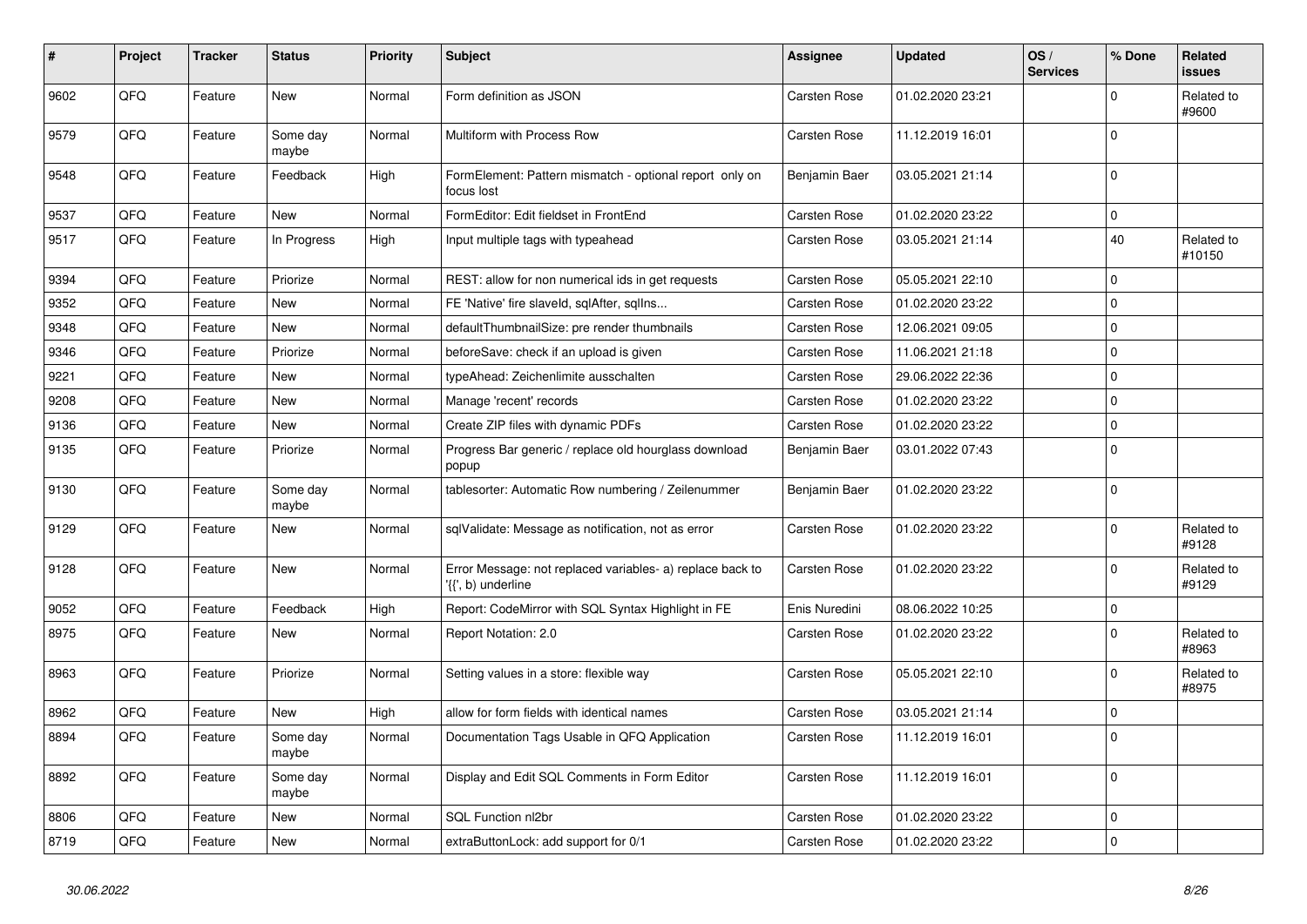| #    | Project | <b>Tracker</b> | <b>Status</b>     | <b>Priority</b> | <b>Subject</b>                                                                  | Assignee      | <b>Updated</b>   | OS/<br><b>Services</b> | % Done      | Related<br>issues    |
|------|---------|----------------|-------------------|-----------------|---------------------------------------------------------------------------------|---------------|------------------|------------------------|-------------|----------------------|
| 9602 | QFQ     | Feature        | New               | Normal          | Form definition as JSON                                                         | Carsten Rose  | 01.02.2020 23:21 |                        | $\mathbf 0$ | Related to<br>#9600  |
| 9579 | QFQ     | Feature        | Some day<br>maybe | Normal          | Multiform with Process Row                                                      | Carsten Rose  | 11.12.2019 16:01 |                        | $\Omega$    |                      |
| 9548 | QFQ     | Feature        | Feedback          | High            | FormElement: Pattern mismatch - optional report only on<br>focus lost           | Benjamin Baer | 03.05.2021 21:14 |                        | $\Omega$    |                      |
| 9537 | QFQ     | Feature        | <b>New</b>        | Normal          | FormEditor: Edit fieldset in FrontEnd                                           | Carsten Rose  | 01.02.2020 23:22 |                        | 0           |                      |
| 9517 | QFQ     | Feature        | In Progress       | High            | Input multiple tags with typeahead                                              | Carsten Rose  | 03.05.2021 21:14 |                        | 40          | Related to<br>#10150 |
| 9394 | QFQ     | Feature        | Priorize          | Normal          | REST: allow for non numerical ids in get requests                               | Carsten Rose  | 05.05.2021 22:10 |                        | $\mathbf 0$ |                      |
| 9352 | QFQ     | Feature        | New               | Normal          | FE 'Native' fire slaveld, sqlAfter, sqllns                                      | Carsten Rose  | 01.02.2020 23:22 |                        | $\mathsf 0$ |                      |
| 9348 | QFQ     | Feature        | New               | Normal          | defaultThumbnailSize: pre render thumbnails                                     | Carsten Rose  | 12.06.2021 09:05 |                        | 0           |                      |
| 9346 | QFQ     | Feature        | Priorize          | Normal          | beforeSave: check if an upload is given                                         | Carsten Rose  | 11.06.2021 21:18 |                        | 0           |                      |
| 9221 | QFQ     | Feature        | <b>New</b>        | Normal          | typeAhead: Zeichenlimite ausschalten                                            | Carsten Rose  | 29.06.2022 22:36 |                        | $\Omega$    |                      |
| 9208 | QFQ     | Feature        | New               | Normal          | Manage 'recent' records                                                         | Carsten Rose  | 01.02.2020 23:22 |                        | $\mathbf 0$ |                      |
| 9136 | QFQ     | Feature        | New               | Normal          | Create ZIP files with dynamic PDFs                                              | Carsten Rose  | 01.02.2020 23:22 |                        | 0           |                      |
| 9135 | QFQ     | Feature        | Priorize          | Normal          | Progress Bar generic / replace old hourglass download<br>popup                  | Benjamin Baer | 03.01.2022 07:43 |                        | $\mathbf 0$ |                      |
| 9130 | QFQ     | Feature        | Some day<br>maybe | Normal          | tablesorter: Automatic Row numbering / Zeilenummer                              | Benjamin Baer | 01.02.2020 23:22 |                        | $\Omega$    |                      |
| 9129 | QFQ     | Feature        | <b>New</b>        | Normal          | sqlValidate: Message as notification, not as error                              | Carsten Rose  | 01.02.2020 23:22 |                        | $\mathbf 0$ | Related to<br>#9128  |
| 9128 | QFQ     | Feature        | New               | Normal          | Error Message: not replaced variables- a) replace back to<br>'{{', b) underline | Carsten Rose  | 01.02.2020 23:22 |                        | 0           | Related to<br>#9129  |
| 9052 | QFQ     | Feature        | Feedback          | High            | Report: CodeMirror with SQL Syntax Highlight in FE                              | Enis Nuredini | 08.06.2022 10:25 |                        | 0           |                      |
| 8975 | QFQ     | Feature        | New               | Normal          | Report Notation: 2.0                                                            | Carsten Rose  | 01.02.2020 23:22 |                        | 0           | Related to<br>#8963  |
| 8963 | QFQ     | Feature        | Priorize          | Normal          | Setting values in a store: flexible way                                         | Carsten Rose  | 05.05.2021 22:10 |                        | $\Omega$    | Related to<br>#8975  |
| 8962 | QFQ     | Feature        | <b>New</b>        | High            | allow for form fields with identical names                                      | Carsten Rose  | 03.05.2021 21:14 |                        | $\mathbf 0$ |                      |
| 8894 | QFQ     | Feature        | Some day<br>maybe | Normal          | Documentation Tags Usable in QFQ Application                                    | Carsten Rose  | 11.12.2019 16:01 |                        | $\mathbf 0$ |                      |
| 8892 | QFQ     | Feature        | Some day<br>maybe | Normal          | Display and Edit SQL Comments in Form Editor                                    | Carsten Rose  | 11.12.2019 16:01 |                        | $\mathbf 0$ |                      |
| 8806 | QFQ     | Feature        | New               | Normal          | SQL Function nl2br                                                              | Carsten Rose  | 01.02.2020 23:22 |                        | 0           |                      |
| 8719 | QFQ     | Feature        | <b>New</b>        | Normal          | extraButtonLock: add support for 0/1                                            | Carsten Rose  | 01.02.2020 23:22 |                        | $\pmb{0}$   |                      |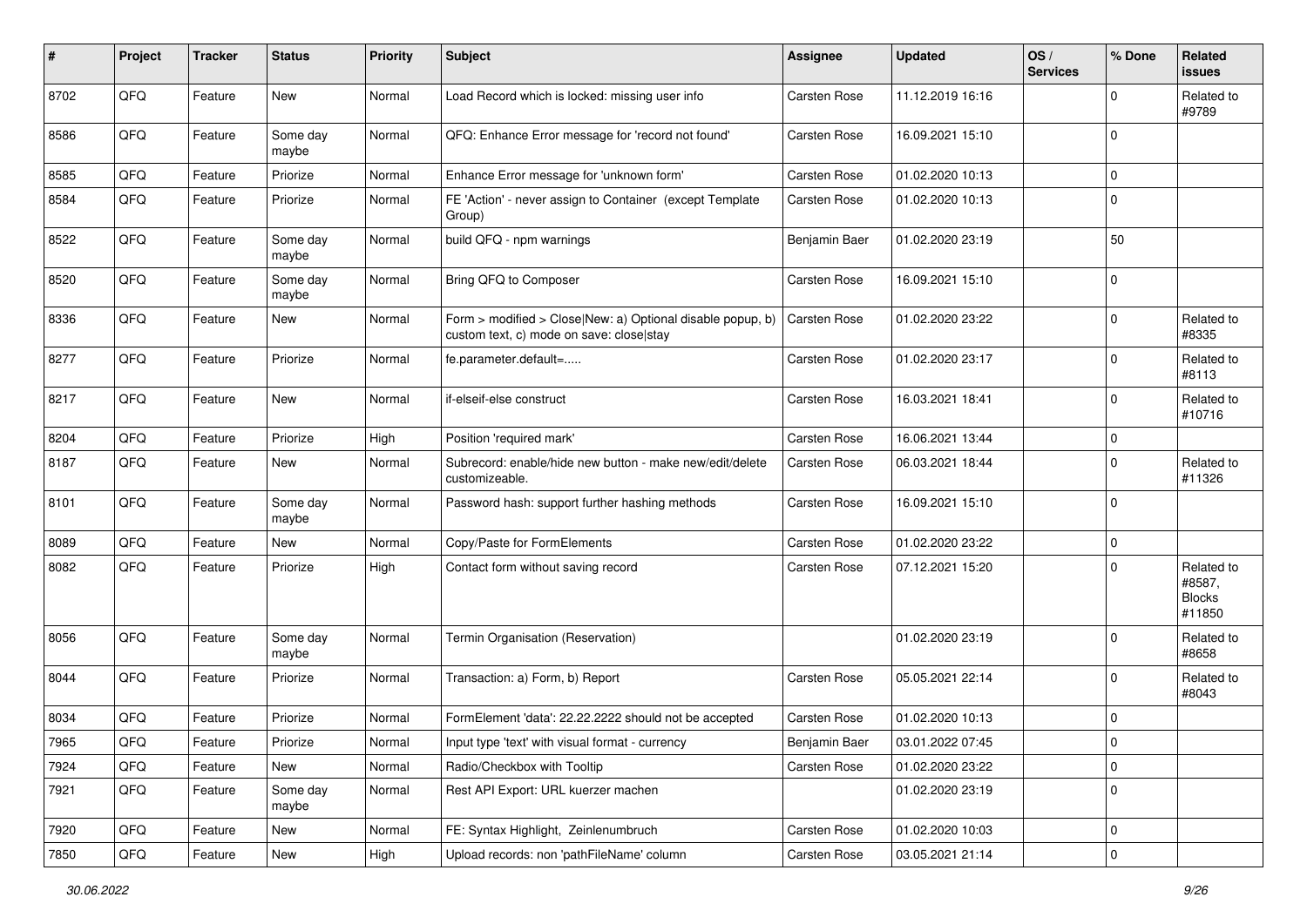| #    | Project | <b>Tracker</b> | <b>Status</b>     | <b>Priority</b> | <b>Subject</b>                                                                                         | <b>Assignee</b> | <b>Updated</b>   | OS/<br><b>Services</b> | % Done      | Related<br>issues                               |
|------|---------|----------------|-------------------|-----------------|--------------------------------------------------------------------------------------------------------|-----------------|------------------|------------------------|-------------|-------------------------------------------------|
| 8702 | QFQ     | Feature        | New               | Normal          | Load Record which is locked: missing user info                                                         | Carsten Rose    | 11.12.2019 16:16 |                        | $\Omega$    | Related to<br>#9789                             |
| 8586 | QFQ     | Feature        | Some day<br>maybe | Normal          | QFQ: Enhance Error message for 'record not found'                                                      | Carsten Rose    | 16.09.2021 15:10 |                        | $\Omega$    |                                                 |
| 8585 | QFQ     | Feature        | Priorize          | Normal          | Enhance Error message for 'unknown form'                                                               | Carsten Rose    | 01.02.2020 10:13 |                        | $\Omega$    |                                                 |
| 8584 | QFQ     | Feature        | Priorize          | Normal          | FE 'Action' - never assign to Container (except Template<br>Group)                                     | Carsten Rose    | 01.02.2020 10:13 |                        | $\mathbf 0$ |                                                 |
| 8522 | QFQ     | Feature        | Some day<br>maybe | Normal          | build QFQ - npm warnings                                                                               | Benjamin Baer   | 01.02.2020 23:19 |                        | 50          |                                                 |
| 8520 | QFQ     | Feature        | Some day<br>maybe | Normal          | Bring QFQ to Composer                                                                                  | Carsten Rose    | 16.09.2021 15:10 |                        | $\mathbf 0$ |                                                 |
| 8336 | QFQ     | Feature        | New               | Normal          | Form > modified > Close New: a) Optional disable popup, b)<br>custom text, c) mode on save: close stay | Carsten Rose    | 01.02.2020 23:22 |                        | $\mathbf 0$ | Related to<br>#8335                             |
| 8277 | QFQ     | Feature        | Priorize          | Normal          | fe.parameter.default=                                                                                  | Carsten Rose    | 01.02.2020 23:17 |                        | $\mathbf 0$ | Related to<br>#8113                             |
| 8217 | QFQ     | Feature        | New               | Normal          | if-elseif-else construct                                                                               | Carsten Rose    | 16.03.2021 18:41 |                        | $\mathbf 0$ | Related to<br>#10716                            |
| 8204 | QFQ     | Feature        | Priorize          | High            | Position 'required mark'                                                                               | Carsten Rose    | 16.06.2021 13:44 |                        | $\mathbf 0$ |                                                 |
| 8187 | QFQ     | Feature        | New               | Normal          | Subrecord: enable/hide new button - make new/edit/delete<br>customizeable.                             | Carsten Rose    | 06.03.2021 18:44 |                        | $\mathbf 0$ | Related to<br>#11326                            |
| 8101 | QFQ     | Feature        | Some day<br>maybe | Normal          | Password hash: support further hashing methods                                                         | Carsten Rose    | 16.09.2021 15:10 |                        | $\Omega$    |                                                 |
| 8089 | QFQ     | Feature        | New               | Normal          | Copy/Paste for FormElements                                                                            | Carsten Rose    | 01.02.2020 23:22 |                        | $\mathbf 0$ |                                                 |
| 8082 | QFQ     | Feature        | Priorize          | High            | Contact form without saving record                                                                     | Carsten Rose    | 07.12.2021 15:20 |                        | $\Omega$    | Related to<br>#8587,<br><b>Blocks</b><br>#11850 |
| 8056 | QFQ     | Feature        | Some day<br>maybe | Normal          | Termin Organisation (Reservation)                                                                      |                 | 01.02.2020 23:19 |                        | $\Omega$    | Related to<br>#8658                             |
| 8044 | QFQ     | Feature        | Priorize          | Normal          | Transaction: a) Form, b) Report                                                                        | Carsten Rose    | 05.05.2021 22:14 |                        | $\Omega$    | Related to<br>#8043                             |
| 8034 | QFQ     | Feature        | Priorize          | Normal          | FormElement 'data': 22.22.2222 should not be accepted                                                  | Carsten Rose    | 01.02.2020 10:13 |                        | $\mathbf 0$ |                                                 |
| 7965 | QFQ     | Feature        | Priorize          | Normal          | Input type 'text' with visual format - currency                                                        | Benjamin Baer   | 03.01.2022 07:45 |                        | 0           |                                                 |
| 7924 | QFQ     | Feature        | New               | Normal          | Radio/Checkbox with Tooltip                                                                            | Carsten Rose    | 01.02.2020 23:22 |                        | 0           |                                                 |
| 7921 | QFQ     | Feature        | Some day<br>maybe | Normal          | Rest API Export: URL kuerzer machen                                                                    |                 | 01.02.2020 23:19 |                        | $\mathbf 0$ |                                                 |
| 7920 | QFQ     | Feature        | New               | Normal          | FE: Syntax Highlight, Zeinlenumbruch                                                                   | Carsten Rose    | 01.02.2020 10:03 |                        | 0           |                                                 |
| 7850 | QFG     | Feature        | New               | High            | Upload records: non 'pathFileName' column                                                              | Carsten Rose    | 03.05.2021 21:14 |                        | $\pmb{0}$   |                                                 |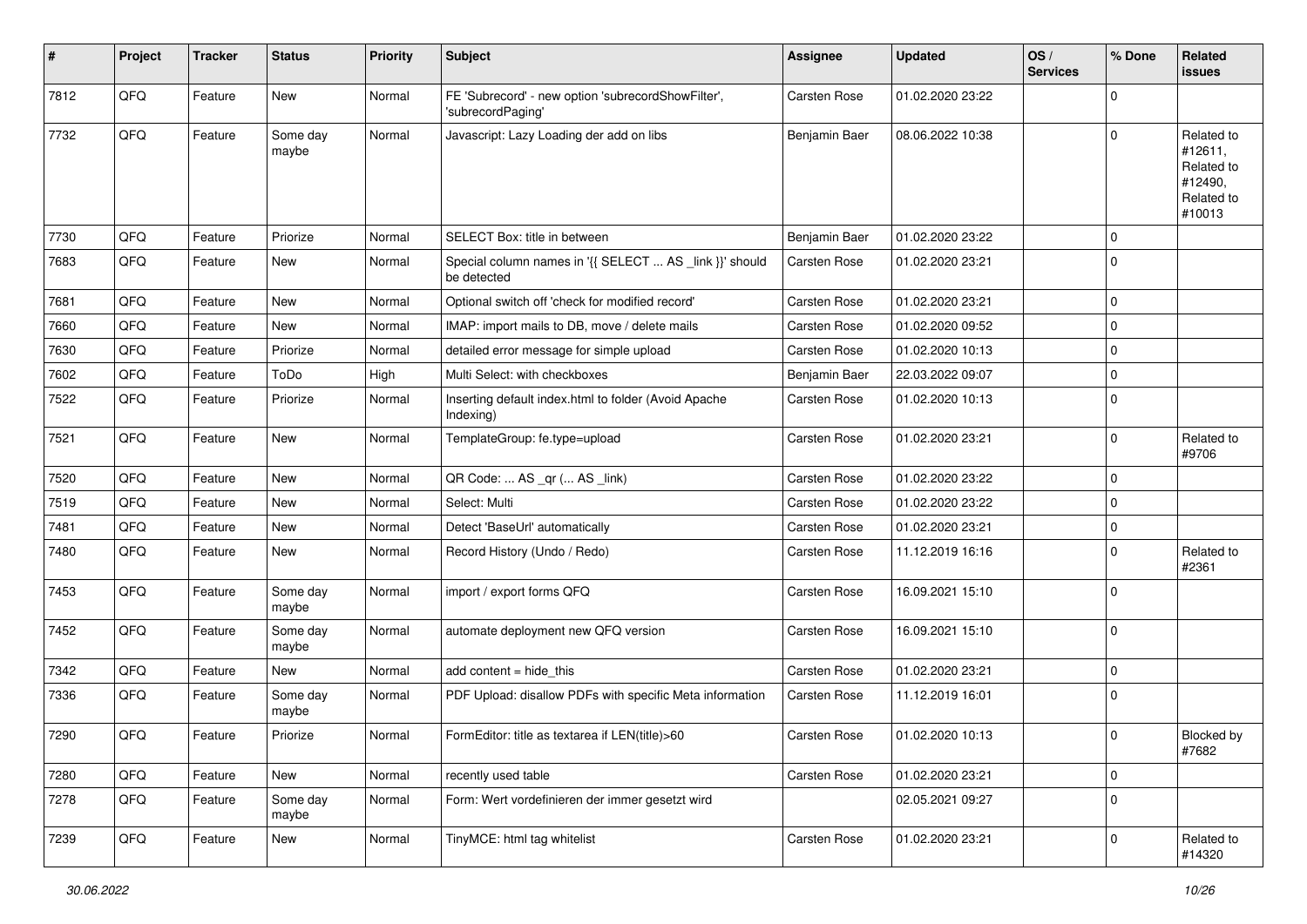| #    | Project | <b>Tracker</b> | <b>Status</b>     | <b>Priority</b> | <b>Subject</b>                                                          | Assignee            | <b>Updated</b>   | OS/<br><b>Services</b> | % Done      | Related<br>issues                                                      |
|------|---------|----------------|-------------------|-----------------|-------------------------------------------------------------------------|---------------------|------------------|------------------------|-------------|------------------------------------------------------------------------|
| 7812 | QFQ     | Feature        | New               | Normal          | FE 'Subrecord' - new option 'subrecordShowFilter',<br>'subrecordPaging' | Carsten Rose        | 01.02.2020 23:22 |                        | 0           |                                                                        |
| 7732 | QFQ     | Feature        | Some day<br>maybe | Normal          | Javascript: Lazy Loading der add on libs                                | Benjamin Baer       | 08.06.2022 10:38 |                        | $\Omega$    | Related to<br>#12611,<br>Related to<br>#12490,<br>Related to<br>#10013 |
| 7730 | QFQ     | Feature        | Priorize          | Normal          | SELECT Box: title in between                                            | Benjamin Baer       | 01.02.2020 23:22 |                        | $\mathbf 0$ |                                                                        |
| 7683 | QFQ     | Feature        | New               | Normal          | Special column names in '{{ SELECT  AS _link }}' should<br>be detected  | Carsten Rose        | 01.02.2020 23:21 |                        | 0           |                                                                        |
| 7681 | QFQ     | Feature        | <b>New</b>        | Normal          | Optional switch off 'check for modified record'                         | Carsten Rose        | 01.02.2020 23:21 |                        | 0           |                                                                        |
| 7660 | QFQ     | Feature        | New               | Normal          | IMAP: import mails to DB, move / delete mails                           | Carsten Rose        | 01.02.2020 09:52 |                        | 0           |                                                                        |
| 7630 | QFQ     | Feature        | Priorize          | Normal          | detailed error message for simple upload                                | Carsten Rose        | 01.02.2020 10:13 |                        | $\mathbf 0$ |                                                                        |
| 7602 | QFQ     | Feature        | ToDo              | High            | Multi Select: with checkboxes                                           | Benjamin Baer       | 22.03.2022 09:07 |                        | 0           |                                                                        |
| 7522 | QFQ     | Feature        | Priorize          | Normal          | Inserting default index.html to folder (Avoid Apache<br>Indexing)       | Carsten Rose        | 01.02.2020 10:13 |                        | $\mathbf 0$ |                                                                        |
| 7521 | QFQ     | Feature        | New               | Normal          | TemplateGroup: fe.type=upload                                           | Carsten Rose        | 01.02.2020 23:21 |                        | 0           | Related to<br>#9706                                                    |
| 7520 | QFQ     | Feature        | New               | Normal          | QR Code:  AS _qr ( AS _link)                                            | Carsten Rose        | 01.02.2020 23:22 |                        | 0           |                                                                        |
| 7519 | QFQ     | Feature        | New               | Normal          | Select: Multi                                                           | Carsten Rose        | 01.02.2020 23:22 |                        | 0           |                                                                        |
| 7481 | QFQ     | Feature        | New               | Normal          | Detect 'BaseUrl' automatically                                          | Carsten Rose        | 01.02.2020 23:21 |                        | 0           |                                                                        |
| 7480 | QFQ     | Feature        | <b>New</b>        | Normal          | Record History (Undo / Redo)                                            | Carsten Rose        | 11.12.2019 16:16 |                        | 0           | Related to<br>#2361                                                    |
| 7453 | QFQ     | Feature        | Some day<br>maybe | Normal          | import / export forms QFQ                                               | Carsten Rose        | 16.09.2021 15:10 |                        | $\Omega$    |                                                                        |
| 7452 | QFQ     | Feature        | Some day<br>maybe | Normal          | automate deployment new QFQ version                                     | Carsten Rose        | 16.09.2021 15:10 |                        | 0           |                                                                        |
| 7342 | QFQ     | Feature        | New               | Normal          | add content = hide_this                                                 | Carsten Rose        | 01.02.2020 23:21 |                        | 0           |                                                                        |
| 7336 | QFQ     | Feature        | Some day<br>maybe | Normal          | PDF Upload: disallow PDFs with specific Meta information                | Carsten Rose        | 11.12.2019 16:01 |                        | $\mathbf 0$ |                                                                        |
| 7290 | QFQ     | Feature        | Priorize          | Normal          | FormEditor: title as textarea if LEN(title)>60                          | <b>Carsten Rose</b> | 01.02.2020 10:13 |                        | $\mathbf 0$ | Blocked by<br>#7682                                                    |
| 7280 | QFG     | Feature        | New               | Normal          | recently used table                                                     | Carsten Rose        | 01.02.2020 23:21 |                        | $\pmb{0}$   |                                                                        |
| 7278 | QFQ     | Feature        | Some day<br>maybe | Normal          | Form: Wert vordefinieren der immer gesetzt wird                         |                     | 02.05.2021 09:27 |                        | 0           |                                                                        |
| 7239 | QFQ     | Feature        | New               | Normal          | TinyMCE: html tag whitelist                                             | Carsten Rose        | 01.02.2020 23:21 |                        | 0           | Related to<br>#14320                                                   |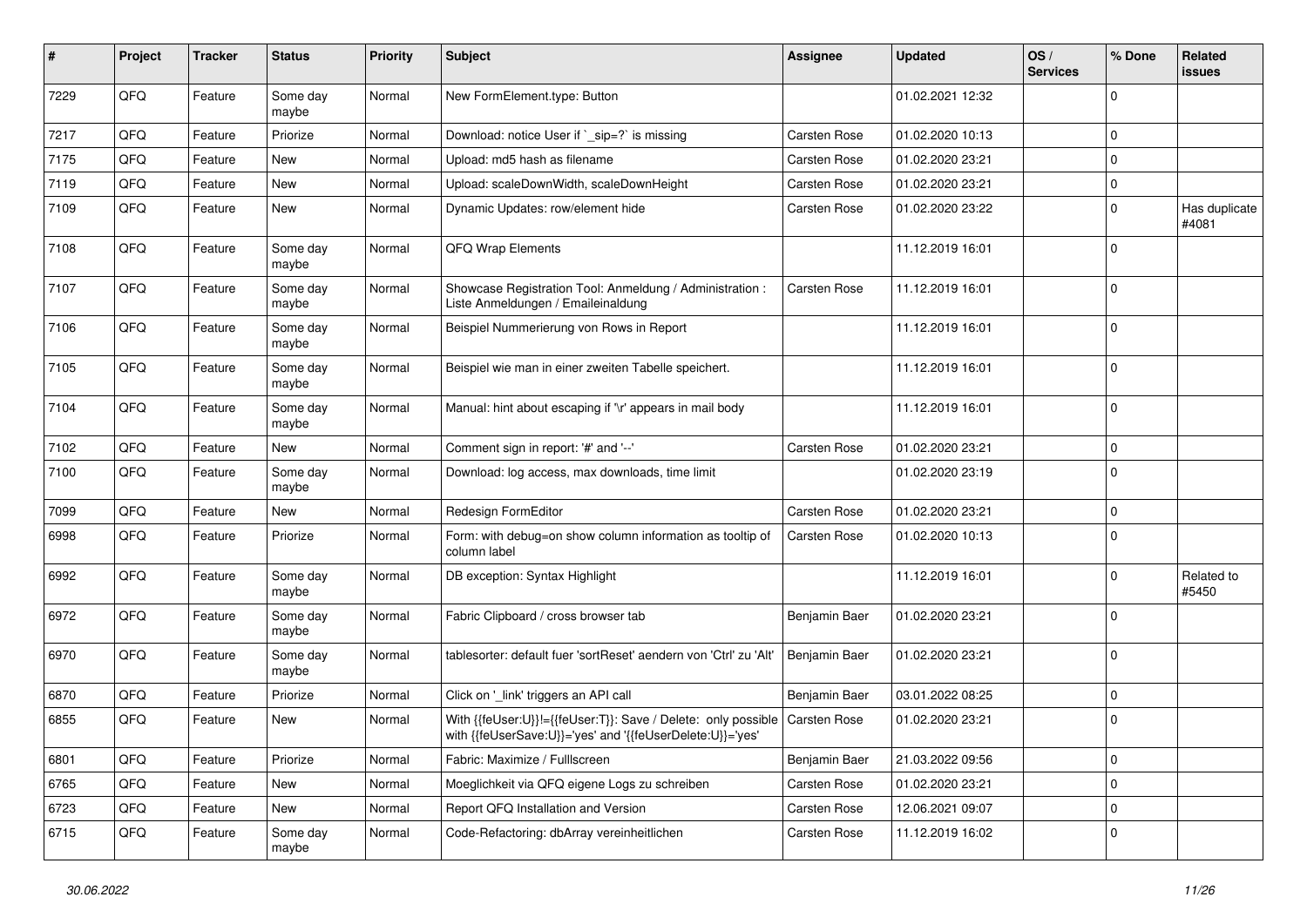| #    | Project | <b>Tracker</b> | <b>Status</b>     | <b>Priority</b> | <b>Subject</b>                                                                                                             | <b>Assignee</b> | <b>Updated</b>   | OS/<br><b>Services</b> | % Done      | Related<br>issues      |
|------|---------|----------------|-------------------|-----------------|----------------------------------------------------------------------------------------------------------------------------|-----------------|------------------|------------------------|-------------|------------------------|
| 7229 | QFQ     | Feature        | Some day<br>maybe | Normal          | New FormElement.type: Button                                                                                               |                 | 01.02.2021 12:32 |                        | $\Omega$    |                        |
| 7217 | QFQ     | Feature        | Priorize          | Normal          | Download: notice User if `_sip=?` is missing                                                                               | Carsten Rose    | 01.02.2020 10:13 |                        | $\mathbf 0$ |                        |
| 7175 | QFQ     | Feature        | New               | Normal          | Upload: md5 hash as filename                                                                                               | Carsten Rose    | 01.02.2020 23:21 |                        | $\mathbf 0$ |                        |
| 7119 | QFQ     | Feature        | New               | Normal          | Upload: scaleDownWidth, scaleDownHeight                                                                                    | Carsten Rose    | 01.02.2020 23:21 |                        | 0           |                        |
| 7109 | QFQ     | Feature        | New               | Normal          | Dynamic Updates: row/element hide                                                                                          | Carsten Rose    | 01.02.2020 23:22 |                        | $\mathbf 0$ | Has duplicate<br>#4081 |
| 7108 | QFQ     | Feature        | Some day<br>maybe | Normal          | QFQ Wrap Elements                                                                                                          |                 | 11.12.2019 16:01 |                        | $\Omega$    |                        |
| 7107 | QFQ     | Feature        | Some day<br>maybe | Normal          | Showcase Registration Tool: Anmeldung / Administration :<br>Liste Anmeldungen / Emaileinaldung                             | Carsten Rose    | 11.12.2019 16:01 |                        | $\mathbf 0$ |                        |
| 7106 | QFQ     | Feature        | Some day<br>maybe | Normal          | Beispiel Nummerierung von Rows in Report                                                                                   |                 | 11.12.2019 16:01 |                        | $\mathbf 0$ |                        |
| 7105 | QFQ     | Feature        | Some day<br>maybe | Normal          | Beispiel wie man in einer zweiten Tabelle speichert.                                                                       |                 | 11.12.2019 16:01 |                        | $\mathbf 0$ |                        |
| 7104 | QFQ     | Feature        | Some day<br>maybe | Normal          | Manual: hint about escaping if '\r' appears in mail body                                                                   |                 | 11.12.2019 16:01 |                        | $\mathbf 0$ |                        |
| 7102 | QFQ     | Feature        | New               | Normal          | Comment sign in report: '#' and '--'                                                                                       | Carsten Rose    | 01.02.2020 23:21 |                        | $\mathbf 0$ |                        |
| 7100 | QFQ     | Feature        | Some day<br>maybe | Normal          | Download: log access, max downloads, time limit                                                                            |                 | 01.02.2020 23:19 |                        | $\mathbf 0$ |                        |
| 7099 | QFQ     | Feature        | <b>New</b>        | Normal          | Redesign FormEditor                                                                                                        | Carsten Rose    | 01.02.2020 23:21 |                        | $\mathbf 0$ |                        |
| 6998 | QFQ     | Feature        | Priorize          | Normal          | Form: with debug=on show column information as tooltip of<br>column label                                                  | Carsten Rose    | 01.02.2020 10:13 |                        | $\mathbf 0$ |                        |
| 6992 | QFQ     | Feature        | Some day<br>maybe | Normal          | DB exception: Syntax Highlight                                                                                             |                 | 11.12.2019 16:01 |                        | $\mathbf 0$ | Related to<br>#5450    |
| 6972 | QFQ     | Feature        | Some day<br>maybe | Normal          | Fabric Clipboard / cross browser tab                                                                                       | Benjamin Baer   | 01.02.2020 23:21 |                        | $\mathbf 0$ |                        |
| 6970 | QFQ     | Feature        | Some day<br>maybe | Normal          | tablesorter: default fuer 'sortReset' aendern von 'Ctrl' zu 'Alt'                                                          | Benjamin Baer   | 01.02.2020 23:21 |                        | $\mathbf 0$ |                        |
| 6870 | QFQ     | Feature        | Priorize          | Normal          | Click on '_link' triggers an API call                                                                                      | Benjamin Baer   | 03.01.2022 08:25 |                        | $\mathbf 0$ |                        |
| 6855 | QFQ     | Feature        | New               | Normal          | With {{feUser:U}}!={{feUser:T}}: Save / Delete: only possible<br>with {{feUserSave:U}}='yes' and '{{feUserDelete:U}}='yes' | Carsten Rose    | 01.02.2020 23:21 |                        | $\mathbf 0$ |                        |
| 6801 | QFQ     | Feature        | Priorize          | Normal          | Fabric: Maximize / FullIscreen                                                                                             | Benjamin Baer   | 21.03.2022 09:56 |                        | $\mathbf 0$ |                        |
| 6765 | QFQ     | Feature        | New               | Normal          | Moeglichkeit via QFQ eigene Logs zu schreiben                                                                              | Carsten Rose    | 01.02.2020 23:21 |                        | $\mathbf 0$ |                        |
| 6723 | QFQ     | Feature        | New               | Normal          | Report QFQ Installation and Version                                                                                        | Carsten Rose    | 12.06.2021 09:07 |                        | 0           |                        |
| 6715 | QFQ     | Feature        | Some day<br>maybe | Normal          | Code-Refactoring: dbArray vereinheitlichen                                                                                 | Carsten Rose    | 11.12.2019 16:02 |                        | 0           |                        |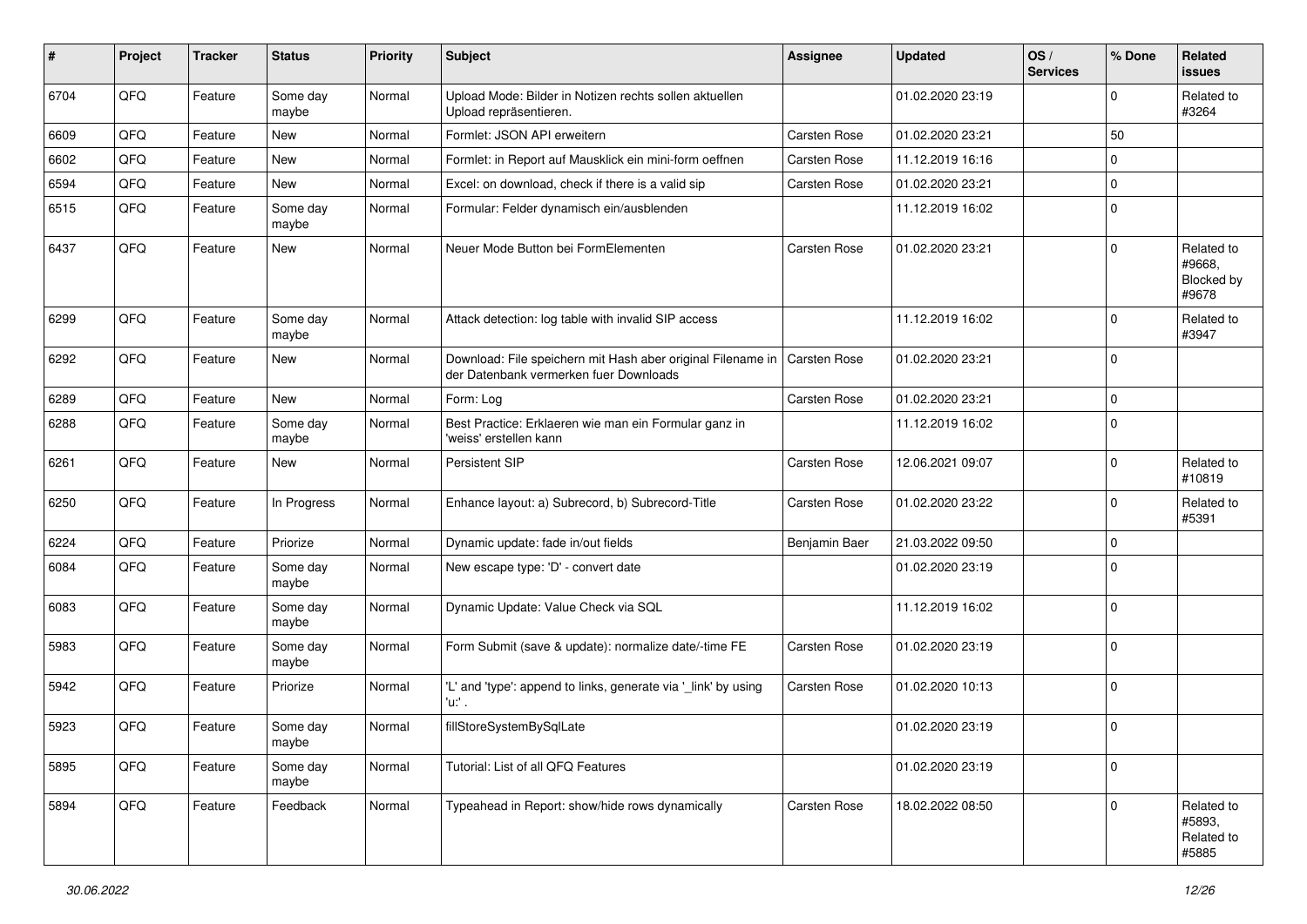| #    | Project | <b>Tracker</b> | <b>Status</b>     | <b>Priority</b> | Subject                                                                                               | <b>Assignee</b> | <b>Updated</b>   | OS/<br><b>Services</b> | % Done      | Related<br>issues                                  |
|------|---------|----------------|-------------------|-----------------|-------------------------------------------------------------------------------------------------------|-----------------|------------------|------------------------|-------------|----------------------------------------------------|
| 6704 | QFQ     | Feature        | Some day<br>maybe | Normal          | Upload Mode: Bilder in Notizen rechts sollen aktuellen<br>Upload repräsentieren.                      |                 | 01.02.2020 23:19 |                        | $\mathbf 0$ | Related to<br>#3264                                |
| 6609 | QFQ     | Feature        | New               | Normal          | Formlet: JSON API erweitern                                                                           | Carsten Rose    | 01.02.2020 23:21 |                        | 50          |                                                    |
| 6602 | QFQ     | Feature        | New               | Normal          | Formlet: in Report auf Mausklick ein mini-form oeffnen                                                | Carsten Rose    | 11.12.2019 16:16 |                        | $\mathbf 0$ |                                                    |
| 6594 | QFQ     | Feature        | New               | Normal          | Excel: on download, check if there is a valid sip                                                     | Carsten Rose    | 01.02.2020 23:21 |                        | $\mathbf 0$ |                                                    |
| 6515 | QFQ     | Feature        | Some day<br>maybe | Normal          | Formular: Felder dynamisch ein/ausblenden                                                             |                 | 11.12.2019 16:02 |                        | $\mathbf 0$ |                                                    |
| 6437 | QFQ     | Feature        | New               | Normal          | Neuer Mode Button bei FormElementen                                                                   | Carsten Rose    | 01.02.2020 23:21 |                        | $\Omega$    | Related to<br>#9668.<br><b>Blocked by</b><br>#9678 |
| 6299 | QFQ     | Feature        | Some day<br>maybe | Normal          | Attack detection: log table with invalid SIP access                                                   |                 | 11.12.2019 16:02 |                        | $\mathbf 0$ | Related to<br>#3947                                |
| 6292 | QFQ     | Feature        | New               | Normal          | Download: File speichern mit Hash aber original Filename in<br>der Datenbank vermerken fuer Downloads | Carsten Rose    | 01.02.2020 23:21 |                        | $\mathbf 0$ |                                                    |
| 6289 | QFQ     | Feature        | <b>New</b>        | Normal          | Form: Log                                                                                             | Carsten Rose    | 01.02.2020 23:21 |                        | $\mathbf 0$ |                                                    |
| 6288 | QFQ     | Feature        | Some day<br>maybe | Normal          | Best Practice: Erklaeren wie man ein Formular ganz in<br>'weiss' erstellen kann                       |                 | 11.12.2019 16:02 |                        | $\Omega$    |                                                    |
| 6261 | QFQ     | Feature        | New               | Normal          | Persistent SIP                                                                                        | Carsten Rose    | 12.06.2021 09:07 |                        | $\mathbf 0$ | Related to<br>#10819                               |
| 6250 | QFQ     | Feature        | In Progress       | Normal          | Enhance layout: a) Subrecord, b) Subrecord-Title                                                      | Carsten Rose    | 01.02.2020 23:22 |                        | $\mathbf 0$ | Related to<br>#5391                                |
| 6224 | QFQ     | Feature        | Priorize          | Normal          | Dynamic update: fade in/out fields                                                                    | Benjamin Baer   | 21.03.2022 09:50 |                        | $\mathbf 0$ |                                                    |
| 6084 | QFQ     | Feature        | Some day<br>maybe | Normal          | New escape type: 'D' - convert date                                                                   |                 | 01.02.2020 23:19 |                        | $\mathbf 0$ |                                                    |
| 6083 | QFQ     | Feature        | Some day<br>maybe | Normal          | Dynamic Update: Value Check via SQL                                                                   |                 | 11.12.2019 16:02 |                        | $\Omega$    |                                                    |
| 5983 | QFQ     | Feature        | Some day<br>maybe | Normal          | Form Submit (save & update): normalize date/-time FE                                                  | Carsten Rose    | 01.02.2020 23:19 |                        | $\mathbf 0$ |                                                    |
| 5942 | QFQ     | Feature        | Priorize          | Normal          | 'L' and 'type': append to links, generate via '_link' by using<br>'u:' .                              | Carsten Rose    | 01.02.2020 10:13 |                        | $\mathbf 0$ |                                                    |
| 5923 | QFQ     | Feature        | Some day<br>maybe | Normal          | fillStoreSystemBySqlLate                                                                              |                 | 01.02.2020 23:19 |                        | 0           |                                                    |
| 5895 | QFQ     | Feature        | Some day<br>maybe | Normal          | Tutorial: List of all QFQ Features                                                                    |                 | 01.02.2020 23:19 |                        | $\mathbf 0$ |                                                    |
| 5894 | QFG     | Feature        | Feedback          | Normal          | Typeahead in Report: show/hide rows dynamically                                                       | Carsten Rose    | 18.02.2022 08:50 |                        | $\mathbf 0$ | Related to<br>#5893,<br>Related to<br>#5885        |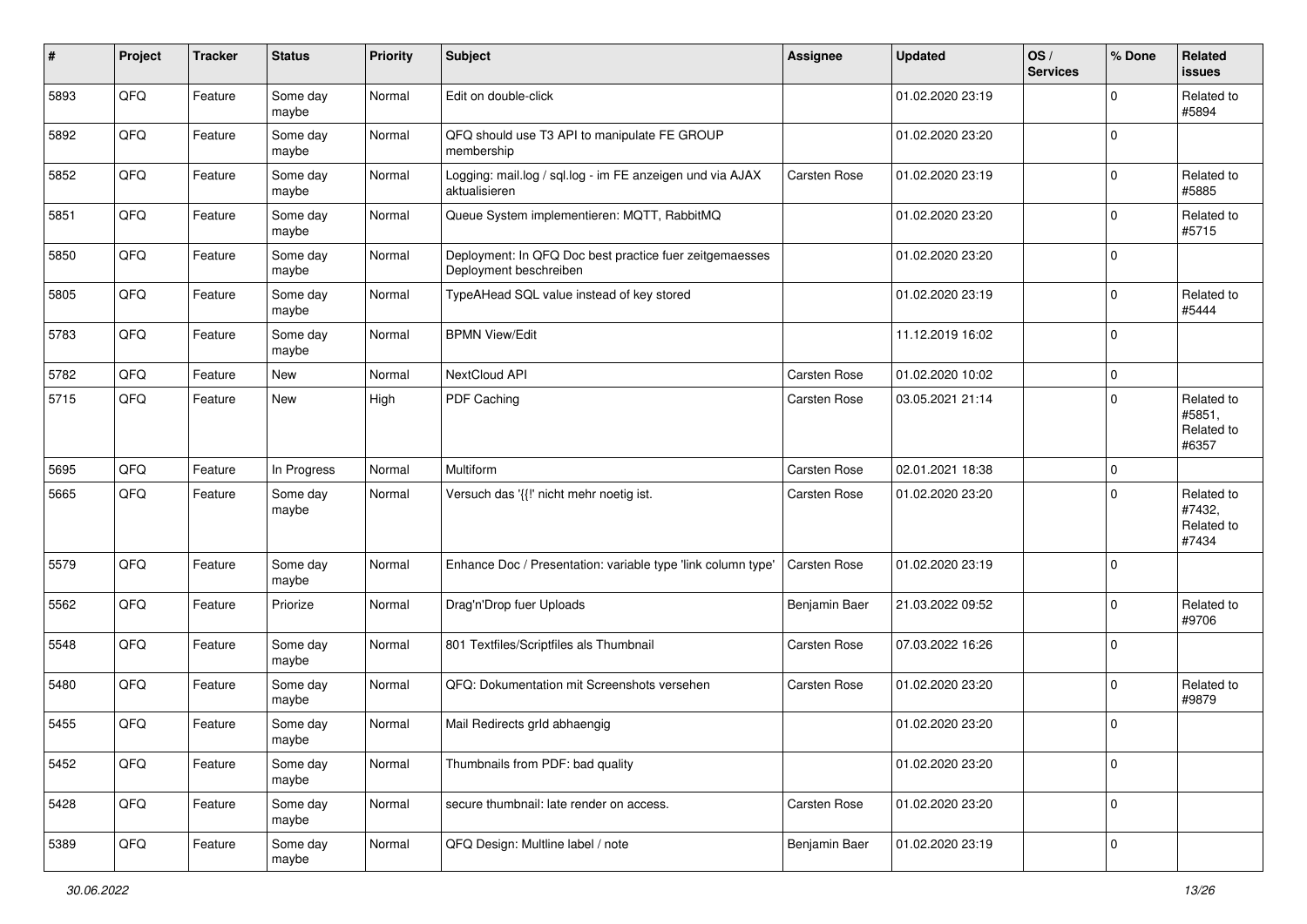| #    | Project | <b>Tracker</b> | <b>Status</b>     | <b>Priority</b> | <b>Subject</b>                                                                    | Assignee      | <b>Updated</b>   | OS/<br><b>Services</b> | % Done      | Related<br>issues                           |
|------|---------|----------------|-------------------|-----------------|-----------------------------------------------------------------------------------|---------------|------------------|------------------------|-------------|---------------------------------------------|
| 5893 | QFQ     | Feature        | Some day<br>maybe | Normal          | Edit on double-click                                                              |               | 01.02.2020 23:19 |                        | $\mathbf 0$ | Related to<br>#5894                         |
| 5892 | QFQ     | Feature        | Some day<br>maybe | Normal          | QFQ should use T3 API to manipulate FE GROUP<br>membership                        |               | 01.02.2020 23:20 |                        | $\mathbf 0$ |                                             |
| 5852 | QFQ     | Feature        | Some day<br>maybe | Normal          | Logging: mail.log / sql.log - im FE anzeigen und via AJAX<br>aktualisieren        | Carsten Rose  | 01.02.2020 23:19 |                        | $\mathbf 0$ | Related to<br>#5885                         |
| 5851 | QFQ     | Feature        | Some day<br>maybe | Normal          | Queue System implementieren: MQTT, RabbitMQ                                       |               | 01.02.2020 23:20 |                        | 0           | Related to<br>#5715                         |
| 5850 | QFQ     | Feature        | Some day<br>maybe | Normal          | Deployment: In QFQ Doc best practice fuer zeitgemaesses<br>Deployment beschreiben |               | 01.02.2020 23:20 |                        | $\mathbf 0$ |                                             |
| 5805 | QFQ     | Feature        | Some day<br>maybe | Normal          | TypeAHead SQL value instead of key stored                                         |               | 01.02.2020 23:19 |                        | $\mathbf 0$ | Related to<br>#5444                         |
| 5783 | QFQ     | Feature        | Some day<br>maybe | Normal          | <b>BPMN View/Edit</b>                                                             |               | 11.12.2019 16:02 |                        | $\mathbf 0$ |                                             |
| 5782 | QFQ     | Feature        | New               | Normal          | NextCloud API                                                                     | Carsten Rose  | 01.02.2020 10:02 |                        | $\mathbf 0$ |                                             |
| 5715 | QFQ     | Feature        | New               | High            | PDF Caching                                                                       | Carsten Rose  | 03.05.2021 21:14 |                        | $\mathbf 0$ | Related to<br>#5851,<br>Related to<br>#6357 |
| 5695 | QFQ     | Feature        | In Progress       | Normal          | Multiform                                                                         | Carsten Rose  | 02.01.2021 18:38 |                        | $\mathbf 0$ |                                             |
| 5665 | QFQ     | Feature        | Some day<br>maybe | Normal          | Versuch das '{{!' nicht mehr noetig ist.                                          | Carsten Rose  | 01.02.2020 23:20 |                        | $\Omega$    | Related to<br>#7432,<br>Related to<br>#7434 |
| 5579 | QFQ     | Feature        | Some day<br>maybe | Normal          | Enhance Doc / Presentation: variable type 'link column type'                      | Carsten Rose  | 01.02.2020 23:19 |                        | $\mathbf 0$ |                                             |
| 5562 | QFQ     | Feature        | Priorize          | Normal          | Drag'n'Drop fuer Uploads                                                          | Benjamin Baer | 21.03.2022 09:52 |                        | $\mathbf 0$ | Related to<br>#9706                         |
| 5548 | QFQ     | Feature        | Some day<br>maybe | Normal          | 801 Textfiles/Scriptfiles als Thumbnail                                           | Carsten Rose  | 07.03.2022 16:26 |                        | $\mathbf 0$ |                                             |
| 5480 | QFQ     | Feature        | Some day<br>maybe | Normal          | QFQ: Dokumentation mit Screenshots versehen                                       | Carsten Rose  | 01.02.2020 23:20 |                        | $\mathbf 0$ | Related to<br>#9879                         |
| 5455 | QFQ     | Feature        | Some day<br>maybe | Normal          | Mail Redirects grld abhaengig                                                     |               | 01.02.2020 23:20 |                        | $\Omega$    |                                             |
| 5452 | QFQ     | Feature        | Some day<br>maybe | Normal          | Thumbnails from PDF: bad quality                                                  |               | 01.02.2020 23:20 |                        | 0           |                                             |
| 5428 | QFG     | Feature        | Some day<br>maybe | Normal          | secure thumbnail: late render on access.                                          | Carsten Rose  | 01.02.2020 23:20 |                        | 0           |                                             |
| 5389 | QFQ     | Feature        | Some day<br>maybe | Normal          | QFQ Design: Multline label / note                                                 | Benjamin Baer | 01.02.2020 23:19 |                        | 0           |                                             |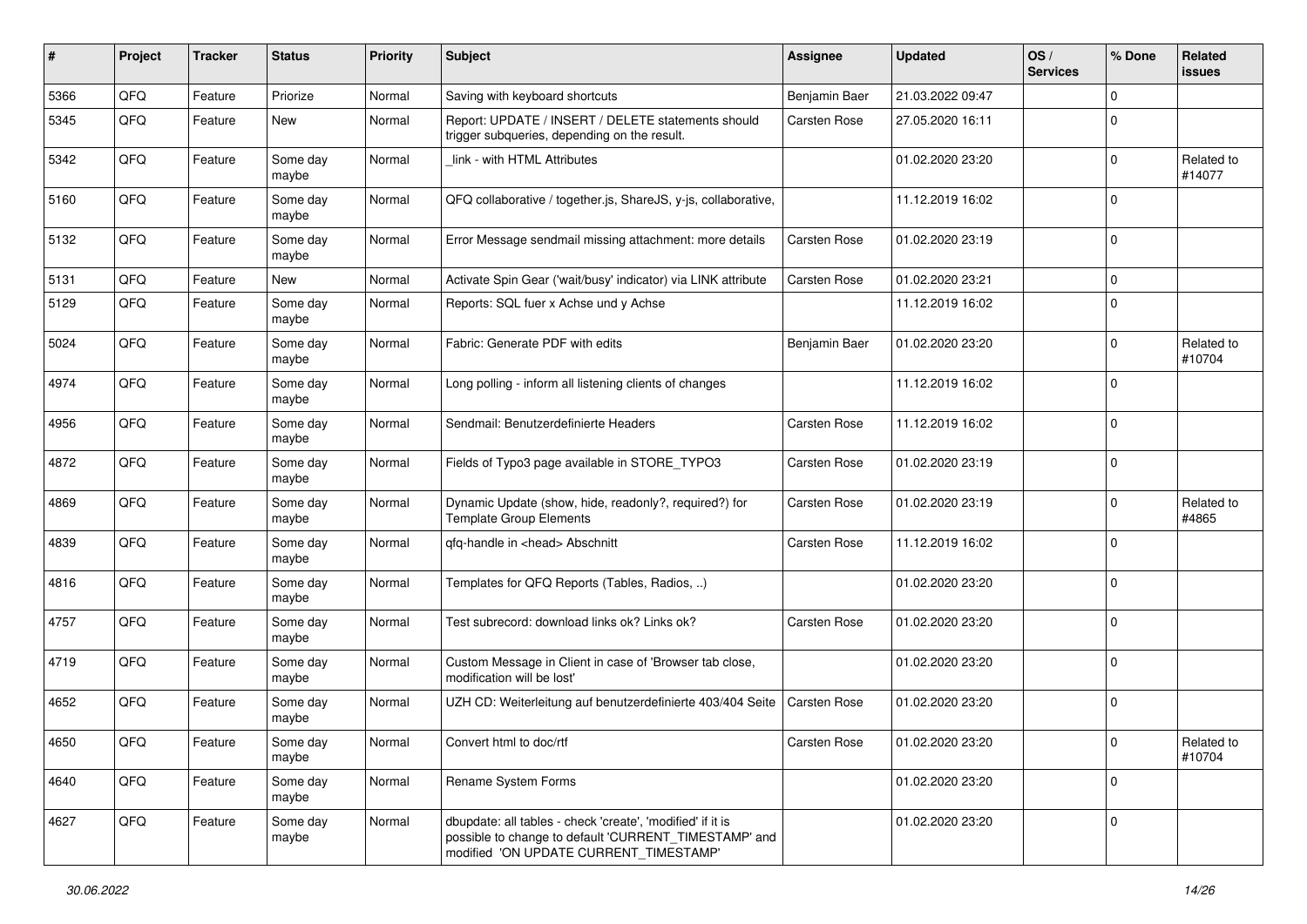| #    | Project | <b>Tracker</b> | <b>Status</b>     | <b>Priority</b> | <b>Subject</b>                                                                                                                                                | <b>Assignee</b> | <b>Updated</b>   | OS/<br><b>Services</b> | % Done      | Related<br>issues    |
|------|---------|----------------|-------------------|-----------------|---------------------------------------------------------------------------------------------------------------------------------------------------------------|-----------------|------------------|------------------------|-------------|----------------------|
| 5366 | QFQ     | Feature        | Priorize          | Normal          | Saving with keyboard shortcuts                                                                                                                                | Benjamin Baer   | 21.03.2022 09:47 |                        | $\mathbf 0$ |                      |
| 5345 | QFQ     | Feature        | New               | Normal          | Report: UPDATE / INSERT / DELETE statements should<br>trigger subqueries, depending on the result.                                                            | Carsten Rose    | 27.05.2020 16:11 |                        | $\Omega$    |                      |
| 5342 | QFQ     | Feature        | Some day<br>maybe | Normal          | link - with HTML Attributes                                                                                                                                   |                 | 01.02.2020 23:20 |                        | 0           | Related to<br>#14077 |
| 5160 | QFQ     | Feature        | Some day<br>maybe | Normal          | QFQ collaborative / together.js, ShareJS, y-js, collaborative,                                                                                                |                 | 11.12.2019 16:02 |                        | $\Omega$    |                      |
| 5132 | QFQ     | Feature        | Some day<br>maybe | Normal          | Error Message sendmail missing attachment: more details                                                                                                       | Carsten Rose    | 01.02.2020 23:19 |                        | $\mathbf 0$ |                      |
| 5131 | QFQ     | Feature        | New               | Normal          | Activate Spin Gear ('wait/busy' indicator) via LINK attribute                                                                                                 | Carsten Rose    | 01.02.2020 23:21 |                        | $\mathbf 0$ |                      |
| 5129 | QFQ     | Feature        | Some day<br>maybe | Normal          | Reports: SQL fuer x Achse und y Achse                                                                                                                         |                 | 11.12.2019 16:02 |                        | $\mathbf 0$ |                      |
| 5024 | QFQ     | Feature        | Some day<br>maybe | Normal          | Fabric: Generate PDF with edits                                                                                                                               | Benjamin Baer   | 01.02.2020 23:20 |                        | 0           | Related to<br>#10704 |
| 4974 | QFQ     | Feature        | Some day<br>maybe | Normal          | Long polling - inform all listening clients of changes                                                                                                        |                 | 11.12.2019 16:02 |                        | $\Omega$    |                      |
| 4956 | QFQ     | Feature        | Some day<br>maybe | Normal          | Sendmail: Benutzerdefinierte Headers                                                                                                                          | Carsten Rose    | 11.12.2019 16:02 |                        | $\mathbf 0$ |                      |
| 4872 | QFQ     | Feature        | Some day<br>maybe | Normal          | Fields of Typo3 page available in STORE_TYPO3                                                                                                                 | Carsten Rose    | 01.02.2020 23:19 |                        | $\mathbf 0$ |                      |
| 4869 | QFQ     | Feature        | Some day<br>maybe | Normal          | Dynamic Update (show, hide, readonly?, required?) for<br><b>Template Group Elements</b>                                                                       | Carsten Rose    | 01.02.2020 23:19 |                        | $\Omega$    | Related to<br>#4865  |
| 4839 | QFQ     | Feature        | Some day<br>maybe | Normal          | qfq-handle in <head> Abschnitt</head>                                                                                                                         | Carsten Rose    | 11.12.2019 16:02 |                        | $\Omega$    |                      |
| 4816 | QFQ     | Feature        | Some day<br>maybe | Normal          | Templates for QFQ Reports (Tables, Radios, )                                                                                                                  |                 | 01.02.2020 23:20 |                        | $\Omega$    |                      |
| 4757 | QFQ     | Feature        | Some day<br>maybe | Normal          | Test subrecord: download links ok? Links ok?                                                                                                                  | Carsten Rose    | 01.02.2020 23:20 |                        | $\Omega$    |                      |
| 4719 | QFQ     | Feature        | Some day<br>maybe | Normal          | Custom Message in Client in case of 'Browser tab close,<br>modification will be lost'                                                                         |                 | 01.02.2020 23:20 |                        | $\mathbf 0$ |                      |
| 4652 | QFQ     | Feature        | Some day<br>maybe | Normal          | UZH CD: Weiterleitung auf benutzerdefinierte 403/404 Seite                                                                                                    | Carsten Rose    | 01.02.2020 23:20 |                        | $\Omega$    |                      |
| 4650 | QFQ     | Feature        | Some day<br>maybe | Normal          | Convert html to doc/rtf                                                                                                                                       | Carsten Rose    | 01.02.2020 23:20 |                        | $\pmb{0}$   | Related to<br>#10704 |
| 4640 | QFQ     | Feature        | Some day<br>maybe | Normal          | Rename System Forms                                                                                                                                           |                 | 01.02.2020 23:20 |                        | $\mathbf 0$ |                      |
| 4627 | QFQ     | Feature        | Some day<br>maybe | Normal          | dbupdate: all tables - check 'create', 'modified' if it is<br>possible to change to default 'CURRENT_TIMESTAMP' and<br>modified 'ON UPDATE CURRENT_TIMESTAMP' |                 | 01.02.2020 23:20 |                        | $\mathbf 0$ |                      |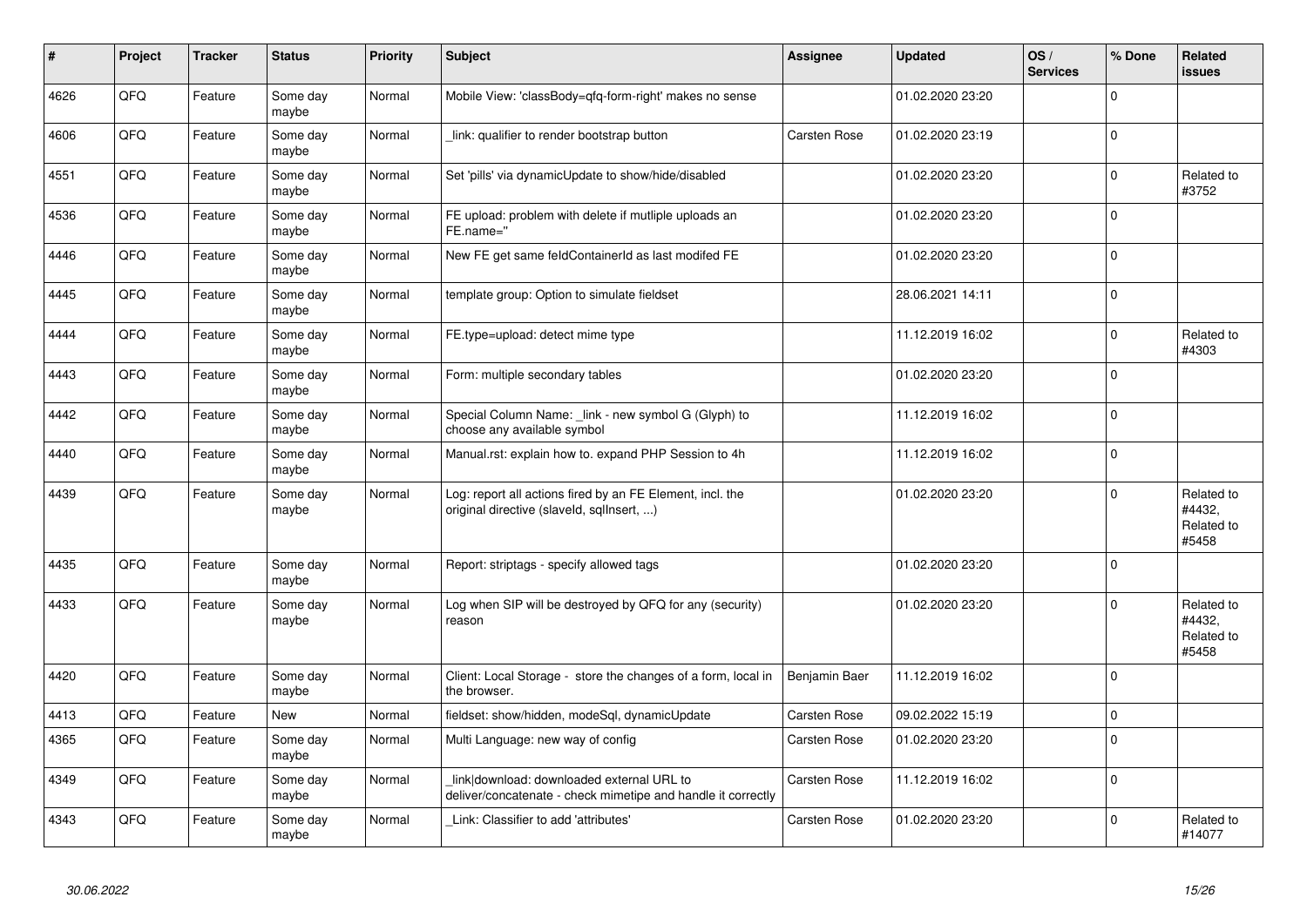| #    | Project | <b>Tracker</b> | <b>Status</b>     | <b>Priority</b> | <b>Subject</b>                                                                                            | Assignee      | <b>Updated</b>   | OS/<br><b>Services</b> | % Done              | Related<br>issues                           |
|------|---------|----------------|-------------------|-----------------|-----------------------------------------------------------------------------------------------------------|---------------|------------------|------------------------|---------------------|---------------------------------------------|
| 4626 | QFQ     | Feature        | Some day<br>maybe | Normal          | Mobile View: 'classBody=qfq-form-right' makes no sense                                                    |               | 01.02.2020 23:20 |                        | $\mathbf 0$         |                                             |
| 4606 | QFQ     | Feature        | Some day<br>maybe | Normal          | link: qualifier to render bootstrap button                                                                | Carsten Rose  | 01.02.2020 23:19 |                        | 0                   |                                             |
| 4551 | QFQ     | Feature        | Some day<br>maybe | Normal          | Set 'pills' via dynamicUpdate to show/hide/disabled                                                       |               | 01.02.2020 23:20 |                        | 0                   | Related to<br>#3752                         |
| 4536 | QFQ     | Feature        | Some day<br>maybe | Normal          | FE upload: problem with delete if mutliple uploads an<br>FE.name="                                        |               | 01.02.2020 23:20 |                        | $\mathbf 0$         |                                             |
| 4446 | QFQ     | Feature        | Some day<br>maybe | Normal          | New FE get same feldContainerId as last modifed FE                                                        |               | 01.02.2020 23:20 |                        | $\mathbf 0$         |                                             |
| 4445 | QFQ     | Feature        | Some day<br>maybe | Normal          | template group: Option to simulate fieldset                                                               |               | 28.06.2021 14:11 |                        | $\pmb{0}$           |                                             |
| 4444 | QFQ     | Feature        | Some day<br>maybe | Normal          | FE.type=upload: detect mime type                                                                          |               | 11.12.2019 16:02 |                        | $\mathbf 0$         | Related to<br>#4303                         |
| 4443 | QFQ     | Feature        | Some day<br>maybe | Normal          | Form: multiple secondary tables                                                                           |               | 01.02.2020 23:20 |                        | $\mathbf 0$         |                                             |
| 4442 | QFQ     | Feature        | Some day<br>maybe | Normal          | Special Column Name: _link - new symbol G (Glyph) to<br>choose any available symbol                       |               | 11.12.2019 16:02 |                        | 0                   |                                             |
| 4440 | QFQ     | Feature        | Some day<br>maybe | Normal          | Manual.rst: explain how to. expand PHP Session to 4h                                                      |               | 11.12.2019 16:02 |                        | $\mathbf 0$         |                                             |
| 4439 | QFQ     | Feature        | Some day<br>maybe | Normal          | Log: report all actions fired by an FE Element, incl. the<br>original directive (slaveld, sqllnsert, )    |               | 01.02.2020 23:20 |                        | $\Omega$            | Related to<br>#4432,<br>Related to<br>#5458 |
| 4435 | QFQ     | Feature        | Some day<br>maybe | Normal          | Report: striptags - specify allowed tags                                                                  |               | 01.02.2020 23:20 |                        | $\mathsf{O}\xspace$ |                                             |
| 4433 | QFQ     | Feature        | Some day<br>maybe | Normal          | Log when SIP will be destroyed by QFQ for any (security)<br>reason                                        |               | 01.02.2020 23:20 |                        | $\mathbf 0$         | Related to<br>#4432,<br>Related to<br>#5458 |
| 4420 | QFQ     | Feature        | Some day<br>maybe | Normal          | Client: Local Storage - store the changes of a form, local in<br>the browser.                             | Benjamin Baer | 11.12.2019 16:02 |                        | $\mathbf 0$         |                                             |
| 4413 | QFQ     | Feature        | <b>New</b>        | Normal          | fieldset: show/hidden, modeSql, dynamicUpdate                                                             | Carsten Rose  | 09.02.2022 15:19 |                        | $\mathbf 0$         |                                             |
| 4365 | QFQ     | Feature        | Some day<br>maybe | Normal          | Multi Language: new way of config                                                                         | Carsten Rose  | 01.02.2020 23:20 |                        | $\mathbf 0$         |                                             |
| 4349 | QFQ     | Feature        | Some day<br>maybe | Normal          | link download: downloaded external URL to<br>deliver/concatenate - check mimetipe and handle it correctly | Carsten Rose  | 11.12.2019 16:02 |                        | 0                   |                                             |
| 4343 | QFQ     | Feature        | Some day<br>maybe | Normal          | Link: Classifier to add 'attributes'                                                                      | Carsten Rose  | 01.02.2020 23:20 |                        | $\Omega$            | Related to<br>#14077                        |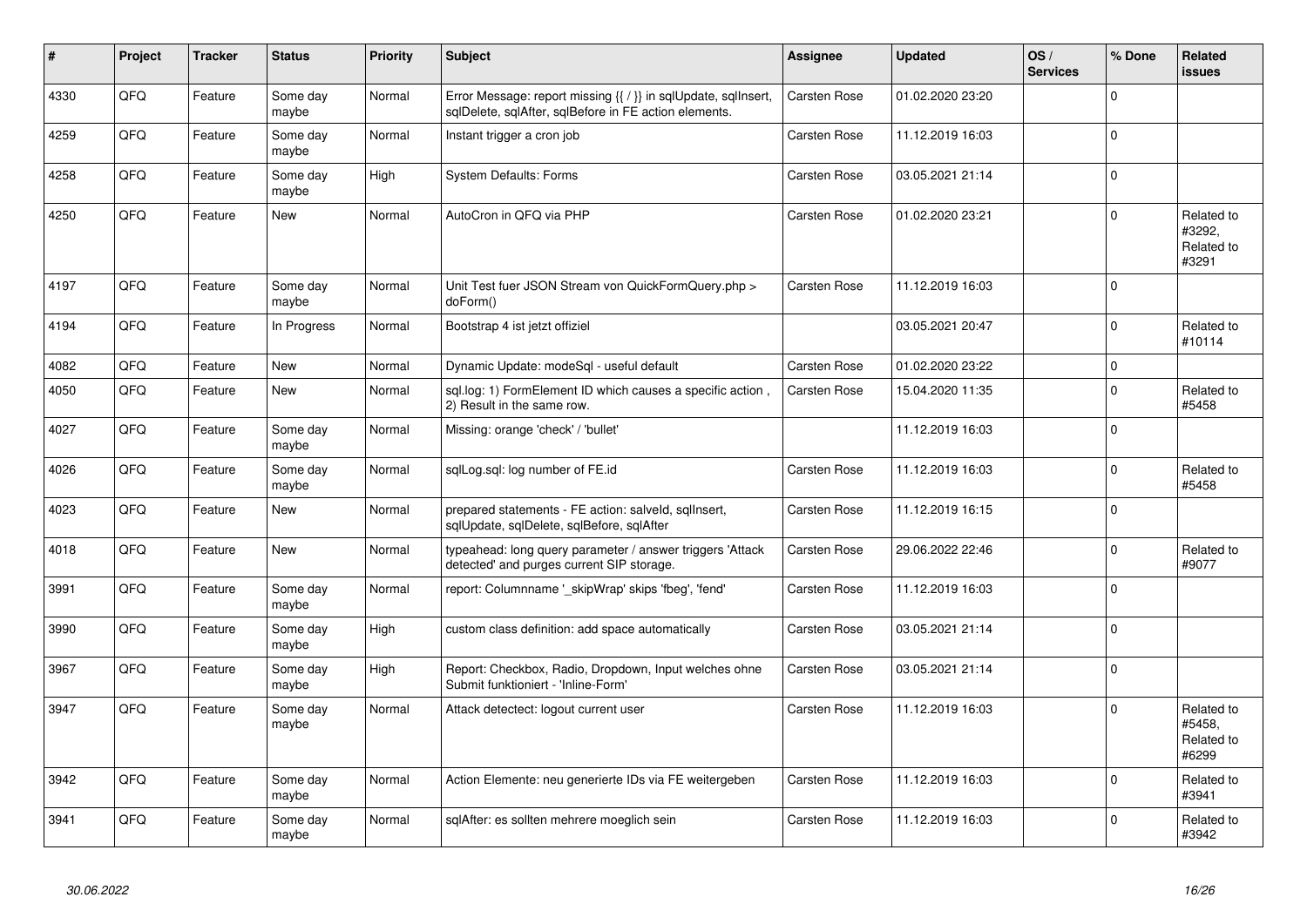| #    | Project | <b>Tracker</b> | <b>Status</b>     | <b>Priority</b> | <b>Subject</b>                                                                                                          | <b>Assignee</b> | <b>Updated</b>   | OS/<br><b>Services</b> | % Done      | Related<br><b>issues</b>                    |
|------|---------|----------------|-------------------|-----------------|-------------------------------------------------------------------------------------------------------------------------|-----------------|------------------|------------------------|-------------|---------------------------------------------|
| 4330 | QFQ     | Feature        | Some day<br>maybe | Normal          | Error Message: report missing {{ / }} in sqlUpdate, sqlInsert,<br>sqlDelete, sqlAfter, sqlBefore in FE action elements. | Carsten Rose    | 01.02.2020 23:20 |                        | $\mathbf 0$ |                                             |
| 4259 | QFQ     | Feature        | Some day<br>maybe | Normal          | Instant trigger a cron job                                                                                              | Carsten Rose    | 11.12.2019 16:03 |                        | $\mathbf 0$ |                                             |
| 4258 | QFQ     | Feature        | Some dav<br>maybe | High            | <b>System Defaults: Forms</b>                                                                                           | Carsten Rose    | 03.05.2021 21:14 |                        | $\mathbf 0$ |                                             |
| 4250 | QFQ     | Feature        | New               | Normal          | AutoCron in QFQ via PHP                                                                                                 | Carsten Rose    | 01.02.2020 23:21 |                        | $\Omega$    | Related to<br>#3292,<br>Related to<br>#3291 |
| 4197 | QFQ     | Feature        | Some day<br>maybe | Normal          | Unit Test fuer JSON Stream von QuickFormQuery.php ><br>doForm()                                                         | Carsten Rose    | 11.12.2019 16:03 |                        | $\mathbf 0$ |                                             |
| 4194 | QFQ     | Feature        | In Progress       | Normal          | Bootstrap 4 ist jetzt offiziel                                                                                          |                 | 03.05.2021 20:47 |                        | $\mathbf 0$ | Related to<br>#10114                        |
| 4082 | QFQ     | Feature        | New               | Normal          | Dynamic Update: modeSql - useful default                                                                                | Carsten Rose    | 01.02.2020 23:22 |                        | $\mathbf 0$ |                                             |
| 4050 | QFQ     | Feature        | New               | Normal          | sql.log: 1) FormElement ID which causes a specific action,<br>2) Result in the same row.                                | Carsten Rose    | 15.04.2020 11:35 |                        | $\Omega$    | Related to<br>#5458                         |
| 4027 | QFQ     | Feature        | Some day<br>maybe | Normal          | Missing: orange 'check' / 'bullet'                                                                                      |                 | 11.12.2019 16:03 |                        | $\mathbf 0$ |                                             |
| 4026 | QFQ     | Feature        | Some day<br>maybe | Normal          | sqlLog.sql: log number of FE.id                                                                                         | Carsten Rose    | 11.12.2019 16:03 |                        | $\mathbf 0$ | Related to<br>#5458                         |
| 4023 | QFQ     | Feature        | <b>New</b>        | Normal          | prepared statements - FE action: salveld, sqllnsert,<br>sqlUpdate, sqlDelete, sqlBefore, sqlAfter                       | Carsten Rose    | 11.12.2019 16:15 |                        | $\mathbf 0$ |                                             |
| 4018 | QFQ     | Feature        | <b>New</b>        | Normal          | typeahead: long query parameter / answer triggers 'Attack<br>detected' and purges current SIP storage.                  | Carsten Rose    | 29.06.2022 22:46 |                        | $\Omega$    | Related to<br>#9077                         |
| 3991 | QFQ     | Feature        | Some day<br>maybe | Normal          | report: Columnname '_skipWrap' skips 'fbeg', 'fend'                                                                     | Carsten Rose    | 11.12.2019 16:03 |                        | $\Omega$    |                                             |
| 3990 | QFQ     | Feature        | Some day<br>maybe | High            | custom class definition: add space automatically                                                                        | Carsten Rose    | 03.05.2021 21:14 |                        | $\mathbf 0$ |                                             |
| 3967 | QFQ     | Feature        | Some day<br>maybe | High            | Report: Checkbox, Radio, Dropdown, Input welches ohne<br>Submit funktioniert - 'Inline-Form'                            | Carsten Rose    | 03.05.2021 21:14 |                        | $\Omega$    |                                             |
| 3947 | QFQ     | Feature        | Some day<br>maybe | Normal          | Attack detectect: logout current user                                                                                   | Carsten Rose    | 11.12.2019 16:03 |                        | $\Omega$    | Related to<br>#5458.<br>Related to<br>#6299 |
| 3942 | QFQ     | Feature        | Some day<br>maybe | Normal          | Action Elemente: neu generierte IDs via FE weitergeben                                                                  | Carsten Rose    | 11.12.2019 16:03 |                        | $\mathbf 0$ | Related to<br>#3941                         |
| 3941 | QFQ     | Feature        | Some dav<br>maybe | Normal          | sqlAfter: es sollten mehrere moeglich sein                                                                              | Carsten Rose    | 11.12.2019 16:03 |                        | $\Omega$    | Related to<br>#3942                         |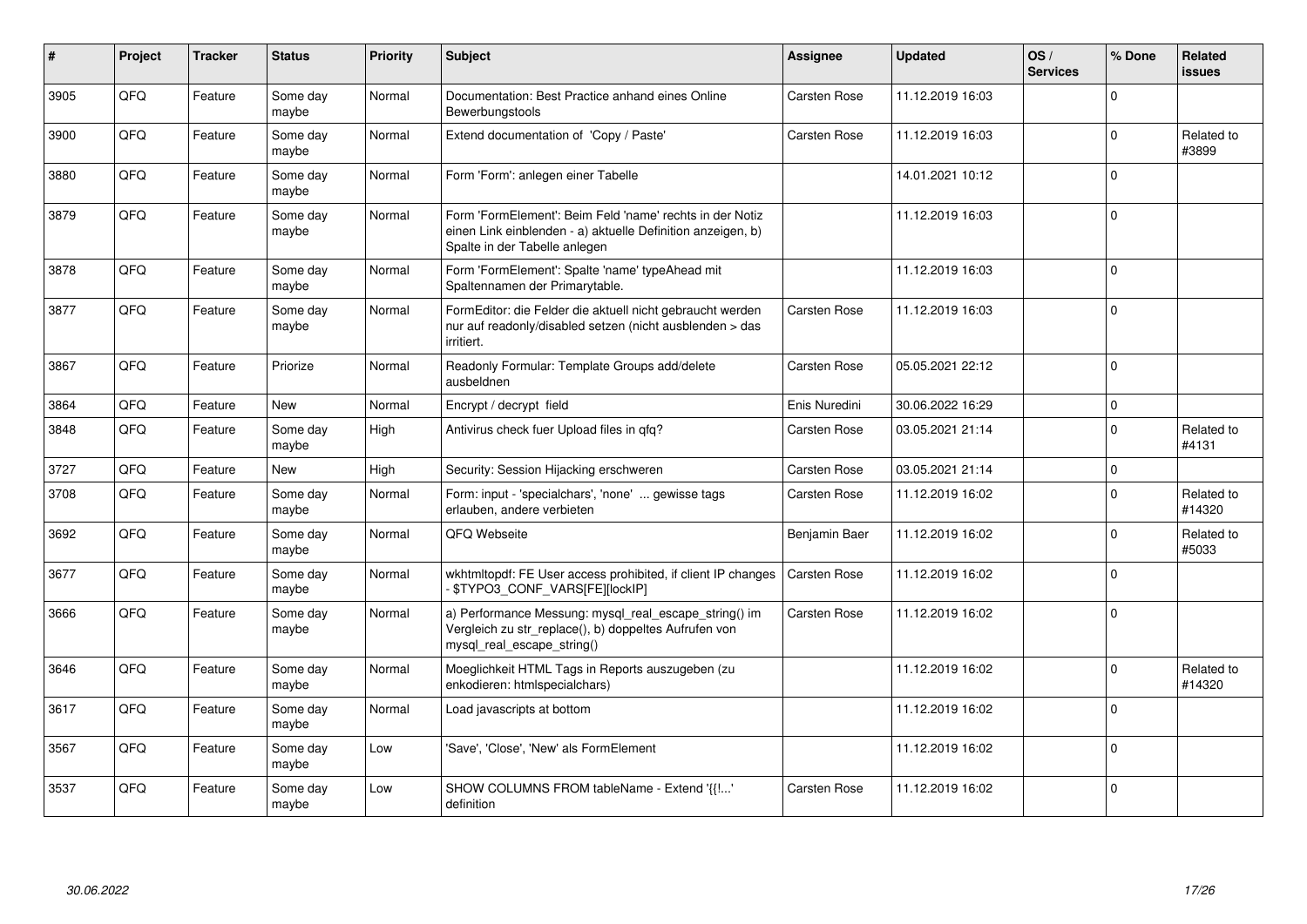| #    | Project | <b>Tracker</b> | <b>Status</b>     | <b>Priority</b> | <b>Subject</b>                                                                                                                                           | Assignee            | <b>Updated</b>   | OS/<br><b>Services</b> | % Done      | Related<br>issues    |
|------|---------|----------------|-------------------|-----------------|----------------------------------------------------------------------------------------------------------------------------------------------------------|---------------------|------------------|------------------------|-------------|----------------------|
| 3905 | QFQ     | Feature        | Some day<br>maybe | Normal          | Documentation: Best Practice anhand eines Online<br>Bewerbungstools                                                                                      | Carsten Rose        | 11.12.2019 16:03 |                        | $\Omega$    |                      |
| 3900 | QFQ     | Feature        | Some day<br>maybe | Normal          | Extend documentation of 'Copy / Paste'                                                                                                                   | Carsten Rose        | 11.12.2019 16:03 |                        | $\Omega$    | Related to<br>#3899  |
| 3880 | QFQ     | Feature        | Some day<br>maybe | Normal          | Form 'Form': anlegen einer Tabelle                                                                                                                       |                     | 14.01.2021 10:12 |                        | $\Omega$    |                      |
| 3879 | QFQ     | Feature        | Some dav<br>maybe | Normal          | Form 'FormElement': Beim Feld 'name' rechts in der Notiz<br>einen Link einblenden - a) aktuelle Definition anzeigen, b)<br>Spalte in der Tabelle anlegen |                     | 11.12.2019 16:03 |                        | $\Omega$    |                      |
| 3878 | QFQ     | Feature        | Some day<br>maybe | Normal          | Form 'FormElement': Spalte 'name' typeAhead mit<br>Spaltennamen der Primarytable.                                                                        |                     | 11.12.2019 16:03 |                        | $\mathbf 0$ |                      |
| 3877 | QFQ     | Feature        | Some day<br>maybe | Normal          | FormEditor: die Felder die aktuell nicht gebraucht werden<br>nur auf readonly/disabled setzen (nicht ausblenden > das<br>irritiert.                      | Carsten Rose        | 11.12.2019 16:03 |                        | $\mathbf 0$ |                      |
| 3867 | QFQ     | Feature        | Priorize          | Normal          | Readonly Formular: Template Groups add/delete<br>ausbeldnen                                                                                              | <b>Carsten Rose</b> | 05.05.2021 22:12 |                        | $\Omega$    |                      |
| 3864 | QFQ     | Feature        | <b>New</b>        | Normal          | Encrypt / decrypt field                                                                                                                                  | Enis Nuredini       | 30.06.2022 16:29 |                        | $\Omega$    |                      |
| 3848 | QFQ     | Feature        | Some day<br>maybe | High            | Antivirus check fuer Upload files in qfq?                                                                                                                | Carsten Rose        | 03.05.2021 21:14 |                        | $\Omega$    | Related to<br>#4131  |
| 3727 | QFQ     | Feature        | New               | High            | Security: Session Hijacking erschweren                                                                                                                   | <b>Carsten Rose</b> | 03.05.2021 21:14 |                        | $\mathbf 0$ |                      |
| 3708 | QFQ     | Feature        | Some day<br>maybe | Normal          | Form: input - 'specialchars', 'none'  gewisse tags<br>erlauben, andere verbieten                                                                         | Carsten Rose        | 11.12.2019 16:02 |                        | $\Omega$    | Related to<br>#14320 |
| 3692 | QFQ     | Feature        | Some day<br>maybe | Normal          | QFQ Webseite                                                                                                                                             | Benjamin Baer       | 11.12.2019 16:02 |                        | $\mathbf 0$ | Related to<br>#5033  |
| 3677 | QFQ     | Feature        | Some day<br>maybe | Normal          | wkhtmltopdf: FE User access prohibited, if client IP changes<br>- \$TYPO3_CONF_VARS[FE][lockIP]                                                          | Carsten Rose        | 11.12.2019 16:02 |                        | $\Omega$    |                      |
| 3666 | QFQ     | Feature        | Some dav<br>maybe | Normal          | a) Performance Messung: mysql_real_escape_string() im<br>Vergleich zu str_replace(), b) doppeltes Aufrufen von<br>mysql_real_escape_string()             | <b>Carsten Rose</b> | 11.12.2019 16:02 |                        | $\Omega$    |                      |
| 3646 | QFQ     | Feature        | Some day<br>maybe | Normal          | Moeglichkeit HTML Tags in Reports auszugeben (zu<br>enkodieren: htmlspecialchars)                                                                        |                     | 11.12.2019 16:02 |                        | $\mathbf 0$ | Related to<br>#14320 |
| 3617 | QFQ     | Feature        | Some day<br>maybe | Normal          | Load javascripts at bottom                                                                                                                               |                     | 11.12.2019 16:02 |                        | $\Omega$    |                      |
| 3567 | QFQ     | Feature        | Some day<br>maybe | Low             | Save', 'Close', 'New' als FormElement                                                                                                                    |                     | 11.12.2019 16:02 |                        | $\Omega$    |                      |
| 3537 | QFQ     | Feature        | Some day<br>maybe | Low             | SHOW COLUMNS FROM tableName - Extend '{{!'<br>definition                                                                                                 | Carsten Rose        | 11.12.2019 16:02 |                        | $\mathbf 0$ |                      |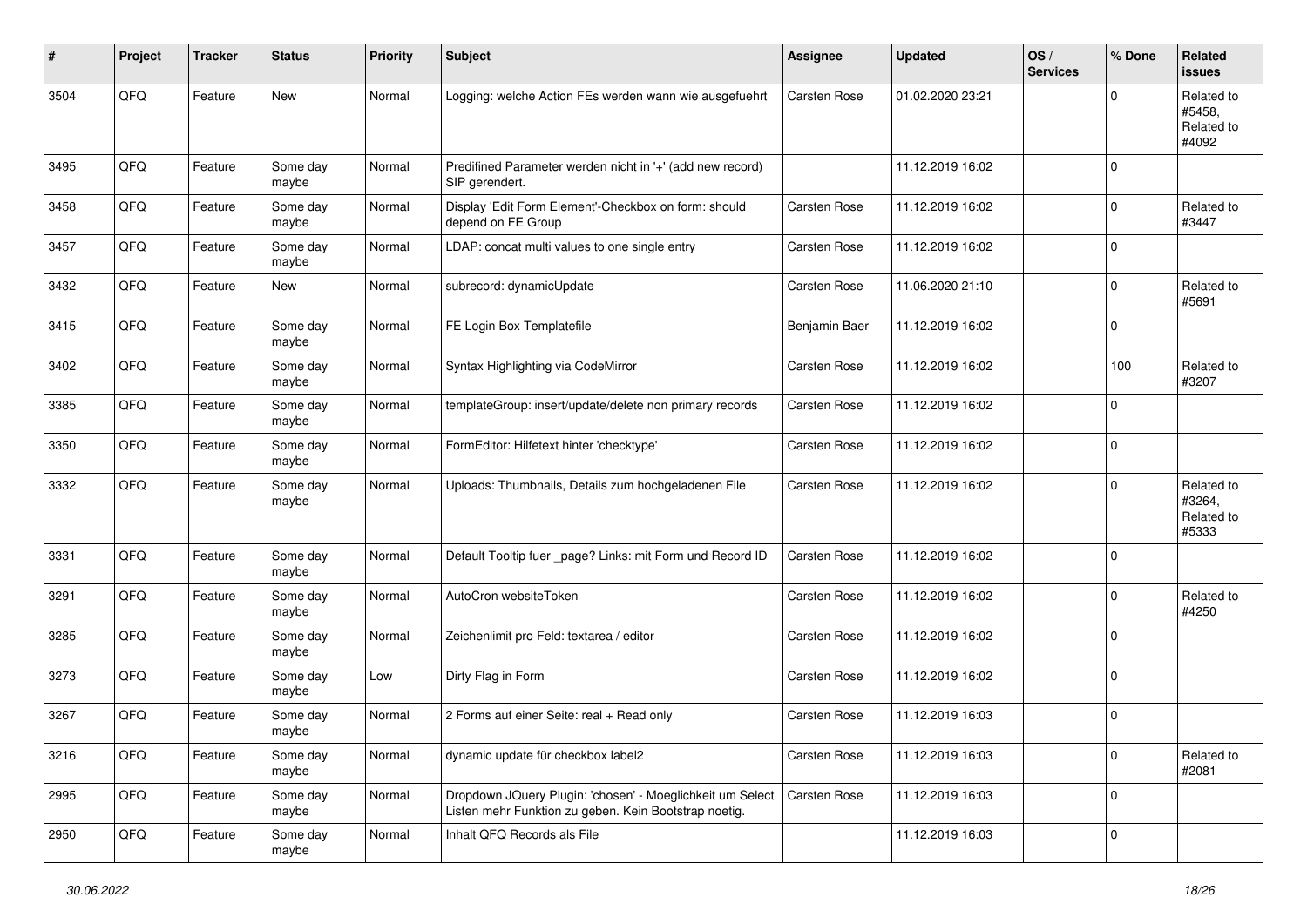| #    | Project | <b>Tracker</b> | <b>Status</b>     | <b>Priority</b> | <b>Subject</b>                                                                                                     | <b>Assignee</b> | <b>Updated</b>   | OS/<br><b>Services</b> | % Done      | Related<br>issues                           |
|------|---------|----------------|-------------------|-----------------|--------------------------------------------------------------------------------------------------------------------|-----------------|------------------|------------------------|-------------|---------------------------------------------|
| 3504 | QFQ     | Feature        | New               | Normal          | Logging: welche Action FEs werden wann wie ausgefuehrt                                                             | Carsten Rose    | 01.02.2020 23:21 |                        | $\Omega$    | Related to<br>#5458.<br>Related to<br>#4092 |
| 3495 | QFQ     | Feature        | Some day<br>maybe | Normal          | Predifined Parameter werden nicht in '+' (add new record)<br>SIP gerendert.                                        |                 | 11.12.2019 16:02 |                        | $\mathbf 0$ |                                             |
| 3458 | QFQ     | Feature        | Some day<br>maybe | Normal          | Display 'Edit Form Element'-Checkbox on form: should<br>depend on FE Group                                         | Carsten Rose    | 11.12.2019 16:02 |                        | $\mathbf 0$ | Related to<br>#3447                         |
| 3457 | QFQ     | Feature        | Some day<br>maybe | Normal          | LDAP: concat multi values to one single entry                                                                      | Carsten Rose    | 11.12.2019 16:02 |                        | $\mathbf 0$ |                                             |
| 3432 | QFQ     | Feature        | New               | Normal          | subrecord: dynamicUpdate                                                                                           | Carsten Rose    | 11.06.2020 21:10 |                        | 0           | Related to<br>#5691                         |
| 3415 | QFQ     | Feature        | Some day<br>maybe | Normal          | FE Login Box Templatefile                                                                                          | Benjamin Baer   | 11.12.2019 16:02 |                        | $\mathbf 0$ |                                             |
| 3402 | QFQ     | Feature        | Some day<br>maybe | Normal          | Syntax Highlighting via CodeMirror                                                                                 | Carsten Rose    | 11.12.2019 16:02 |                        | 100         | Related to<br>#3207                         |
| 3385 | QFQ     | Feature        | Some day<br>maybe | Normal          | templateGroup: insert/update/delete non primary records                                                            | Carsten Rose    | 11.12.2019 16:02 |                        | $\Omega$    |                                             |
| 3350 | QFQ     | Feature        | Some day<br>maybe | Normal          | FormEditor: Hilfetext hinter 'checktype'                                                                           | Carsten Rose    | 11.12.2019 16:02 |                        | $\mathbf 0$ |                                             |
| 3332 | QFQ     | Feature        | Some day<br>maybe | Normal          | Uploads: Thumbnails, Details zum hochgeladenen File                                                                | Carsten Rose    | 11.12.2019 16:02 |                        | $\mathbf 0$ | Related to<br>#3264,<br>Related to<br>#5333 |
| 3331 | QFQ     | Feature        | Some day<br>maybe | Normal          | Default Tooltip fuer _page? Links: mit Form und Record ID                                                          | Carsten Rose    | 11.12.2019 16:02 |                        | $\Omega$    |                                             |
| 3291 | QFQ     | Feature        | Some day<br>maybe | Normal          | AutoCron websiteToken                                                                                              | Carsten Rose    | 11.12.2019 16:02 |                        | $\mathbf 0$ | Related to<br>#4250                         |
| 3285 | QFQ     | Feature        | Some day<br>maybe | Normal          | Zeichenlimit pro Feld: textarea / editor                                                                           | Carsten Rose    | 11.12.2019 16:02 |                        | $\mathbf 0$ |                                             |
| 3273 | QFQ     | Feature        | Some day<br>maybe | Low             | Dirty Flag in Form                                                                                                 | Carsten Rose    | 11.12.2019 16:02 |                        | $\mathbf 0$ |                                             |
| 3267 | QFQ     | Feature        | Some day<br>maybe | Normal          | 2 Forms auf einer Seite: real + Read only                                                                          | Carsten Rose    | 11.12.2019 16:03 |                        | $\mathbf 0$ |                                             |
| 3216 | QFQ     | Feature        | Some day<br>maybe | Normal          | dynamic update für checkbox label2                                                                                 | Carsten Rose    | 11.12.2019 16:03 |                        | $\mathbf 0$ | Related to<br>#2081                         |
| 2995 | QFQ     | Feature        | Some day<br>maybe | Normal          | Dropdown JQuery Plugin: 'chosen' - Moeglichkeit um Select<br>Listen mehr Funktion zu geben. Kein Bootstrap noetig. | Carsten Rose    | 11.12.2019 16:03 |                        | $\mathbf 0$ |                                             |
| 2950 | QFQ     | Feature        | Some day<br>maybe | Normal          | Inhalt QFQ Records als File                                                                                        |                 | 11.12.2019 16:03 |                        | $\mathbf 0$ |                                             |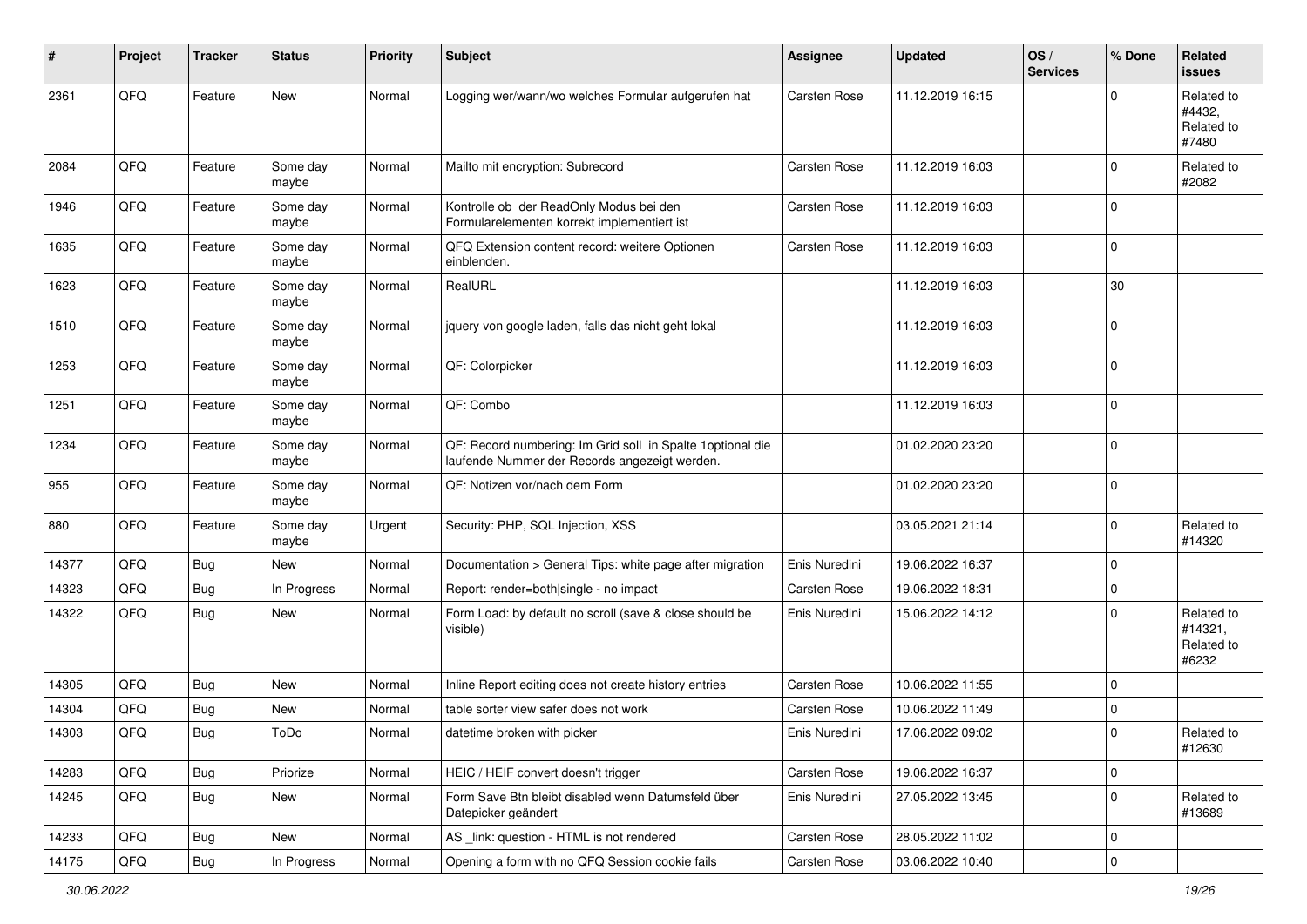| #     | Project | <b>Tracker</b> | <b>Status</b>     | <b>Priority</b> | <b>Subject</b>                                                                                               | <b>Assignee</b> | <b>Updated</b>   | OS/<br><b>Services</b> | % Done      | Related<br><b>issues</b>                     |
|-------|---------|----------------|-------------------|-----------------|--------------------------------------------------------------------------------------------------------------|-----------------|------------------|------------------------|-------------|----------------------------------------------|
| 2361  | QFQ     | Feature        | <b>New</b>        | Normal          | Logging wer/wann/wo welches Formular aufgerufen hat                                                          | Carsten Rose    | 11.12.2019 16:15 |                        | $\Omega$    | Related to<br>#4432,<br>Related to<br>#7480  |
| 2084  | QFQ     | Feature        | Some day<br>maybe | Normal          | Mailto mit encryption: Subrecord                                                                             | Carsten Rose    | 11.12.2019 16:03 |                        | $\mathbf 0$ | Related to<br>#2082                          |
| 1946  | QFQ     | Feature        | Some day<br>maybe | Normal          | Kontrolle ob der ReadOnly Modus bei den<br>Formularelementen korrekt implementiert ist                       | Carsten Rose    | 11.12.2019 16:03 |                        | $\mathbf 0$ |                                              |
| 1635  | QFQ     | Feature        | Some day<br>maybe | Normal          | QFQ Extension content record: weitere Optionen<br>einblenden.                                                | Carsten Rose    | 11.12.2019 16:03 |                        | $\mathbf 0$ |                                              |
| 1623  | QFQ     | Feature        | Some day<br>maybe | Normal          | RealURL                                                                                                      |                 | 11.12.2019 16:03 |                        | 30          |                                              |
| 1510  | QFQ     | Feature        | Some day<br>maybe | Normal          | jquery von google laden, falls das nicht geht lokal                                                          |                 | 11.12.2019 16:03 |                        | $\mathbf 0$ |                                              |
| 1253  | QFQ     | Feature        | Some day<br>maybe | Normal          | QF: Colorpicker                                                                                              |                 | 11.12.2019 16:03 |                        | $\mathbf 0$ |                                              |
| 1251  | QFQ     | Feature        | Some day<br>maybe | Normal          | QF: Combo                                                                                                    |                 | 11.12.2019 16:03 |                        | $\mathbf 0$ |                                              |
| 1234  | QFQ     | Feature        | Some day<br>maybe | Normal          | QF: Record numbering: Im Grid soll in Spalte 1 optional die<br>laufende Nummer der Records angezeigt werden. |                 | 01.02.2020 23:20 |                        | $\mathbf 0$ |                                              |
| 955   | QFQ     | Feature        | Some day<br>maybe | Normal          | QF: Notizen vor/nach dem Form                                                                                |                 | 01.02.2020 23:20 |                        | $\mathbf 0$ |                                              |
| 880   | QFQ     | Feature        | Some day<br>maybe | Urgent          | Security: PHP, SQL Injection, XSS                                                                            |                 | 03.05.2021 21:14 |                        | $\mathbf 0$ | Related to<br>#14320                         |
| 14377 | QFQ     | <b>Bug</b>     | New               | Normal          | Documentation > General Tips: white page after migration                                                     | Enis Nuredini   | 19.06.2022 16:37 |                        | 0           |                                              |
| 14323 | QFQ     | <b>Bug</b>     | In Progress       | Normal          | Report: render=both single - no impact                                                                       | Carsten Rose    | 19.06.2022 18:31 |                        | $\mathbf 0$ |                                              |
| 14322 | QFQ     | <b>Bug</b>     | New               | Normal          | Form Load: by default no scroll (save & close should be<br>visible)                                          | Enis Nuredini   | 15.06.2022 14:12 |                        | $\mathbf 0$ | Related to<br>#14321,<br>Related to<br>#6232 |
| 14305 | QFQ     | Bug            | New               | Normal          | Inline Report editing does not create history entries                                                        | Carsten Rose    | 10.06.2022 11:55 |                        | $\mathbf 0$ |                                              |
| 14304 | QFQ     | <b>Bug</b>     | New               | Normal          | table sorter view safer does not work                                                                        | Carsten Rose    | 10.06.2022 11:49 |                        | $\mathbf 0$ |                                              |
| 14303 | QFQ     | Bug            | ToDo              | Normal          | datetime broken with picker                                                                                  | Enis Nuredini   | 17.06.2022 09:02 |                        | $\Omega$    | Related to<br>#12630                         |
| 14283 | QFG     | <b>Bug</b>     | Priorize          | Normal          | HEIC / HEIF convert doesn't trigger                                                                          | Carsten Rose    | 19.06.2022 16:37 |                        | 0           |                                              |
| 14245 | QFQ     | <b>Bug</b>     | New               | Normal          | Form Save Btn bleibt disabled wenn Datumsfeld über<br>Datepicker geändert                                    | Enis Nuredini   | 27.05.2022 13:45 |                        | $\mathbf 0$ | Related to<br>#13689                         |
| 14233 | QFQ     | <b>Bug</b>     | New               | Normal          | AS _link: question - HTML is not rendered                                                                    | Carsten Rose    | 28.05.2022 11:02 |                        | 0           |                                              |
| 14175 | QFQ     | Bug            | In Progress       | Normal          | Opening a form with no QFQ Session cookie fails                                                              | Carsten Rose    | 03.06.2022 10:40 |                        | 0           |                                              |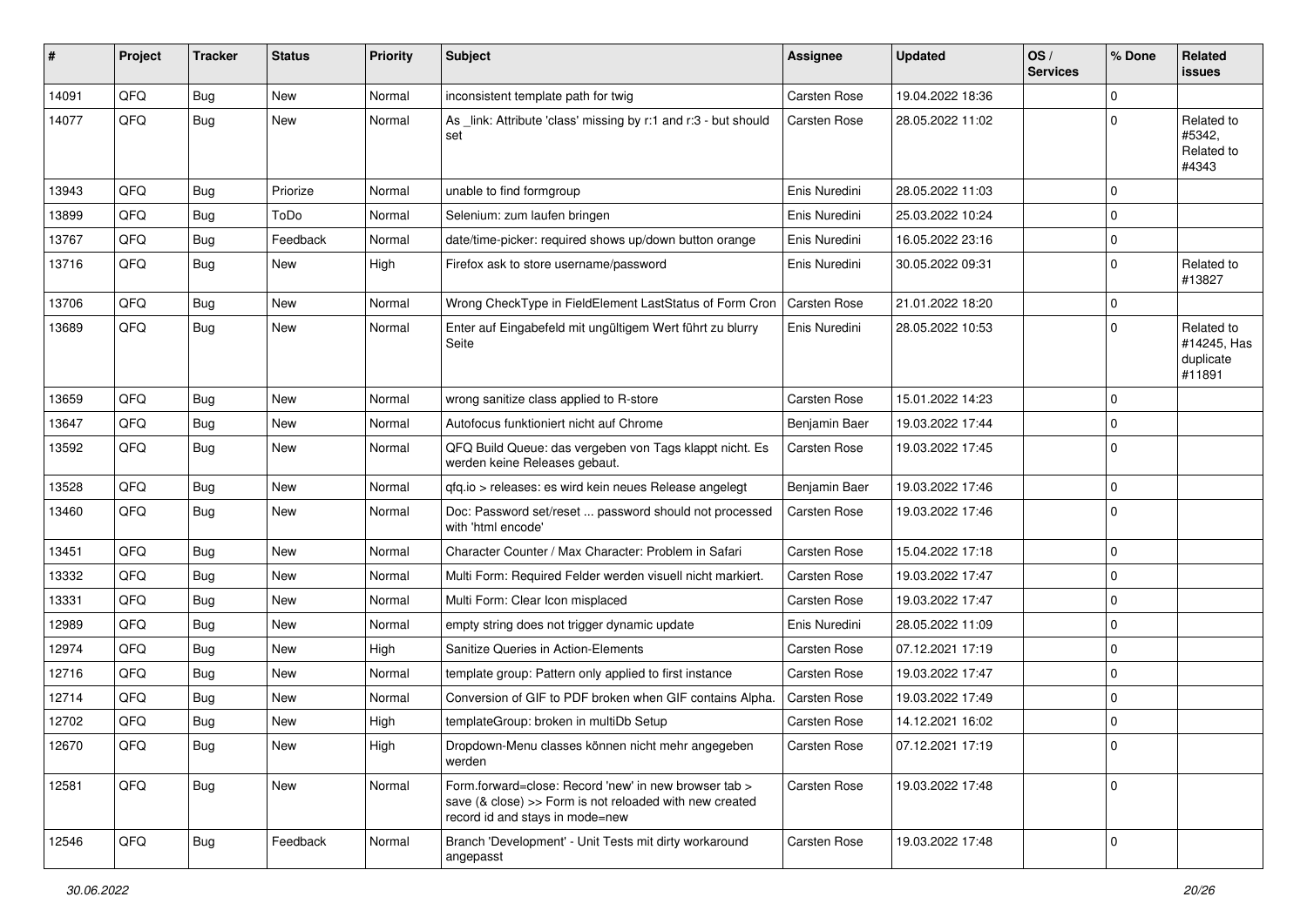| $\sharp$ | Project | <b>Tracker</b> | <b>Status</b> | <b>Priority</b> | <b>Subject</b>                                                                                                                                      | <b>Assignee</b>     | <b>Updated</b>   | OS/<br><b>Services</b> | % Done      | <b>Related</b><br>issues                         |
|----------|---------|----------------|---------------|-----------------|-----------------------------------------------------------------------------------------------------------------------------------------------------|---------------------|------------------|------------------------|-------------|--------------------------------------------------|
| 14091    | QFQ     | <b>Bug</b>     | <b>New</b>    | Normal          | inconsistent template path for twig                                                                                                                 | Carsten Rose        | 19.04.2022 18:36 |                        | 0           |                                                  |
| 14077    | QFQ     | Bug            | <b>New</b>    | Normal          | As _link: Attribute 'class' missing by r:1 and r:3 - but should<br>set                                                                              | Carsten Rose        | 28.05.2022 11:02 |                        | 0           | Related to<br>#5342,<br>Related to<br>#4343      |
| 13943    | QFQ     | <b>Bug</b>     | Priorize      | Normal          | unable to find formgroup                                                                                                                            | Enis Nuredini       | 28.05.2022 11:03 |                        | 0           |                                                  |
| 13899    | QFQ     | <b>Bug</b>     | ToDo          | Normal          | Selenium: zum laufen bringen                                                                                                                        | Enis Nuredini       | 25.03.2022 10:24 |                        | 0           |                                                  |
| 13767    | QFQ     | <b>Bug</b>     | Feedback      | Normal          | date/time-picker: required shows up/down button orange                                                                                              | Enis Nuredini       | 16.05.2022 23:16 |                        | 0           |                                                  |
| 13716    | QFQ     | Bug            | New           | High            | Firefox ask to store username/password                                                                                                              | Enis Nuredini       | 30.05.2022 09:31 |                        | $\mathbf 0$ | Related to<br>#13827                             |
| 13706    | QFQ     | Bug            | New           | Normal          | Wrong CheckType in FieldElement LastStatus of Form Cron                                                                                             | Carsten Rose        | 21.01.2022 18:20 |                        | 0           |                                                  |
| 13689    | QFQ     | <b>Bug</b>     | New           | Normal          | Enter auf Eingabefeld mit ungültigem Wert führt zu blurry<br>Seite                                                                                  | Enis Nuredini       | 28.05.2022 10:53 |                        | 0           | Related to<br>#14245, Has<br>duplicate<br>#11891 |
| 13659    | QFQ     | <b>Bug</b>     | <b>New</b>    | Normal          | wrong sanitize class applied to R-store                                                                                                             | Carsten Rose        | 15.01.2022 14:23 |                        | 0           |                                                  |
| 13647    | QFQ     | <b>Bug</b>     | <b>New</b>    | Normal          | Autofocus funktioniert nicht auf Chrome                                                                                                             | Benjamin Baer       | 19.03.2022 17:44 |                        | 0           |                                                  |
| 13592    | QFQ     | Bug            | <b>New</b>    | Normal          | QFQ Build Queue: das vergeben von Tags klappt nicht. Es<br>werden keine Releases gebaut.                                                            | Carsten Rose        | 19.03.2022 17:45 |                        | $\mathbf 0$ |                                                  |
| 13528    | QFQ     | <b>Bug</b>     | <b>New</b>    | Normal          | qfq.io > releases: es wird kein neues Release angelegt                                                                                              | Benjamin Baer       | 19.03.2022 17:46 |                        | 0           |                                                  |
| 13460    | QFQ     | Bug            | <b>New</b>    | Normal          | Doc: Password set/reset  password should not processed<br>with 'html encode'                                                                        | Carsten Rose        | 19.03.2022 17:46 |                        | $\Omega$    |                                                  |
| 13451    | QFQ     | <b>Bug</b>     | New           | Normal          | Character Counter / Max Character: Problem in Safari                                                                                                | Carsten Rose        | 15.04.2022 17:18 |                        | 0           |                                                  |
| 13332    | QFQ     | <b>Bug</b>     | New           | Normal          | Multi Form: Required Felder werden visuell nicht markiert.                                                                                          | Carsten Rose        | 19.03.2022 17:47 |                        | 0           |                                                  |
| 13331    | QFQ     | <b>Bug</b>     | <b>New</b>    | Normal          | Multi Form: Clear Icon misplaced                                                                                                                    | Carsten Rose        | 19.03.2022 17:47 |                        | $\Omega$    |                                                  |
| 12989    | QFQ     | <b>Bug</b>     | <b>New</b>    | Normal          | empty string does not trigger dynamic update                                                                                                        | Enis Nuredini       | 28.05.2022 11:09 |                        | $\mathbf 0$ |                                                  |
| 12974    | QFQ     | <b>Bug</b>     | <b>New</b>    | High            | Sanitize Queries in Action-Elements                                                                                                                 | Carsten Rose        | 07.12.2021 17:19 |                        | 0           |                                                  |
| 12716    | QFQ     | <b>Bug</b>     | New           | Normal          | template group: Pattern only applied to first instance                                                                                              | Carsten Rose        | 19.03.2022 17:47 |                        | $\mathbf 0$ |                                                  |
| 12714    | QFQ     | <b>Bug</b>     | <b>New</b>    | Normal          | Conversion of GIF to PDF broken when GIF contains Alpha.                                                                                            | Carsten Rose        | 19.03.2022 17:49 |                        | 0           |                                                  |
| 12702    | QFQ     | Bug            | New           | High            | templateGroup: broken in multiDb Setup                                                                                                              | Carsten Rose        | 14.12.2021 16:02 |                        | $\mathbf 0$ |                                                  |
| 12670    | QFQ     | Bug            | New           | High            | Dropdown-Menu classes können nicht mehr angegeben<br>werden                                                                                         | <b>Carsten Rose</b> | 07.12.2021 17:19 |                        | 0           |                                                  |
| 12581    | QFQ     | Bug            | New           | Normal          | Form.forward=close: Record 'new' in new browser tab ><br>save (& close) >> Form is not reloaded with new created<br>record id and stays in mode=new | Carsten Rose        | 19.03.2022 17:48 |                        | $\mathbf 0$ |                                                  |
| 12546    | QFQ     | Bug            | Feedback      | Normal          | Branch 'Development' - Unit Tests mit dirty workaround<br>angepasst                                                                                 | Carsten Rose        | 19.03.2022 17:48 |                        | 0           |                                                  |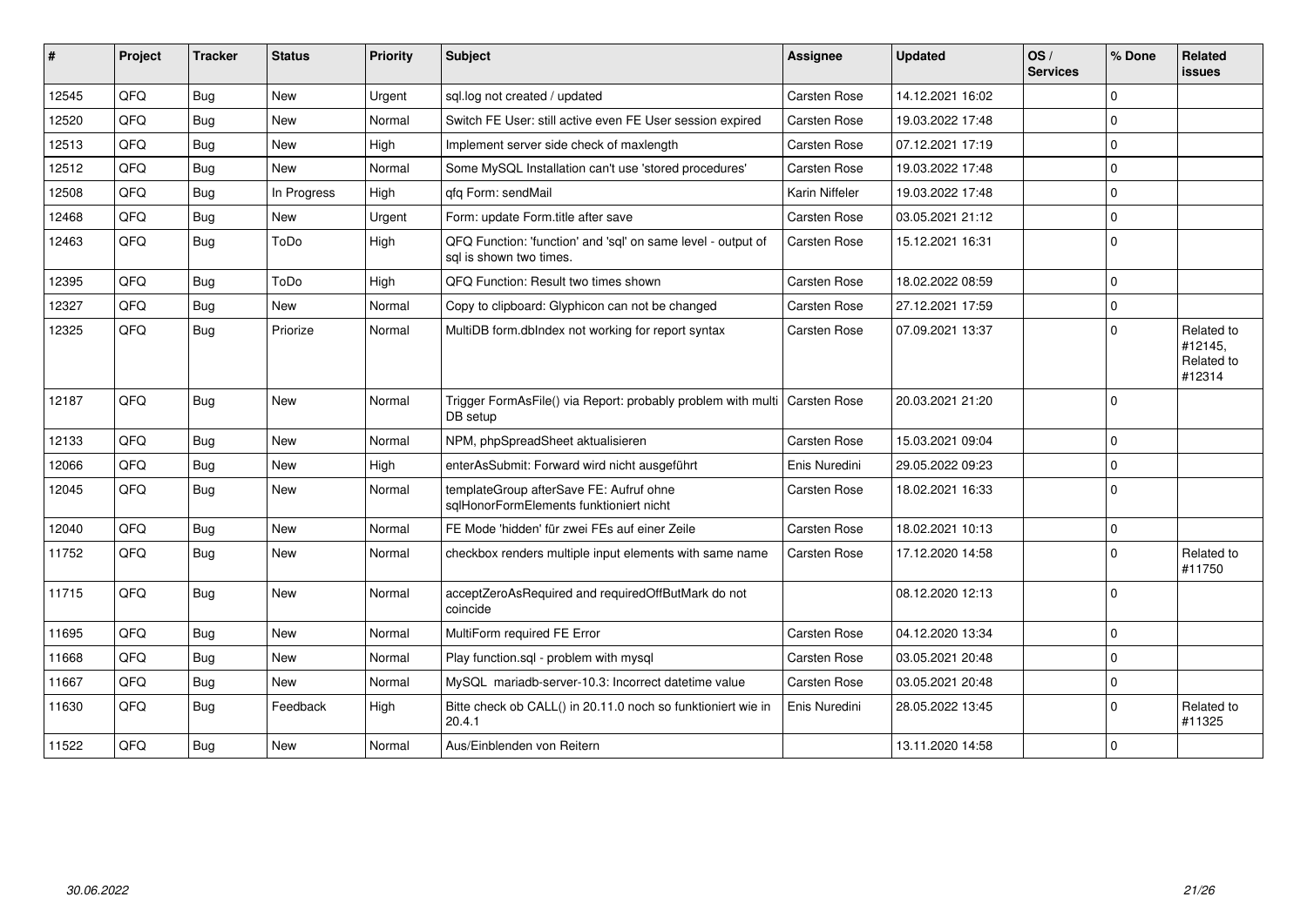| #     | <b>Project</b> | <b>Tracker</b> | <b>Status</b> | Priority | <b>Subject</b>                                                                          | <b>Assignee</b> | <b>Updated</b>   | OS/<br><b>Services</b> | % Done      | Related<br>issues                             |
|-------|----------------|----------------|---------------|----------|-----------------------------------------------------------------------------------------|-----------------|------------------|------------------------|-------------|-----------------------------------------------|
| 12545 | <b>OFO</b>     | Bug            | <b>New</b>    | Urgent   | sql.log not created / updated                                                           | Carsten Rose    | 14.12.2021 16:02 |                        | $\Omega$    |                                               |
| 12520 | QFQ            | <b>Bug</b>     | <b>New</b>    | Normal   | Switch FE User: still active even FE User session expired                               | Carsten Rose    | 19.03.2022 17:48 |                        | $\Omega$    |                                               |
| 12513 | QFQ            | <b>Bug</b>     | New           | High     | Implement server side check of maxlength                                                | Carsten Rose    | 07.12.2021 17:19 |                        | $\mathbf 0$ |                                               |
| 12512 | QFQ            | <b>Bug</b>     | <b>New</b>    | Normal   | Some MySQL Installation can't use 'stored procedures'                                   | Carsten Rose    | 19.03.2022 17:48 |                        | $\mathbf 0$ |                                               |
| 12508 | QFQ            | <b>Bug</b>     | In Progress   | High     | qfq Form: sendMail                                                                      | Karin Niffeler  | 19.03.2022 17:48 |                        | $\mathbf 0$ |                                               |
| 12468 | QFQ            | <b>Bug</b>     | <b>New</b>    | Urgent   | Form: update Form.title after save                                                      | Carsten Rose    | 03.05.2021 21:12 |                        | $\mathbf 0$ |                                               |
| 12463 | QFQ            | Bug            | ToDo          | High     | QFQ Function: 'function' and 'sql' on same level - output of<br>sal is shown two times. | Carsten Rose    | 15.12.2021 16:31 |                        | $\Omega$    |                                               |
| 12395 | QFQ            | <b>Bug</b>     | ToDo          | High     | QFQ Function: Result two times shown                                                    | Carsten Rose    | 18.02.2022 08:59 |                        | $\Omega$    |                                               |
| 12327 | QFQ            | <b>Bug</b>     | <b>New</b>    | Normal   | Copy to clipboard: Glyphicon can not be changed                                         | Carsten Rose    | 27.12.2021 17:59 |                        | $\Omega$    |                                               |
| 12325 | QFQ            | <b>Bug</b>     | Priorize      | Normal   | MultiDB form.dblndex not working for report syntax                                      | Carsten Rose    | 07.09.2021 13:37 |                        | $\Omega$    | Related to<br>#12145,<br>Related to<br>#12314 |
| 12187 | QFQ            | <b>Bug</b>     | <b>New</b>    | Normal   | Trigger FormAsFile() via Report: probably problem with multi   Carsten Rose<br>DB setup |                 | 20.03.2021 21:20 |                        | $\mathbf 0$ |                                               |
| 12133 | QFQ            | Bug            | New           | Normal   | NPM, phpSpreadSheet aktualisieren                                                       | Carsten Rose    | 15.03.2021 09:04 |                        | $\mathbf 0$ |                                               |
| 12066 | QFQ            | <b>Bug</b>     | New           | High     | enterAsSubmit: Forward wird nicht ausgeführt                                            | Enis Nuredini   | 29.05.2022 09:23 |                        | $\mathbf 0$ |                                               |
| 12045 | QFQ            | <b>Bug</b>     | <b>New</b>    | Normal   | templateGroup afterSave FE: Aufruf ohne<br>sqlHonorFormElements funktioniert nicht      | Carsten Rose    | 18.02.2021 16:33 |                        | $\Omega$    |                                               |
| 12040 | QFQ            | <b>Bug</b>     | New           | Normal   | FE Mode 'hidden' für zwei FEs auf einer Zeile                                           | Carsten Rose    | 18.02.2021 10:13 |                        | $\mathbf 0$ |                                               |
| 11752 | QFQ            | <b>Bug</b>     | <b>New</b>    | Normal   | checkbox renders multiple input elements with same name                                 | Carsten Rose    | 17.12.2020 14:58 |                        | $\mathbf 0$ | Related to<br>#11750                          |
| 11715 | QFQ            | <b>Bug</b>     | New           | Normal   | acceptZeroAsRequired and requiredOffButMark do not<br>coincide                          |                 | 08.12.2020 12:13 |                        | $\mathbf 0$ |                                               |
| 11695 | QFQ            | <b>Bug</b>     | <b>New</b>    | Normal   | MultiForm required FE Error                                                             | Carsten Rose    | 04.12.2020 13:34 |                        | $\mathbf 0$ |                                               |
| 11668 | QFQ            | <b>Bug</b>     | New           | Normal   | Play function.sql - problem with mysql                                                  | Carsten Rose    | 03.05.2021 20:48 |                        | $\mathbf 0$ |                                               |
| 11667 | QFQ            | Bug            | <b>New</b>    | Normal   | MySQL mariadb-server-10.3: Incorrect datetime value                                     | Carsten Rose    | 03.05.2021 20:48 |                        | $\mathbf 0$ |                                               |
| 11630 | QFQ            | Bug            | Feedback      | High     | Bitte check ob CALL() in 20.11.0 noch so funktioniert wie in<br>20.4.1                  | Enis Nuredini   | 28.05.2022 13:45 |                        | $\mathbf 0$ | Related to<br>#11325                          |
| 11522 | QFQ            | Bug            | <b>New</b>    | Normal   | Aus/Einblenden von Reitern                                                              |                 | 13.11.2020 14:58 |                        | $\mathbf 0$ |                                               |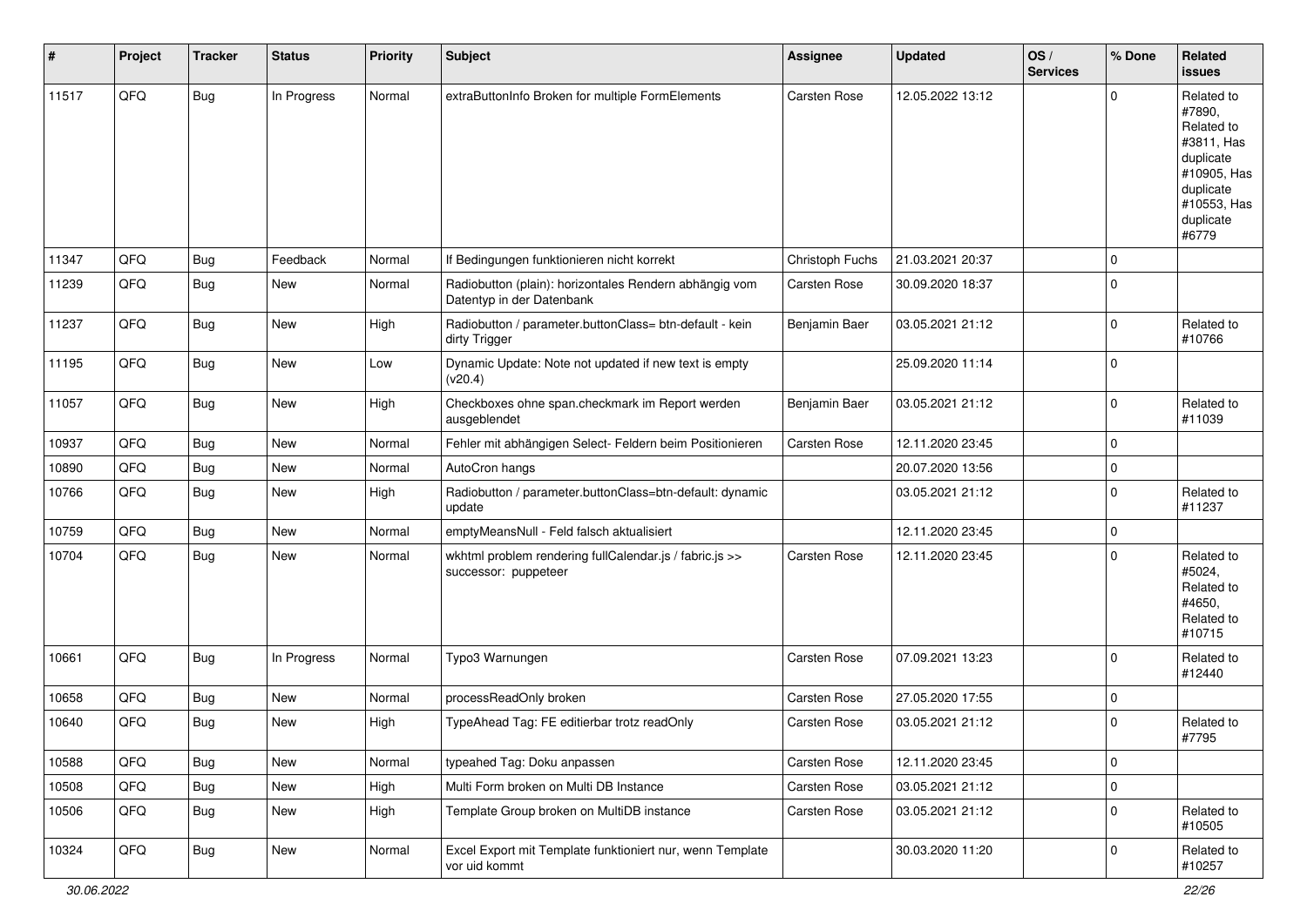| #     | Project | <b>Tracker</b> | <b>Status</b> | <b>Priority</b> | Subject                                                                             | <b>Assignee</b> | <b>Updated</b>   | OS/<br><b>Services</b> | % Done      | Related<br><b>issues</b>                                                                                                       |
|-------|---------|----------------|---------------|-----------------|-------------------------------------------------------------------------------------|-----------------|------------------|------------------------|-------------|--------------------------------------------------------------------------------------------------------------------------------|
| 11517 | QFQ     | <b>Bug</b>     | In Progress   | Normal          | extraButtonInfo Broken for multiple FormElements                                    | Carsten Rose    | 12.05.2022 13:12 |                        | $\Omega$    | Related to<br>#7890,<br>Related to<br>#3811, Has<br>duplicate<br>#10905, Has<br>duplicate<br>#10553, Has<br>duplicate<br>#6779 |
| 11347 | QFQ     | <b>Bug</b>     | Feedback      | Normal          | If Bedingungen funktionieren nicht korrekt                                          | Christoph Fuchs | 21.03.2021 20:37 |                        | 0           |                                                                                                                                |
| 11239 | QFQ     | Bug            | New           | Normal          | Radiobutton (plain): horizontales Rendern abhängig vom<br>Datentyp in der Datenbank | Carsten Rose    | 30.09.2020 18:37 |                        | $\mathbf 0$ |                                                                                                                                |
| 11237 | QFQ     | <b>Bug</b>     | <b>New</b>    | High            | Radiobutton / parameter.buttonClass= btn-default - kein<br>dirty Trigger            | Benjamin Baer   | 03.05.2021 21:12 |                        | $\mathbf 0$ | Related to<br>#10766                                                                                                           |
| 11195 | QFQ     | Bug            | New           | Low             | Dynamic Update: Note not updated if new text is empty<br>(v20.4)                    |                 | 25.09.2020 11:14 |                        | $\mathbf 0$ |                                                                                                                                |
| 11057 | QFQ     | Bug            | <b>New</b>    | High            | Checkboxes ohne span.checkmark im Report werden<br>ausgeblendet                     | Benjamin Baer   | 03.05.2021 21:12 |                        | 0           | Related to<br>#11039                                                                                                           |
| 10937 | QFQ     | <b>Bug</b>     | <b>New</b>    | Normal          | Fehler mit abhängigen Select- Feldern beim Positionieren                            | Carsten Rose    | 12.11.2020 23:45 |                        | 0           |                                                                                                                                |
| 10890 | QFQ     | <b>Bug</b>     | <b>New</b>    | Normal          | AutoCron hangs                                                                      |                 | 20.07.2020 13:56 |                        | $\mathbf 0$ |                                                                                                                                |
| 10766 | QFQ     | Bug            | <b>New</b>    | High            | Radiobutton / parameter.buttonClass=btn-default: dynamic<br>update                  |                 | 03.05.2021 21:12 |                        | 0           | Related to<br>#11237                                                                                                           |
| 10759 | QFQ     | <b>Bug</b>     | New           | Normal          | emptyMeansNull - Feld falsch aktualisiert                                           |                 | 12.11.2020 23:45 |                        | 0           |                                                                                                                                |
| 10704 | QFQ     | Bug            | <b>New</b>    | Normal          | wkhtml problem rendering fullCalendar.js / fabric.js >><br>successor: puppeteer     | Carsten Rose    | 12.11.2020 23:45 |                        | $\mathbf 0$ | Related to<br>#5024,<br>Related to<br>#4650,<br>Related to<br>#10715                                                           |
| 10661 | QFQ     | Bug            | In Progress   | Normal          | Typo3 Warnungen                                                                     | Carsten Rose    | 07.09.2021 13:23 |                        | $\Omega$    | Related to<br>#12440                                                                                                           |
| 10658 | QFQ     | <b>Bug</b>     | <b>New</b>    | Normal          | processReadOnly broken                                                              | Carsten Rose    | 27.05.2020 17:55 |                        | 0           |                                                                                                                                |
| 10640 | QFQ     | <b>Bug</b>     | New           | High            | TypeAhead Tag: FE editierbar trotz readOnly                                         | Carsten Rose    | 03.05.2021 21:12 |                        | $\Omega$    | Related to<br>#7795                                                                                                            |
| 10588 | QFQ     | <b>Bug</b>     | New           | Normal          | typeahed Tag: Doku anpassen                                                         | Carsten Rose    | 12.11.2020 23:45 |                        | 0           |                                                                                                                                |
| 10508 | QFQ     | <b>Bug</b>     | New           | High            | Multi Form broken on Multi DB Instance                                              | Carsten Rose    | 03.05.2021 21:12 |                        | 0           |                                                                                                                                |
| 10506 | QFQ     | <b>Bug</b>     | New           | High            | Template Group broken on MultiDB instance                                           | Carsten Rose    | 03.05.2021 21:12 |                        | 0           | Related to<br>#10505                                                                                                           |
| 10324 | QFQ     | <b>Bug</b>     | New           | Normal          | Excel Export mit Template funktioniert nur, wenn Template<br>vor uid kommt          |                 | 30.03.2020 11:20 |                        | 0           | Related to<br>#10257                                                                                                           |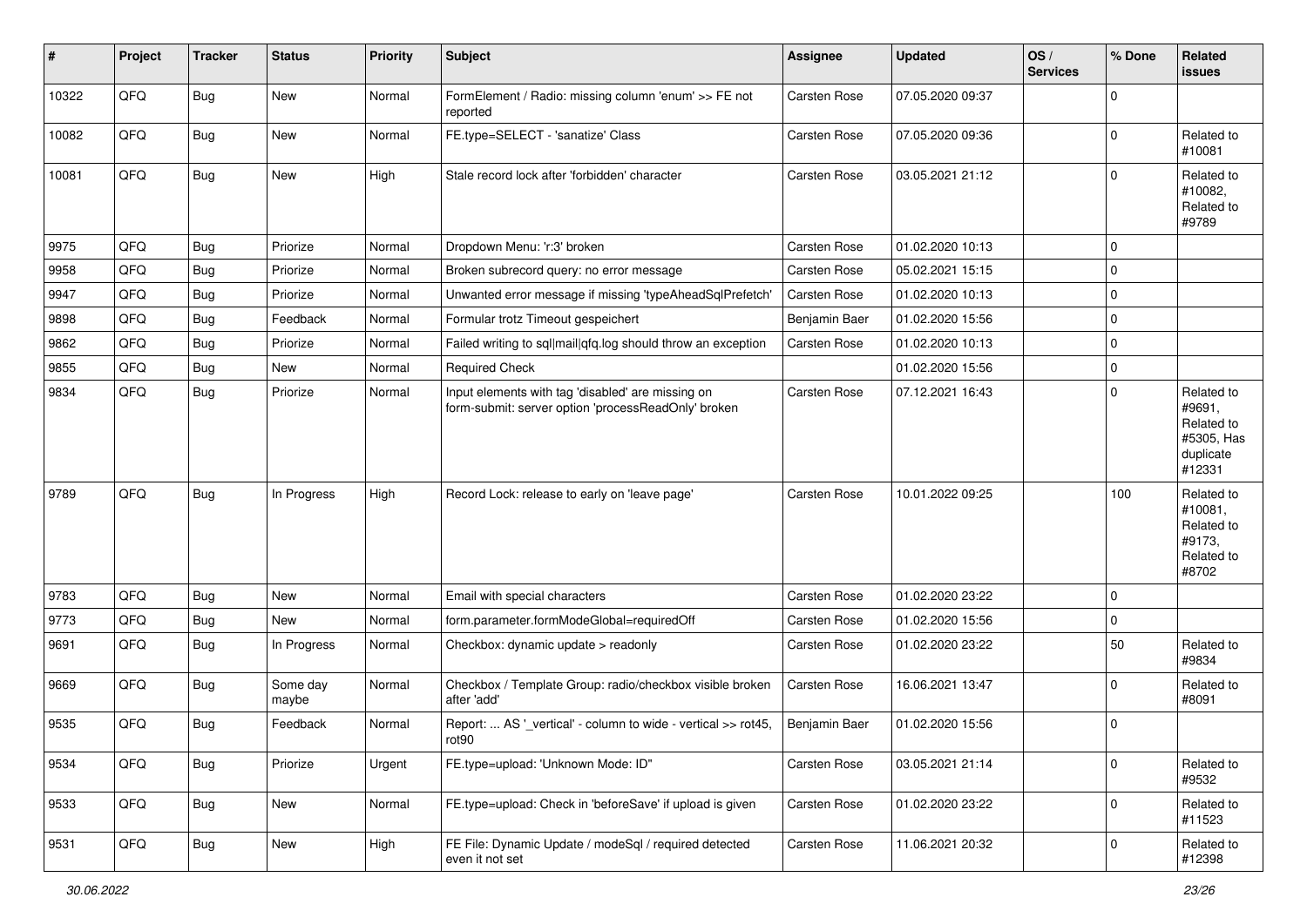| $\sharp$ | Project | <b>Tracker</b> | <b>Status</b>     | <b>Priority</b> | Subject                                                                                                  | <b>Assignee</b> | <b>Updated</b>   | OS/<br><b>Services</b> | % Done      | Related<br><b>issues</b>                                                |
|----------|---------|----------------|-------------------|-----------------|----------------------------------------------------------------------------------------------------------|-----------------|------------------|------------------------|-------------|-------------------------------------------------------------------------|
| 10322    | QFQ     | <b>Bug</b>     | New               | Normal          | FormElement / Radio: missing column 'enum' >> FE not<br>reported                                         | Carsten Rose    | 07.05.2020 09:37 |                        | 0           |                                                                         |
| 10082    | QFQ     | Bug            | New               | Normal          | FE.type=SELECT - 'sanatize' Class                                                                        | Carsten Rose    | 07.05.2020 09:36 |                        | $\mathbf 0$ | Related to<br>#10081                                                    |
| 10081    | QFQ     | <b>Bug</b>     | <b>New</b>        | High            | Stale record lock after 'forbidden' character                                                            | Carsten Rose    | 03.05.2021 21:12 |                        | 0           | Related to<br>#10082,<br>Related to<br>#9789                            |
| 9975     | QFQ     | <b>Bug</b>     | Priorize          | Normal          | Dropdown Menu: 'r:3' broken                                                                              | Carsten Rose    | 01.02.2020 10:13 |                        | $\mathbf 0$ |                                                                         |
| 9958     | QFQ     | <b>Bug</b>     | Priorize          | Normal          | Broken subrecord query: no error message                                                                 | Carsten Rose    | 05.02.2021 15:15 |                        | 0           |                                                                         |
| 9947     | QFQ     | <b>Bug</b>     | Priorize          | Normal          | Unwanted error message if missing 'typeAheadSqlPrefetch'                                                 | Carsten Rose    | 01.02.2020 10:13 |                        | 0           |                                                                         |
| 9898     | QFQ     | <b>Bug</b>     | Feedback          | Normal          | Formular trotz Timeout gespeichert                                                                       | Benjamin Baer   | 01.02.2020 15:56 |                        | $\mathbf 0$ |                                                                         |
| 9862     | QFQ     | <b>Bug</b>     | Priorize          | Normal          | Failed writing to sql mail qfq.log should throw an exception                                             | Carsten Rose    | 01.02.2020 10:13 |                        | 0           |                                                                         |
| 9855     | QFQ     | <b>Bug</b>     | New               | Normal          | <b>Required Check</b>                                                                                    |                 | 01.02.2020 15:56 |                        | $\mathbf 0$ |                                                                         |
| 9834     | QFQ     | <b>Bug</b>     | Priorize          | Normal          | Input elements with tag 'disabled' are missing on<br>form-submit: server option 'processReadOnly' broken | Carsten Rose    | 07.12.2021 16:43 |                        | 0           | Related to<br>#9691,<br>Related to<br>#5305, Has<br>duplicate<br>#12331 |
| 9789     | QFQ     | Bug            | In Progress       | High            | Record Lock: release to early on 'leave page'                                                            | Carsten Rose    | 10.01.2022 09:25 |                        | 100         | Related to<br>#10081,<br>Related to<br>#9173,<br>Related to<br>#8702    |
| 9783     | QFQ     | <b>Bug</b>     | <b>New</b>        | Normal          | Email with special characters                                                                            | Carsten Rose    | 01.02.2020 23:22 |                        | 0           |                                                                         |
| 9773     | QFQ     | Bug            | <b>New</b>        | Normal          | form.parameter.formModeGlobal=requiredOff                                                                | Carsten Rose    | 01.02.2020 15:56 |                        | 0           |                                                                         |
| 9691     | QFQ     | <b>Bug</b>     | In Progress       | Normal          | Checkbox: dynamic update > readonly                                                                      | Carsten Rose    | 01.02.2020 23:22 |                        | 50          | Related to<br>#9834                                                     |
| 9669     | QFQ     | Bug            | Some day<br>maybe | Normal          | Checkbox / Template Group: radio/checkbox visible broken<br>after 'add'                                  | Carsten Rose    | 16.06.2021 13:47 |                        | $\Omega$    | Related to<br>#8091                                                     |
| 9535     | QFQ     | <b>Bug</b>     | Feedback          | Normal          | Report:  AS '_vertical' - column to wide - vertical >> rot45,<br>rot90                                   | Benjamin Baer   | 01.02.2020 15:56 |                        | $\mathbf 0$ |                                                                         |
| 9534     | QFQ     | <b>Bug</b>     | Priorize          | Urgent          | FE.type=upload: 'Unknown Mode: ID"                                                                       | Carsten Rose    | 03.05.2021 21:14 |                        | 0           | Related to<br>#9532                                                     |
| 9533     | QFQ     | <b>Bug</b>     | New               | Normal          | FE.type=upload: Check in 'beforeSave' if upload is given                                                 | Carsten Rose    | 01.02.2020 23:22 |                        | 0           | Related to<br>#11523                                                    |
| 9531     | QFQ     | Bug            | New               | High            | FE File: Dynamic Update / modeSql / required detected<br>even it not set                                 | Carsten Rose    | 11.06.2021 20:32 |                        | 0           | Related to<br>#12398                                                    |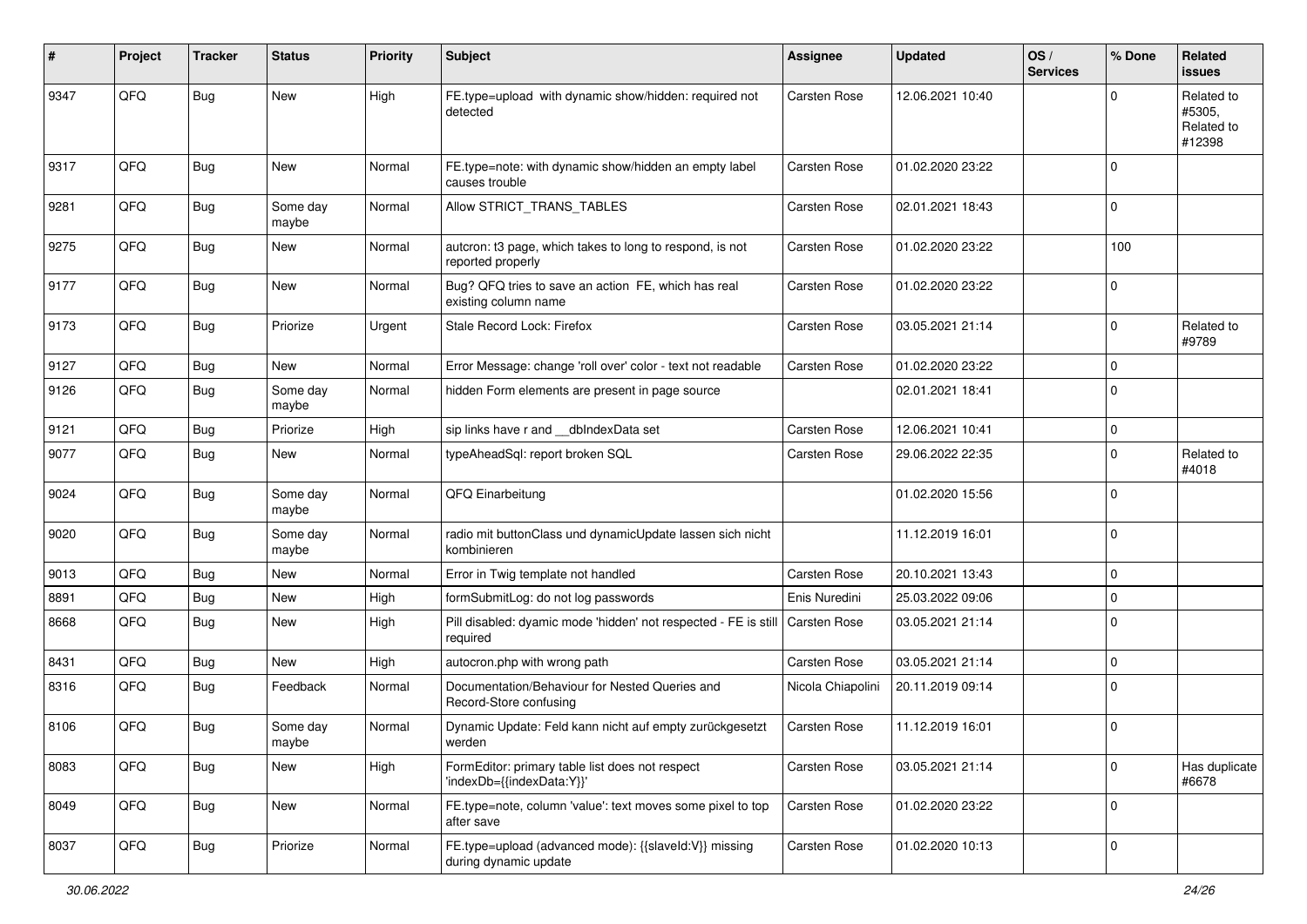| #    | Project | <b>Tracker</b> | <b>Status</b>     | <b>Priority</b> | <b>Subject</b>                                                                 | <b>Assignee</b>   | <b>Updated</b>   | OS/<br><b>Services</b> | % Done      | Related<br>issues                            |
|------|---------|----------------|-------------------|-----------------|--------------------------------------------------------------------------------|-------------------|------------------|------------------------|-------------|----------------------------------------------|
| 9347 | QFQ     | <b>Bug</b>     | <b>New</b>        | High            | FE.type=upload with dynamic show/hidden: required not<br>detected              | Carsten Rose      | 12.06.2021 10:40 |                        | $\Omega$    | Related to<br>#5305.<br>Related to<br>#12398 |
| 9317 | QFQ     | <b>Bug</b>     | <b>New</b>        | Normal          | FE.type=note: with dynamic show/hidden an empty label<br>causes trouble        | Carsten Rose      | 01.02.2020 23:22 |                        | $\Omega$    |                                              |
| 9281 | QFQ     | <b>Bug</b>     | Some day<br>maybe | Normal          | Allow STRICT_TRANS_TABLES                                                      | Carsten Rose      | 02.01.2021 18:43 |                        | 0           |                                              |
| 9275 | QFQ     | Bug            | New               | Normal          | autcron: t3 page, which takes to long to respond, is not<br>reported properly  | Carsten Rose      | 01.02.2020 23:22 |                        | 100         |                                              |
| 9177 | QFQ     | Bug            | <b>New</b>        | Normal          | Bug? QFQ tries to save an action FE, which has real<br>existing column name    | Carsten Rose      | 01.02.2020 23:22 |                        | 0           |                                              |
| 9173 | QFQ     | Bug            | Priorize          | Urgent          | Stale Record Lock: Firefox                                                     | Carsten Rose      | 03.05.2021 21:14 |                        | $\mathbf 0$ | Related to<br>#9789                          |
| 9127 | QFQ     | <b>Bug</b>     | New               | Normal          | Error Message: change 'roll over' color - text not readable                    | Carsten Rose      | 01.02.2020 23:22 |                        | $\mathbf 0$ |                                              |
| 9126 | QFQ     | <b>Bug</b>     | Some day<br>maybe | Normal          | hidden Form elements are present in page source                                |                   | 02.01.2021 18:41 |                        | $\Omega$    |                                              |
| 9121 | QFQ     | <b>Bug</b>     | Priorize          | High            | sip links have r and __dbIndexData set                                         | Carsten Rose      | 12.06.2021 10:41 |                        | 0           |                                              |
| 9077 | QFQ     | <b>Bug</b>     | New               | Normal          | typeAheadSql: report broken SQL                                                | Carsten Rose      | 29.06.2022 22:35 |                        | $\mathbf 0$ | Related to<br>#4018                          |
| 9024 | QFQ     | <b>Bug</b>     | Some day<br>maybe | Normal          | QFQ Einarbeitung                                                               |                   | 01.02.2020 15:56 |                        | $\mathbf 0$ |                                              |
| 9020 | QFQ     | Bug            | Some day<br>maybe | Normal          | radio mit buttonClass und dynamicUpdate lassen sich nicht<br>kombinieren       |                   | 11.12.2019 16:01 |                        | $\Omega$    |                                              |
| 9013 | QFQ     | <b>Bug</b>     | <b>New</b>        | Normal          | Error in Twig template not handled                                             | Carsten Rose      | 20.10.2021 13:43 |                        | $\mathbf 0$ |                                              |
| 8891 | QFQ     | <b>Bug</b>     | <b>New</b>        | High            | formSubmitLog: do not log passwords                                            | Enis Nuredini     | 25.03.2022 09:06 |                        | 0           |                                              |
| 8668 | QFQ     | <b>Bug</b>     | <b>New</b>        | High            | Pill disabled: dyamic mode 'hidden' not respected - FE is still<br>required    | Carsten Rose      | 03.05.2021 21:14 |                        | $\Omega$    |                                              |
| 8431 | QFQ     | <b>Bug</b>     | New               | High            | autocron.php with wrong path                                                   | Carsten Rose      | 03.05.2021 21:14 |                        | 0           |                                              |
| 8316 | QFQ     | Bug            | Feedback          | Normal          | Documentation/Behaviour for Nested Queries and<br>Record-Store confusing       | Nicola Chiapolini | 20.11.2019 09:14 |                        | $\Omega$    |                                              |
| 8106 | QFQ     | Bug            | Some day<br>maybe | Normal          | Dynamic Update: Feld kann nicht auf empty zurückgesetzt<br>werden              | Carsten Rose      | 11.12.2019 16:01 |                        | $\mathbf 0$ |                                              |
| 8083 | QFQ     | Bug            | New               | High            | FormEditor: primary table list does not respect<br>'indexDb={{indexData:Y}}'   | Carsten Rose      | 03.05.2021 21:14 |                        | $\mathbf 0$ | Has duplicate<br>#6678                       |
| 8049 | QFQ     | <b>Bug</b>     | New               | Normal          | FE.type=note, column 'value': text moves some pixel to top<br>after save       | Carsten Rose      | 01.02.2020 23:22 |                        | $\mathbf 0$ |                                              |
| 8037 | QFQ     | <b>Bug</b>     | Priorize          | Normal          | FE.type=upload (advanced mode): {{slaveld:V}} missing<br>during dynamic update | Carsten Rose      | 01.02.2020 10:13 |                        | 0           |                                              |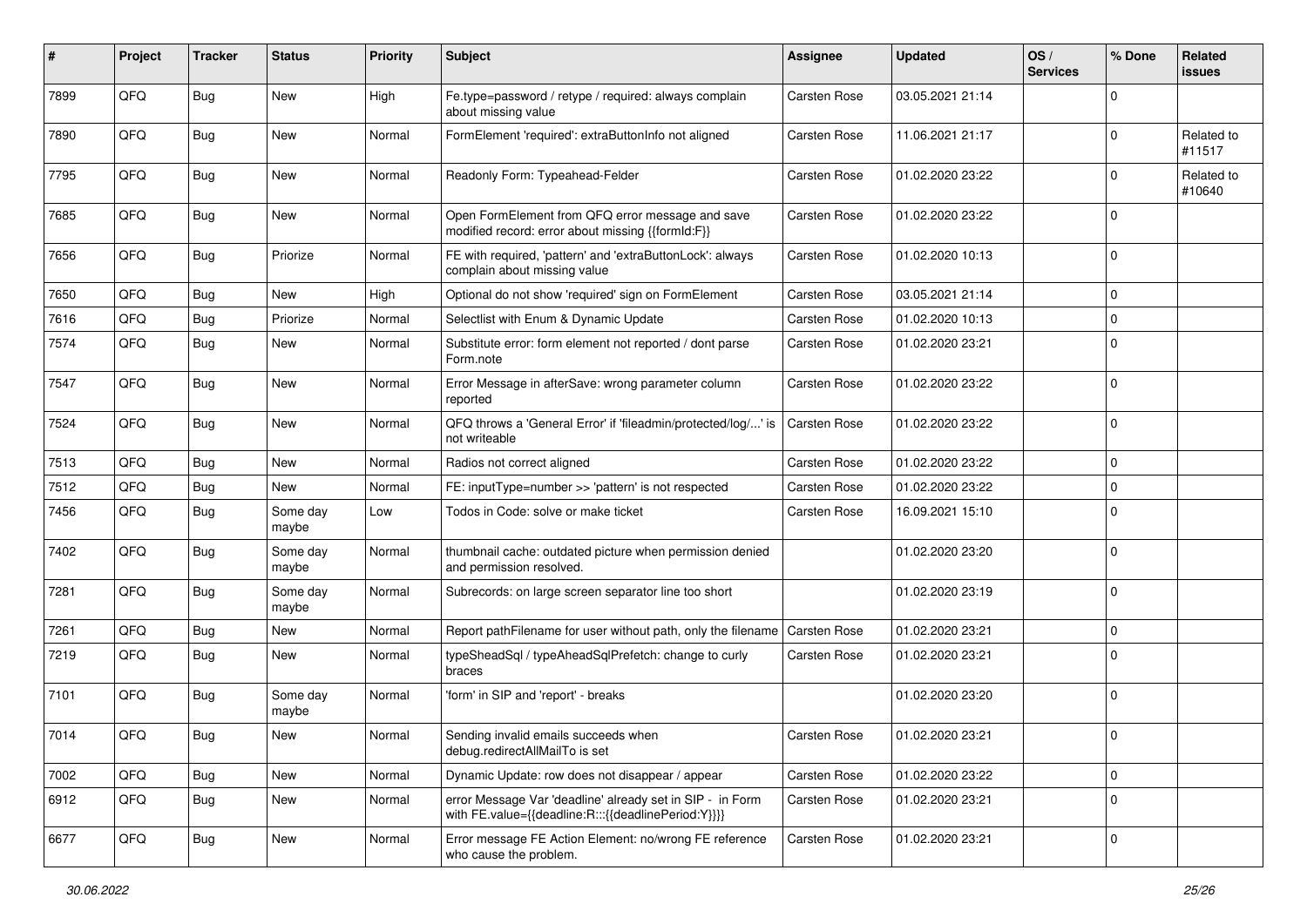| #    | Project | <b>Tracker</b> | <b>Status</b>     | <b>Priority</b> | <b>Subject</b>                                                                                                   | Assignee            | <b>Updated</b>   | OS/<br><b>Services</b> | % Done      | Related<br>issues    |
|------|---------|----------------|-------------------|-----------------|------------------------------------------------------------------------------------------------------------------|---------------------|------------------|------------------------|-------------|----------------------|
| 7899 | QFQ     | Bug            | <b>New</b>        | High            | Fe.type=password / retype / required: always complain<br>about missing value                                     | Carsten Rose        | 03.05.2021 21:14 |                        | $\Omega$    |                      |
| 7890 | QFQ     | Bug            | New               | Normal          | FormElement 'required': extraButtonInfo not aligned                                                              | Carsten Rose        | 11.06.2021 21:17 |                        | $\Omega$    | Related to<br>#11517 |
| 7795 | QFQ     | <b>Bug</b>     | <b>New</b>        | Normal          | Readonly Form: Typeahead-Felder                                                                                  | Carsten Rose        | 01.02.2020 23:22 |                        | $\Omega$    | Related to<br>#10640 |
| 7685 | QFQ     | <b>Bug</b>     | New               | Normal          | Open FormElement from QFQ error message and save<br>modified record: error about missing {{formId:F}}            | Carsten Rose        | 01.02.2020 23:22 |                        | $\Omega$    |                      |
| 7656 | QFQ     | <b>Bug</b>     | Priorize          | Normal          | FE with required, 'pattern' and 'extraButtonLock': always<br>complain about missing value                        | Carsten Rose        | 01.02.2020 10:13 |                        | $\Omega$    |                      |
| 7650 | QFQ     | <b>Bug</b>     | <b>New</b>        | High            | Optional do not show 'required' sign on FormElement                                                              | Carsten Rose        | 03.05.2021 21:14 |                        | $\Omega$    |                      |
| 7616 | QFQ     | <b>Bug</b>     | Priorize          | Normal          | Selectlist with Enum & Dynamic Update                                                                            | Carsten Rose        | 01.02.2020 10:13 |                        | $\Omega$    |                      |
| 7574 | QFQ     | <b>Bug</b>     | New               | Normal          | Substitute error: form element not reported / dont parse<br>Form.note                                            | Carsten Rose        | 01.02.2020 23:21 |                        | $\Omega$    |                      |
| 7547 | QFQ     | <b>Bug</b>     | New               | Normal          | Error Message in afterSave: wrong parameter column<br>reported                                                   | Carsten Rose        | 01.02.2020 23:22 |                        | $\Omega$    |                      |
| 7524 | QFQ     | <b>Bug</b>     | <b>New</b>        | Normal          | QFQ throws a 'General Error' if 'fileadmin/protected/log/' is<br>not writeable                                   | <b>Carsten Rose</b> | 01.02.2020 23:22 |                        | $\Omega$    |                      |
| 7513 | QFQ     | <b>Bug</b>     | <b>New</b>        | Normal          | Radios not correct aligned                                                                                       | Carsten Rose        | 01.02.2020 23:22 |                        | $\Omega$    |                      |
| 7512 | QFQ     | Bug            | New               | Normal          | FE: inputType=number >> 'pattern' is not respected                                                               | Carsten Rose        | 01.02.2020 23:22 |                        | $\mathbf 0$ |                      |
| 7456 | QFQ     | Bug            | Some day<br>maybe | Low             | Todos in Code: solve or make ticket                                                                              | Carsten Rose        | 16.09.2021 15:10 |                        | $\Omega$    |                      |
| 7402 | QFQ     | <b>Bug</b>     | Some day<br>maybe | Normal          | thumbnail cache: outdated picture when permission denied<br>and permission resolved.                             |                     | 01.02.2020 23:20 |                        | $\Omega$    |                      |
| 7281 | QFQ     | <b>Bug</b>     | Some day<br>maybe | Normal          | Subrecords: on large screen separator line too short                                                             |                     | 01.02.2020 23:19 |                        | $\Omega$    |                      |
| 7261 | QFQ     | <b>Bug</b>     | New               | Normal          | Report pathFilename for user without path, only the filename                                                     | Carsten Rose        | 01.02.2020 23:21 |                        | 0           |                      |
| 7219 | QFQ     | <b>Bug</b>     | New               | Normal          | typeSheadSql / typeAheadSqlPrefetch: change to curly<br>braces                                                   | Carsten Rose        | 01.02.2020 23:21 |                        | $\Omega$    |                      |
| 7101 | QFQ     | Bug            | Some day<br>maybe | Normal          | 'form' in SIP and 'report' - breaks                                                                              |                     | 01.02.2020 23:20 |                        | 0           |                      |
| 7014 | QFQ     | <b>Bug</b>     | New               | Normal          | Sending invalid emails succeeds when<br>debug.redirectAllMailTo is set                                           | Carsten Rose        | 01.02.2020 23:21 |                        | $\mathbf 0$ |                      |
| 7002 | QFQ     | <b>Bug</b>     | New               | Normal          | Dynamic Update: row does not disappear / appear                                                                  | Carsten Rose        | 01.02.2020 23:22 |                        | 0           |                      |
| 6912 | QFQ     | Bug            | New               | Normal          | error Message Var 'deadline' already set in SIP - in Form<br>with FE.value={{deadline:R:::{{deadlinePeriod:Y}}}} | Carsten Rose        | 01.02.2020 23:21 |                        | 0           |                      |
| 6677 | QFQ     | Bug            | New               | Normal          | Error message FE Action Element: no/wrong FE reference<br>who cause the problem.                                 | Carsten Rose        | 01.02.2020 23:21 |                        | 0           |                      |